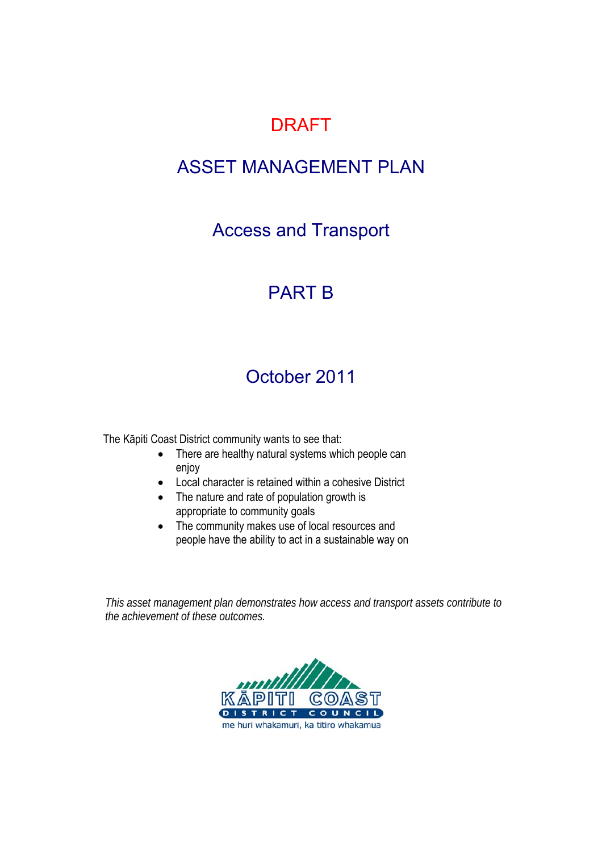## DRAFT

## ASSET MANAGEMENT PLAN

Access and Transport

## PART B

## October 2011

The Kāpiti Coast District community wants to see that:

- There are healthy natural systems which people can enjoy
- Local character is retained within a cohesive District
- The nature and rate of population growth is appropriate to community goals
- The community makes use of local resources and people have the ability to act in a sustainable way on

*This asset management plan demonstrates how access and transport assets contribute to the achievement of these outcomes.* 

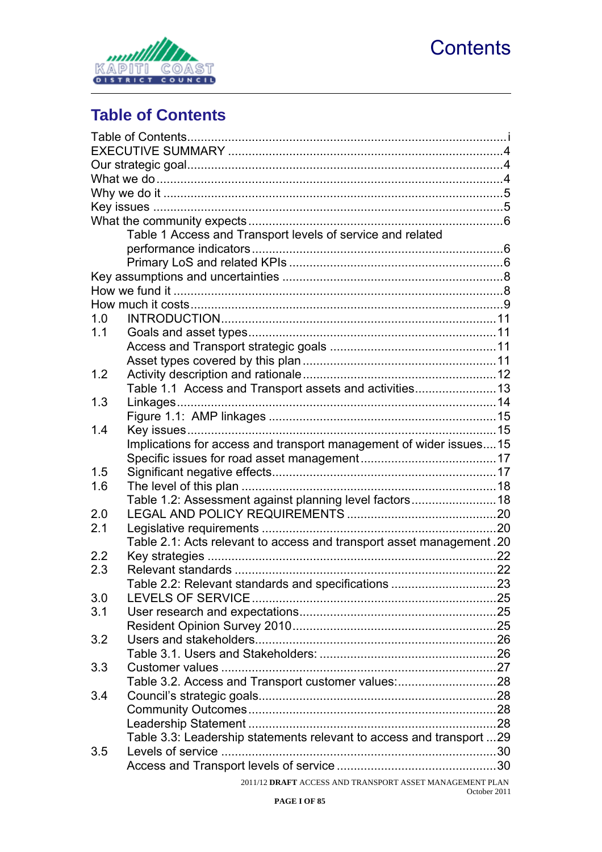

<span id="page-2-0"></span>

## <span id="page-2-1"></span>**Table of Contents**

|                  | Table 1 Access and Transport levels of service and related            |  |  |  |  |  |
|------------------|-----------------------------------------------------------------------|--|--|--|--|--|
|                  |                                                                       |  |  |  |  |  |
|                  |                                                                       |  |  |  |  |  |
|                  |                                                                       |  |  |  |  |  |
|                  |                                                                       |  |  |  |  |  |
|                  |                                                                       |  |  |  |  |  |
| 1.0              |                                                                       |  |  |  |  |  |
| 1.1              |                                                                       |  |  |  |  |  |
|                  |                                                                       |  |  |  |  |  |
|                  |                                                                       |  |  |  |  |  |
| 1.2              |                                                                       |  |  |  |  |  |
|                  | Table 1.1 Access and Transport assets and activities 13               |  |  |  |  |  |
| 1.3              |                                                                       |  |  |  |  |  |
|                  |                                                                       |  |  |  |  |  |
| 1.4              |                                                                       |  |  |  |  |  |
|                  | Implications for access and transport management of wider issues15    |  |  |  |  |  |
|                  |                                                                       |  |  |  |  |  |
| 1.5              |                                                                       |  |  |  |  |  |
| 1.6              |                                                                       |  |  |  |  |  |
|                  | Table 1.2: Assessment against planning level factors 18               |  |  |  |  |  |
| 2.0              |                                                                       |  |  |  |  |  |
| 2.1              |                                                                       |  |  |  |  |  |
|                  | Table 2.1: Acts relevant to access and transport asset management .20 |  |  |  |  |  |
| $2.2\phantom{0}$ |                                                                       |  |  |  |  |  |
| 2.3              |                                                                       |  |  |  |  |  |
|                  | Table 2.2: Relevant standards and specifications 23                   |  |  |  |  |  |
| 3.0              |                                                                       |  |  |  |  |  |
| 3.1              |                                                                       |  |  |  |  |  |
|                  |                                                                       |  |  |  |  |  |
| 3.2              |                                                                       |  |  |  |  |  |
|                  |                                                                       |  |  |  |  |  |
| 3.3              |                                                                       |  |  |  |  |  |
|                  | Table 3.2. Access and Transport customer values:28                    |  |  |  |  |  |
| 3.4              |                                                                       |  |  |  |  |  |
|                  |                                                                       |  |  |  |  |  |
|                  |                                                                       |  |  |  |  |  |
|                  | Table 3.3: Leadership statements relevant to access and transport 29  |  |  |  |  |  |
| 3.5              |                                                                       |  |  |  |  |  |
|                  |                                                                       |  |  |  |  |  |
|                  | 2011/12 DRAFT ACCESS AND TRANSPORT ASSET MANAGEMENT PLAN              |  |  |  |  |  |
|                  |                                                                       |  |  |  |  |  |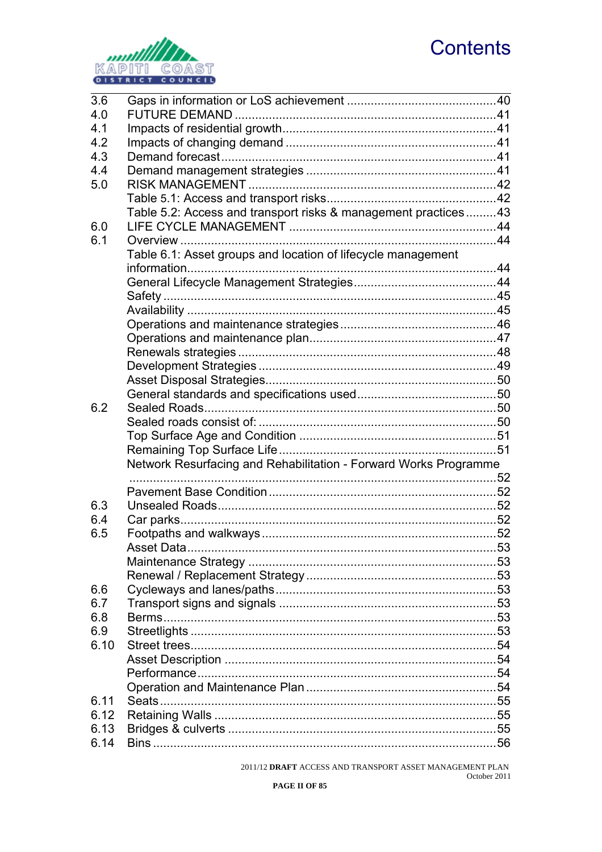# **Contents**



| 3.6  |                                                                  |  |
|------|------------------------------------------------------------------|--|
| 4.0  |                                                                  |  |
| 4.1  |                                                                  |  |
| 4.2  |                                                                  |  |
| 4.3  |                                                                  |  |
| 4.4  |                                                                  |  |
| 5.0  |                                                                  |  |
|      |                                                                  |  |
|      | Table 5.2: Access and transport risks & management practices43   |  |
| 6.0  |                                                                  |  |
| 6.1  |                                                                  |  |
|      | Table 6.1: Asset groups and location of lifecycle management     |  |
|      |                                                                  |  |
|      |                                                                  |  |
|      |                                                                  |  |
|      |                                                                  |  |
|      |                                                                  |  |
|      |                                                                  |  |
|      |                                                                  |  |
|      |                                                                  |  |
|      |                                                                  |  |
|      |                                                                  |  |
| 6.2  |                                                                  |  |
|      |                                                                  |  |
|      |                                                                  |  |
|      |                                                                  |  |
|      | Network Resurfacing and Rehabilitation - Forward Works Programme |  |
|      |                                                                  |  |
|      |                                                                  |  |
| 6.3  |                                                                  |  |
| 6.4  |                                                                  |  |
| 6.5  |                                                                  |  |
|      | Asset Data.                                                      |  |
|      |                                                                  |  |
|      |                                                                  |  |
|      |                                                                  |  |
| 6.6  |                                                                  |  |
| 6.7  |                                                                  |  |
| 6.8  |                                                                  |  |
| 6.9  |                                                                  |  |
| 6.10 |                                                                  |  |
|      |                                                                  |  |
|      |                                                                  |  |
|      |                                                                  |  |
| 6.11 |                                                                  |  |
| 6.12 |                                                                  |  |
| 6.13 |                                                                  |  |
| 6.14 |                                                                  |  |

 $2011/12$  DRAFT ACCESS AND TRANSPORT ASSET MANAGEMENT PLAN October 2011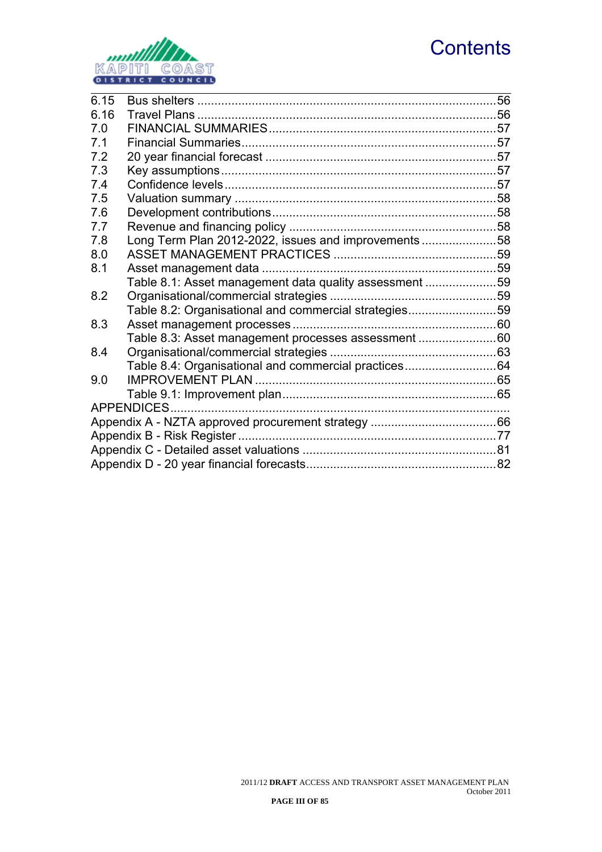# **Contents**



| 6.15 |                                                        | 56 |  |  |  |  |
|------|--------------------------------------------------------|----|--|--|--|--|
| 6.16 |                                                        |    |  |  |  |  |
| 7.0  |                                                        |    |  |  |  |  |
| 7.1  |                                                        |    |  |  |  |  |
| 7.2  |                                                        |    |  |  |  |  |
| 7.3  |                                                        |    |  |  |  |  |
| 7.4  |                                                        |    |  |  |  |  |
| 7.5  |                                                        |    |  |  |  |  |
| 7.6  |                                                        |    |  |  |  |  |
| 7.7  |                                                        |    |  |  |  |  |
| 7.8  | Long Term Plan 2012-2022, issues and improvements58    |    |  |  |  |  |
| 8.0  |                                                        |    |  |  |  |  |
| 8.1  |                                                        |    |  |  |  |  |
|      | Table 8.1: Asset management data quality assessment 59 |    |  |  |  |  |
| 8.2  |                                                        |    |  |  |  |  |
|      | Table 8.2: Organisational and commercial strategies59  |    |  |  |  |  |
| 8.3  |                                                        |    |  |  |  |  |
|      | Table 8.3: Asset management processes assessment60     |    |  |  |  |  |
| 8.4  |                                                        |    |  |  |  |  |
|      | Table 8.4: Organisational and commercial practices64   |    |  |  |  |  |
| 9.0  |                                                        |    |  |  |  |  |
|      |                                                        |    |  |  |  |  |
|      |                                                        |    |  |  |  |  |
|      |                                                        |    |  |  |  |  |
|      |                                                        |    |  |  |  |  |
|      |                                                        |    |  |  |  |  |
|      |                                                        |    |  |  |  |  |
|      |                                                        |    |  |  |  |  |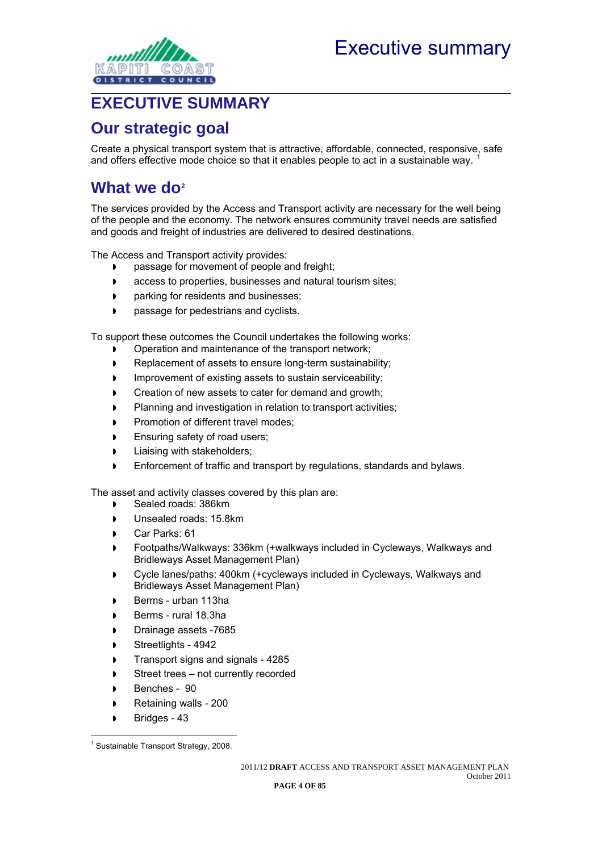<span id="page-5-0"></span>

### <span id="page-5-1"></span>**EXECUTIVE SUMMARY**

### <span id="page-5-2"></span>**Our strategic goal**

Create a physical transport system that is attractive, affordable, connected, responsive, safe and offers effective mode choice so that it enables people to act in a sustainable way. [1](#page-5-4)

### <span id="page-5-3"></span>**What we do[2](#page-5-5)**

The services provided by the Access and Transport activity are necessary for the well being of the people and the economy. The network ensures community travel needs are satisfied and goods and freight of industries are delivered to desired destinations.

The Access and Transport activity provides:

- passage for movement of people and freight;
- **access to properties, businesses and natural tourism sites;**
- **parking for residents and businesses;**
- **passage for pedestrians and cyclists.**

To support these outcomes the Council undertakes the following works:

- Operation and maintenance of the transport network;
- Replacement of assets to ensure long-term sustainability;
- **IMPROVEMENT OF EXISTING ASSETS TO SUSTAIN SERVICEABILITY;**
- **Creation of new assets to cater for demand and growth;**
- **Planning and investigation in relation to transport activities;**
- Promotion of different travel modes;
- **Ensuring safety of road users;**
- Liaising with stakeholders;
- Enforcement of traffic and transport by regulations, standards and bylaws.

The asset and activity classes covered by this plan are:

- Sealed roads: 386km
- Unsealed roads: 15.8km
- Car Parks: 61
- Footpaths/Walkways: 336km (+walkways included in Cycleways, Walkways and Bridleways Asset Management Plan)
- Cycle lanes/paths: 400km (+cycleways included in Cycleways, Walkways and Bridleways Asset Management Plan)
- Berms urban 113ha
- Berms rural 18.3ha
- Drainage assets -7685
- Streetlights 4942
- Transport signs and signals 4285
- Street trees not currently recorded
- Benches 90
- Retaining walls 200
- Bridges 43

<span id="page-5-5"></span><span id="page-5-4"></span> $\overline{a}$ <sup>1</sup> Sustainable Transport Strategy, 2008.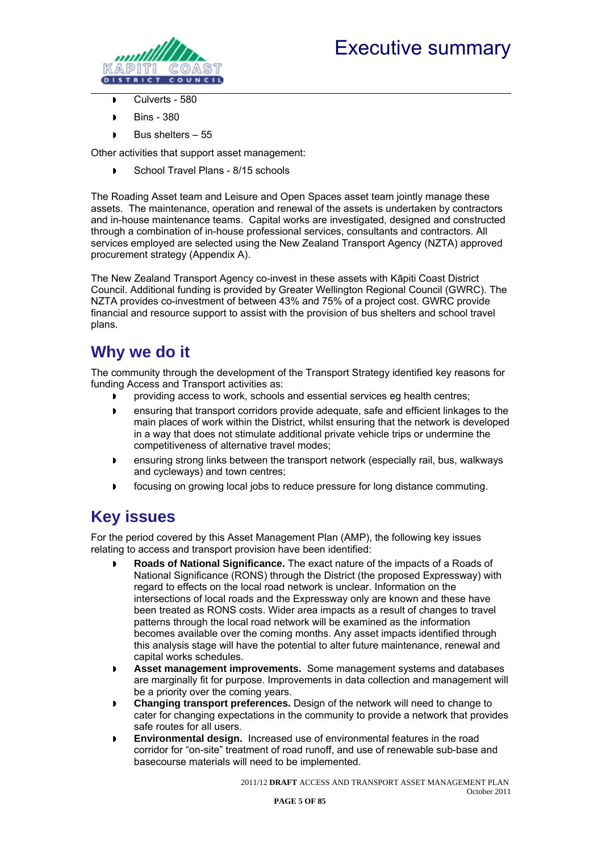

<span id="page-6-0"></span>

- $\overline{\phantom{1}}$  Culverts 580
- Bins 380
- $\triangleright$  Bus shelters 55

Other activities that support asset management:

School Travel Plans - 8/15 schools

The Roading Asset team and Leisure and Open Spaces asset team jointly manage these assets. The maintenance, operation and renewal of the assets is undertaken by contractors and in-house maintenance teams. Capital works are investigated, designed and constructed through a combination of in-house professional services, consultants and contractors. All services employed are selected using the New Zealand Transport Agency (NZTA) approved procurement strategy (Appendix A).

The New Zealand Transport Agency co-invest in these assets with Kāpiti Coast District Council. Additional funding is provided by Greater Wellington Regional Council (GWRC). The NZTA provides co-investment of between 43% and 75% of a project cost. GWRC provide financial and resource support to assist with the provision of bus shelters and school travel plans.

### <span id="page-6-1"></span>**Why we do it**

The community through the development of the Transport Strategy identified key reasons for funding Access and Transport activities as:

- providing access to work, schools and essential services eg health centres;
- ensuring that transport corridors provide adequate, safe and efficient linkages to the main places of work within the District, whilst ensuring that the network is developed in a way that does not stimulate additional private vehicle trips or undermine the competitiveness of alternative travel modes;
- ensuring strong links between the transport network (especially rail, bus, walkways and cycleways) and town centres;
- focusing on growing local jobs to reduce pressure for long distance commuting.

### <span id="page-6-2"></span>**Key issues**

For the period covered by this Asset Management Plan (AMP), the following key issues relating to access and transport provision have been identified:

- **Roads of National Significance.** The exact nature of the impacts of a Roads of National Significance (RONS) through the District (the proposed Expressway) with regard to effects on the local road network is unclear. Information on the intersections of local roads and the Expressway only are known and these have been treated as RONS costs. Wider area impacts as a result of changes to travel patterns through the local road network will be examined as the information becomes available over the coming months. Any asset impacts identified through this analysis stage will have the potential to alter future maintenance, renewal and capital works schedules.
- **Asset management improvements.** Some management systems and databases are marginally fit for purpose. Improvements in data collection and management will be a priority over the coming years.
- **Changing transport preferences.** Design of the network will need to change to cater for changing expectations in the community to provide a network that provides safe routes for all users.
- **Environmental design.** Increased use of environmental features in the road corridor for "on-site" treatment of road runoff, and use of renewable sub-base and basecourse materials will need to be implemented.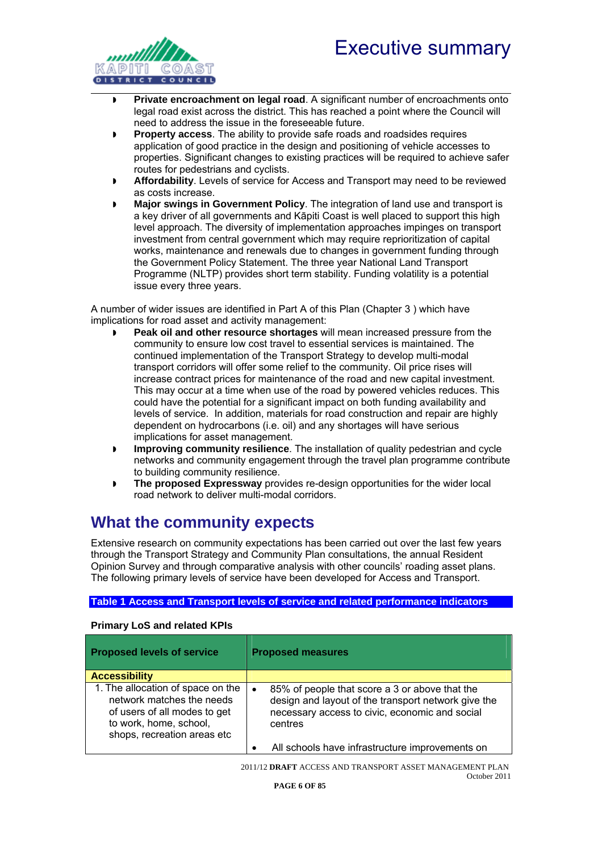## Executive summary

<span id="page-7-0"></span>

- **Private encroachment on legal road**. A significant number of encroachments onto legal road exist across the district. This has reached a point where the Council will need to address the issue in the foreseeable future.
- **Property access**. The ability to provide safe roads and roadsides requires application of good practice in the design and positioning of vehicle accesses to properties. Significant changes to existing practices will be required to achieve safer routes for pedestrians and cyclists.
- **Affordability**. Levels of service for Access and Transport may need to be reviewed as costs increase.
- **Major swings in Government Policy**. The integration of land use and transport is a key driver of all governments and Kāpiti Coast is well placed to support this high level approach. The diversity of implementation approaches impinges on transport investment from central government which may require reprioritization of capital works, maintenance and renewals due to changes in government funding through the Government Policy Statement. The three year National Land Transport Programme (NLTP) provides short term stability. Funding volatility is a potential issue every three years.

A number of wider issues are identified in Part A of this Plan (Chapter 3 ) which have implications for road asset and activity management:

- **Peak oil and other resource shortages** will mean increased pressure from the community to ensure low cost travel to essential services is maintained. The continued implementation of the Transport Strategy to develop multi-modal transport corridors will offer some relief to the community. Oil price rises will increase contract prices for maintenance of the road and new capital investment. This may occur at a time when use of the road by powered vehicles reduces. This could have the potential for a significant impact on both funding availability and levels of service. In addition, materials for road construction and repair are highly dependent on hydrocarbons (i.e. oil) and any shortages will have serious implications for asset management.
- **Improving community resilience**. The installation of quality pedestrian and cycle networks and community engagement through the travel plan programme contribute to building community resilience.
- **The proposed Expressway** provides re-design opportunities for the wider local road network to deliver multi-modal corridors.

### <span id="page-7-1"></span>**What the community expects**

Extensive research on community expectations has been carried out over the last few years through the Transport Strategy and Community Plan consultations, the annual Resident Opinion Survey and through comparative analysis with other councils' roading asset plans. The following primary levels of service have been developed for Access and Transport.

#### <span id="page-7-2"></span>**Table 1 Access and Transport levels of service and related performance indicators**

#### **Primary LoS and related KPIs**

<span id="page-7-3"></span>

| <b>Proposed levels of service</b>                                                                                                                       | <b>Proposed measures</b>                                                                                                                                                        |
|---------------------------------------------------------------------------------------------------------------------------------------------------------|---------------------------------------------------------------------------------------------------------------------------------------------------------------------------------|
| <b>Accessibility</b>                                                                                                                                    |                                                                                                                                                                                 |
| 1. The allocation of space on the<br>network matches the needs<br>of users of all modes to get<br>to work, home, school,<br>shops, recreation areas etc | 85% of people that score a 3 or above that the<br>$\bullet$<br>design and layout of the transport network give the<br>necessary access to civic, economic and social<br>centres |
|                                                                                                                                                         | All schools have infrastructure improvements on                                                                                                                                 |

2011/12 **DRAFT** ACCESS AND TRANSPORT ASSET MANAGEMENT PLAN October 2011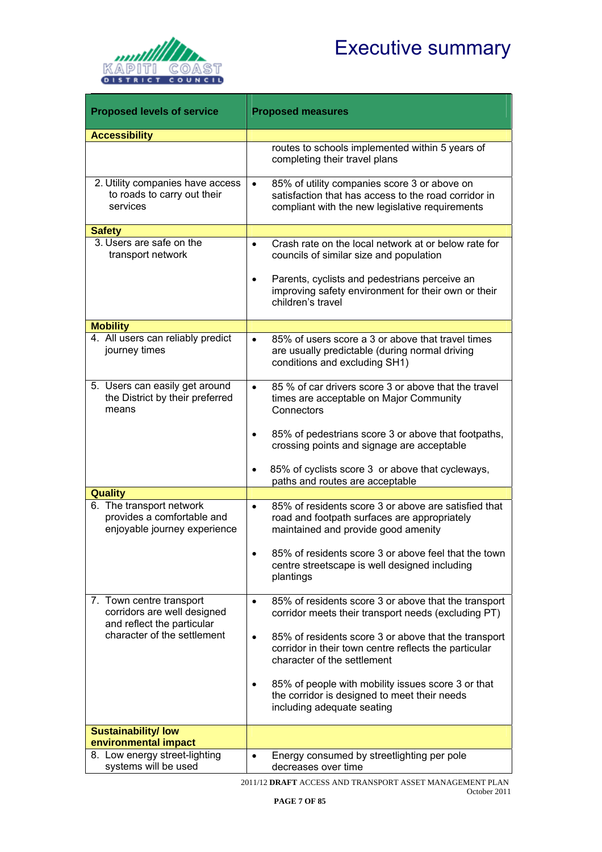

| <b>Proposed levels of service</b>                                                      | <b>Proposed measures</b>                                                                                                                                             |
|----------------------------------------------------------------------------------------|----------------------------------------------------------------------------------------------------------------------------------------------------------------------|
| <b>Accessibility</b>                                                                   |                                                                                                                                                                      |
|                                                                                        | routes to schools implemented within 5 years of<br>completing their travel plans                                                                                     |
| 2. Utility companies have access<br>to roads to carry out their<br>services            | 85% of utility companies score 3 or above on<br>$\bullet$<br>satisfaction that has access to the road corridor in<br>compliant with the new legislative requirements |
| <b>Safety</b>                                                                          |                                                                                                                                                                      |
| 3. Users are safe on the<br>transport network                                          | Crash rate on the local network at or below rate for<br>$\bullet$<br>councils of similar size and population                                                         |
|                                                                                        | Parents, cyclists and pedestrians perceive an<br>improving safety environment for their own or their<br>children's travel                                            |
| <b>Mobility</b>                                                                        |                                                                                                                                                                      |
| 4. All users can reliably predict<br>journey times                                     | 85% of users score a 3 or above that travel times<br>$\bullet$<br>are usually predictable (during normal driving<br>conditions and excluding SH1)                    |
| 5. Users can easily get around<br>the District by their preferred<br>means             | 85 % of car drivers score 3 or above that the travel<br>$\bullet$<br>times are acceptable on Major Community<br>Connectors                                           |
|                                                                                        | 85% of pedestrians score 3 or above that footpaths,<br>crossing points and signage are acceptable                                                                    |
|                                                                                        | 85% of cyclists score 3 or above that cycleways,<br>paths and routes are acceptable                                                                                  |
| <b>Quality</b>                                                                         |                                                                                                                                                                      |
| 6. The transport network<br>provides a comfortable and<br>enjoyable journey experience | 85% of residents score 3 or above are satisfied that<br>$\bullet$<br>road and footpath surfaces are appropriately<br>maintained and provide good amenity             |
|                                                                                        | 85% of residents score 3 or above feel that the town<br>centre streetscape is well designed including<br>plantings                                                   |
| 7. Town centre transport<br>corridors are well designed<br>and reflect the particular  | 85% of residents score 3 or above that the transport<br>$\bullet$<br>corridor meets their transport needs (excluding PT)                                             |
| character of the settlement                                                            | 85% of residents score 3 or above that the transport<br>$\bullet$<br>corridor in their town centre reflects the particular<br>character of the settlement            |
|                                                                                        | 85% of people with mobility issues score 3 or that<br>$\bullet$<br>the corridor is designed to meet their needs<br>including adequate seating                        |
| <b>Sustainability/ low</b>                                                             |                                                                                                                                                                      |
| environmental impact                                                                   |                                                                                                                                                                      |
| 8. Low energy street-lighting<br>systems will be used                                  | Energy consumed by streetlighting per pole<br>decreases over time                                                                                                    |

2011/12 **DRAFT** ACCESS AND TRANSPORT ASSET MANAGEMENT PLAN October 2011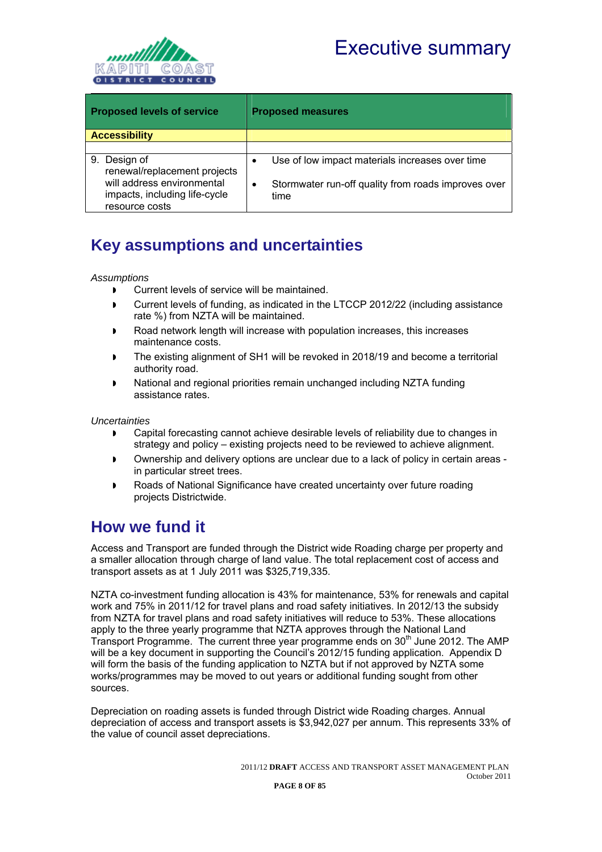

<span id="page-9-0"></span>

| <b>Proposed levels of service</b>                                             | <b>Proposed measures</b>                                         |  |  |  |  |  |
|-------------------------------------------------------------------------------|------------------------------------------------------------------|--|--|--|--|--|
| <b>Accessibility</b>                                                          |                                                                  |  |  |  |  |  |
|                                                                               |                                                                  |  |  |  |  |  |
| Design of<br>9.<br>renewal/replacement projects                               | Use of low impact materials increases over time<br>٠             |  |  |  |  |  |
| will address environmental<br>impacts, including life-cycle<br>resource costs | Stormwater run-off quality from roads improves over<br>٠<br>time |  |  |  |  |  |

### <span id="page-9-1"></span>**Key assumptions and uncertainties**

#### *Assumptions*

- **D** Current levels of service will be maintained.
- Current levels of funding, as indicated in the LTCCP 2012/22 (including assistance rate %) from NZTA will be maintained.
- Road network length will increase with population increases, this increases maintenance costs.
- The existing alignment of SH1 will be revoked in 2018/19 and become a territorial authority road.
- National and regional priorities remain unchanged including NZTA funding assistance rates.

*Uncertainties* 

- Capital forecasting cannot achieve desirable levels of reliability due to changes in strategy and policy – existing projects need to be reviewed to achieve alignment.
- Ownership and delivery options are unclear due to a lack of policy in certain areas in particular street trees.
- Roads of National Significance have created uncertainty over future roading projects Districtwide.

### <span id="page-9-2"></span>**How we fund it**

Access and Transport are funded through the District wide Roading charge per property and a smaller allocation through charge of land value. The total replacement cost of access and transport assets as at 1 July 2011 was \$325,719,335.

NZTA co-investment funding allocation is 43% for maintenance, 53% for renewals and capital work and 75% in 2011/12 for travel plans and road safety initiatives. In 2012/13 the subsidy from NZTA for travel plans and road safety initiatives will reduce to 53%. These allocations apply to the three yearly programme that NZTA approves through the National Land Transport Programme. The current three year programme ends on 30<sup>th</sup> June 2012. The AMP will be a key document in supporting the Council's 2012/15 funding application. Appendix D will form the basis of the funding application to NZTA but if not approved by NZTA some works/programmes may be moved to out years or additional funding sought from other sources.

Depreciation on roading assets is funded through District wide Roading charges. Annual depreciation of access and transport assets is \$3,942,027 per annum. This represents 33% of the value of council asset depreciations.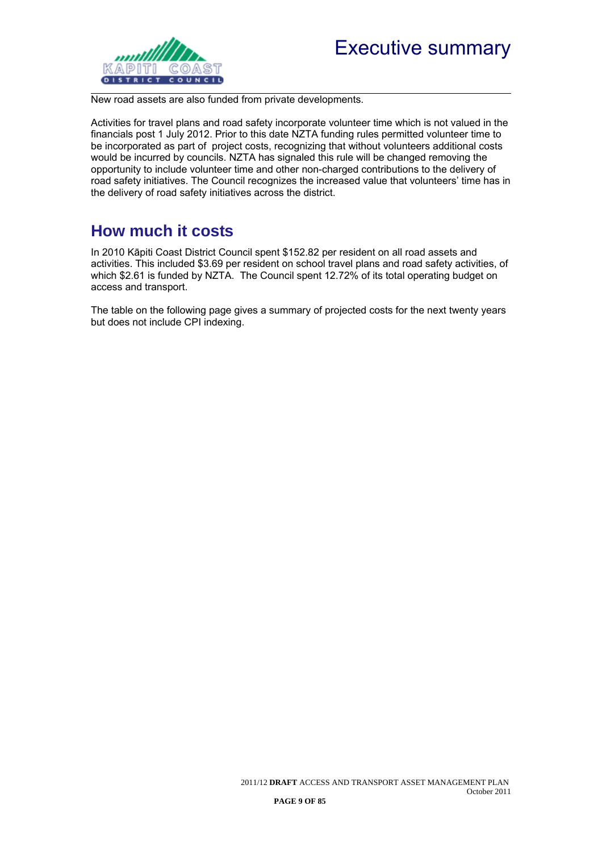<span id="page-10-0"></span>

New road assets are also funded from private developments.

Activities for travel plans and road safety incorporate volunteer time which is not valued in the financials post 1 July 2012. Prior to this date NZTA funding rules permitted volunteer time to be incorporated as part of project costs, recognizing that without volunteers additional costs would be incurred by councils. NZTA has signaled this rule will be changed removing the opportunity to include volunteer time and other non-charged contributions to the delivery of road safety initiatives. The Council recognizes the increased value that volunteers' time has in the delivery of road safety initiatives across the district.

### <span id="page-10-1"></span>**How much it costs**

In 2010 Kāpiti Coast District Council spent \$152.82 per resident on all road assets and activities. This included \$3.69 per resident on school travel plans and road safety activities, of which \$2.61 is funded by NZTA. The Council spent 12.72% of its total operating budget on access and transport.

The table on the following page gives a summary of projected costs for the next twenty years but does not include CPI indexing.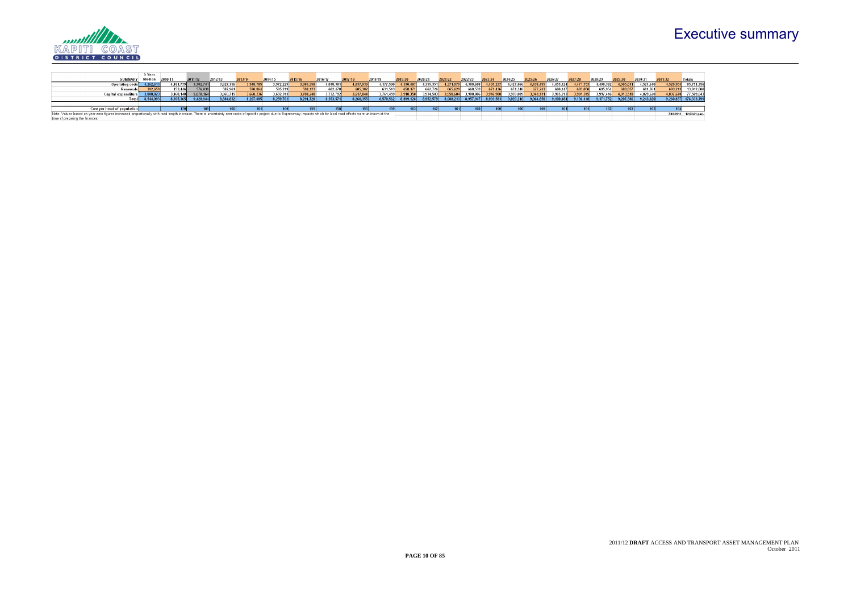# Executive summary



|                                                                                                                                                                                                                            | 5 Year    |           |           |           |          |           |           |           |           |           |           |           |           |           |           |           |           |           |           |           |           |                  |           |                         |
|----------------------------------------------------------------------------------------------------------------------------------------------------------------------------------------------------------------------------|-----------|-----------|-----------|-----------|----------|-----------|-----------|-----------|-----------|-----------|-----------|-----------|-----------|-----------|-----------|-----------|-----------|-----------|-----------|-----------|-----------|------------------|-----------|-------------------------|
| <b>SUMMARY</b>                                                                                                                                                                                                             | Median    | 2010/11   | 2011/12   | 2012/13   | 2013/14  | 2014/15   | 2015/16   | 2016/17   | 2017/18   | 2018/19   | 2019/20   | 2020/2    | 2021/22   | 2022/23   |           | 2024/25   | 2025/26   | 2026/27   | 2027/28   | 2028/29   |           | 2030/31          | 2031/32   | Total                   |
| <b>Operating costs</b>                                                                                                                                                                                                     | 4,262,611 | 4,481,779 | 3,782,741 | 3.927.156 | 3.948.78 | 3.972.229 | 3,985,358 | 4,018,30  | 4,037,930 | 4,177,590 | 4,330,407 | 4,355,351 | 4.371.979 | 4,388,608 | 4,405,237 | 4,421,866 | 4,438,495 | 4,455,124 | 4,471,753 | 4,488,382 | 4,505,011 | 4,521,640        | 4,529,954 | 85,751,156              |
| Renewals                                                                                                                                                                                                                   |           | 453,446   | 576.03.   | 587,961   |          | 595,219   | 598,123   | 602,478   | 605,382   | 631,513   | 658,371   | 662,726   | 665,629   | 668,533   | 671,436   | 674,340   | 677.243   | 680,147   | 683,050   | 685,954   | 688,857   | 691.761          | 693,213   | 13,012,800              |
| Capital expenditure                                                                                                                                                                                                        | 3.888.87  | 3.460.140 | 5,070,16  | 3.869.715 | 3.668.23 | 3.692.313 | 3.708.240 | 3.732.792 | 3.617.044 | 3.761.459 | 3.910.350 | 3.934.503 | 3.950.604 | 3.900.806 | 3.916.908 | 3.933.009 | 3,949,111 | 3.965.213 | 3.981.315 | 3.997.416 | 4.013.518 | 4.029.620        | 4,037,670 | 77,569,843              |
| Total                                                                                                                                                                                                                      | 8.544.093 | 8.395.36  | 9.428.944 | 8.384.832 | 8.207.88 | 8.259.76  | 8.291.720 | 8.353.57  | 8.260.355 | 8.570.562 | 8.899.128 | 8.952.579 | 8.988.213 | 8.957.947 | 8.993.581 | 9.029.216 | 9.064.850 | 9.100.484 | 9.136.118 | 9.171.752 | 9.207.386 | 9.243.020        |           | 9,260,837 176,333,799   |
|                                                                                                                                                                                                                            |           |           |           |           |          |           |           |           |           |           |           |           |           |           |           |           |           |           |           |           |           |                  |           |                         |
| <b>Cost per head of population</b>                                                                                                                                                                                         |           |           |           |           |          |           |           |           |           |           |           |           |           |           |           |           |           |           |           |           | 1631      | 163 <sub>1</sub> |           |                         |
| Note: Values based on year zero figures increased proportionally with road length increase. There is uncertainty over costs of specific project due to Expressway impacts which for local road effects were unknown at the |           |           |           |           |          |           |           |           |           |           |           |           |           |           |           |           |           |           |           |           |           |                  |           | 7/10/2011 12:53:21 p.m. |
| time of preparing the finances.                                                                                                                                                                                            |           |           |           |           |          |           |           |           |           |           |           |           |           |           |           |           |           |           |           |           |           |                  |           |                         |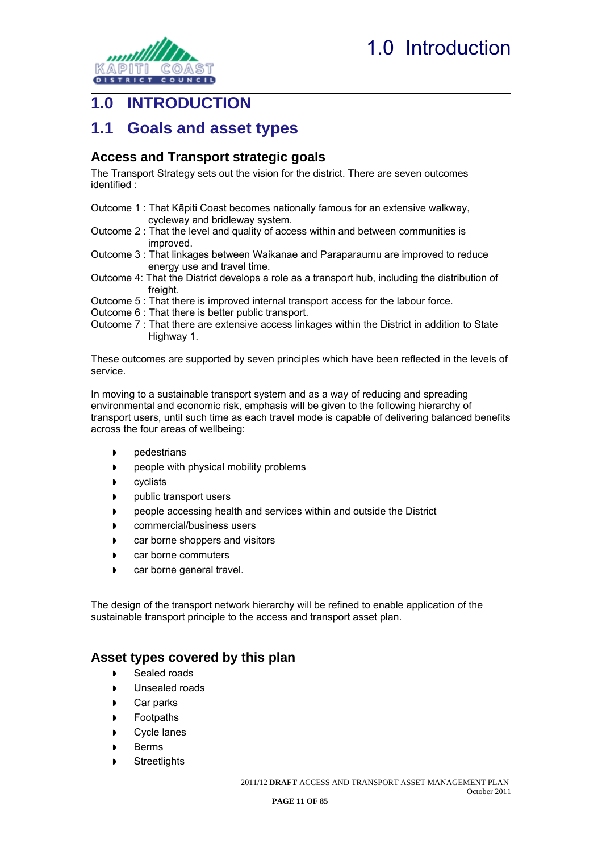<span id="page-12-0"></span>

### <span id="page-12-1"></span>**1.0 INTRODUCTION**

### <span id="page-12-2"></span>**1.1 Goals and asset types**

### <span id="page-12-3"></span>**Access and Transport strategic goals**

The Transport Strategy sets out the vision for the district. There are seven outcomes identified :

- Outcome 1 : That Kāpiti Coast becomes nationally famous for an extensive walkway, cycleway and bridleway system.
- Outcome 2 : That the level and quality of access within and between communities is improved.
- Outcome 3 : That linkages between Waikanae and Paraparaumu are improved to reduce energy use and travel time.
- Outcome 4: That the District develops a role as a transport hub, including the distribution of freight.
- Outcome 5 : That there is improved internal transport access for the labour force.
- Outcome 6 : That there is better public transport.
- Outcome 7 : That there are extensive access linkages within the District in addition to State Highway 1.

These outcomes are supported by seven principles which have been reflected in the levels of service.

In moving to a sustainable transport system and as a way of reducing and spreading environmental and economic risk, emphasis will be given to the following hierarchy of transport users, until such time as each travel mode is capable of delivering balanced benefits across the four areas of wellbeing:

- **p**edestrians
- **people with physical mobility problems**
- **D** cyclists
- **p** public transport users
- people accessing health and services within and outside the District
- **D** commercial/business users
- **D** car borne shoppers and visitors
- **D** car borne commuters
- **D** car borne general travel.

The design of the transport network hierarchy will be refined to enable application of the sustainable transport principle to the access and transport asset plan.

### <span id="page-12-4"></span>**Asset types covered by this plan**

- Sealed roads
- **I** Unsealed roads
- Car parks
- **Footpaths**
- Cycle lanes
- Berms
- **Streetlights**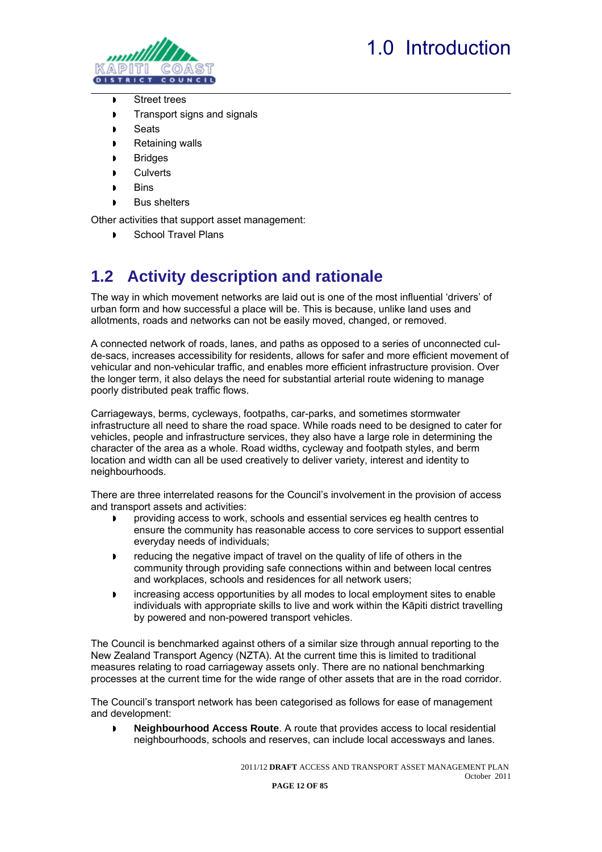

<span id="page-13-0"></span>

- Street trees
- Transport signs and signals
- **D** Seats
- **Retaining walls**
- **Bridges**
- **Culverts**
- **Bins**
- Bus shelters

Other activities that support asset management:

School Travel Plans

## <span id="page-13-1"></span>**1.2 Activity description and rationale**

The way in which movement networks are laid out is one of the most influential 'drivers' of urban form and how successful a place will be. This is because, unlike land uses and allotments, roads and networks can not be easily moved, changed, or removed.

A connected network of roads, lanes, and paths as opposed to a series of unconnected culde-sacs, increases accessibility for residents, allows for safer and more efficient movement of vehicular and non-vehicular traffic, and enables more efficient infrastructure provision. Over the longer term, it also delays the need for substantial arterial route widening to manage poorly distributed peak traffic flows.

Carriageways, berms, cycleways, footpaths, car-parks, and sometimes stormwater infrastructure all need to share the road space. While roads need to be designed to cater for vehicles, people and infrastructure services, they also have a large role in determining the character of the area as a whole. Road widths, cycleway and footpath styles, and berm location and width can all be used creatively to deliver variety, interest and identity to neighbourhoods.

There are three interrelated reasons for the Council's involvement in the provision of access and transport assets and activities:

- providing access to work, schools and essential services eg health centres to ensure the community has reasonable access to core services to support essential everyday needs of individuals;
- reducing the negative impact of travel on the quality of life of others in the community through providing safe connections within and between local centres and workplaces, schools and residences for all network users;
- increasing access opportunities by all modes to local employment sites to enable individuals with appropriate skills to live and work within the Kāpiti district travelling by powered and non-powered transport vehicles.

The Council is benchmarked against others of a similar size through annual reporting to the New Zealand Transport Agency (NZTA). At the current time this is limited to traditional measures relating to road carriageway assets only. There are no national benchmarking processes at the current time for the wide range of other assets that are in the road corridor.

The Council's transport network has been categorised as follows for ease of management and development:

 **Neighbourhood Access Route**. A route that provides access to local residential neighbourhoods, schools and reserves, can include local accessways and lanes.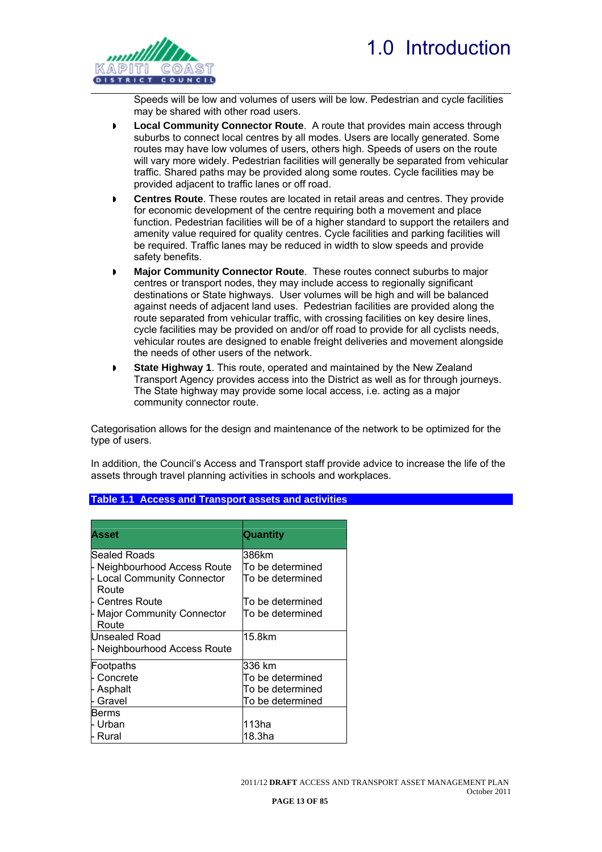<span id="page-14-0"></span>

Speeds will be low and volumes of users will be low. Pedestrian and cycle facilities may be shared with other road users.

- **Local Community Connector Route**. A route that provides main access through suburbs to connect local centres by all modes. Users are locally generated. Some routes may have low volumes of users, others high. Speeds of users on the route will vary more widely. Pedestrian facilities will generally be separated from vehicular traffic. Shared paths may be provided along some routes. Cycle facilities may be provided adjacent to traffic lanes or off road.
- **Centres Route**. These routes are located in retail areas and centres. They provide for economic development of the centre requiring both a movement and place function. Pedestrian facilities will be of a higher standard to support the retailers and amenity value required for quality centres. Cycle facilities and parking facilities will be required. Traffic lanes may be reduced in width to slow speeds and provide safety benefits.
- **Major Community Connector Route**. These routes connect suburbs to major centres or transport nodes, they may include access to regionally significant destinations or State highways. User volumes will be high and will be balanced against needs of adjacent land uses. Pedestrian facilities are provided along the route separated from vehicular traffic, with crossing facilities on key desire lines, cycle facilities may be provided on and/or off road to provide for all cyclists needs, vehicular routes are designed to enable freight deliveries and movement alongside the needs of other users of the network.
- **State Highway 1**. This route, operated and maintained by the New Zealand Transport Agency provides access into the District as well as for through journeys. The State highway may provide some local access, i.e. acting as a major community connector route.

Categorisation allows for the design and maintenance of the network to be optimized for the type of users.

In addition, the Council's Access and Transport staff provide advice to increase the life of the assets through travel planning activities in schools and workplaces.

| Asset                                     | Quantity         |
|-------------------------------------------|------------------|
|                                           |                  |
| Sealed Roads                              | 386km            |
| Neighbourhood Access Route                | To be determined |
| <b>Local Community Connector</b><br>Route | To be determined |
| - Centres Route                           | To be determined |
| <b>Major Community Connector</b>          | To be determined |
| Route                                     |                  |
| Unsealed Road                             | 15.8km           |
| - Neighbourhood Access Route              |                  |
| Footpaths                                 | 336 km           |
| Concrete                                  | To be determined |
| Asphalt                                   | To be determined |
| Gravel                                    | To be determined |
| Berms                                     |                  |
| Urban                                     | 113ha            |
| Rural                                     | 18.3ha           |

#### <span id="page-14-1"></span>**Table 1.1 Access and Transport assets and activities**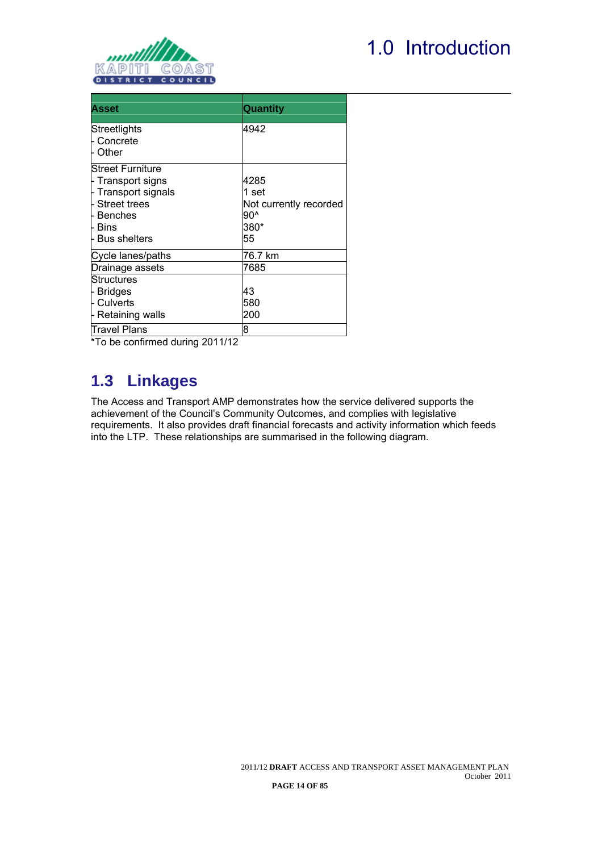<span id="page-15-0"></span>

# 1.0 Introduction

| <b>Asset</b>                                                                                                             | Quantity                                                     |
|--------------------------------------------------------------------------------------------------------------------------|--------------------------------------------------------------|
| Streetlights<br>- Concrete<br><b>Other</b>                                                                               | 4942                                                         |
| Street Furniture<br>F Transport signs<br>F Transport signals<br>- Street trees<br>l- Benches<br>ե Bins<br>- Bus shelters | 4285<br>1 set<br>Not currently recorded<br>90^<br>380*<br>55 |
| Cycle lanes/paths                                                                                                        | 76.7 km                                                      |
| Drainage assets                                                                                                          | 7685                                                         |
| Structures<br>⊦ Bridges<br>- Culverts<br>- Retaining walls                                                               | 43<br>580<br>200                                             |
| Travel Plans                                                                                                             | 8                                                            |

\*To be confirmed during 2011/12

### <span id="page-15-1"></span>**1.3 Linkages**

The Access and Transport AMP demonstrates how the service delivered supports the achievement of the Council's Community Outcomes, and complies with legislative requirements. It also provides draft financial forecasts and activity information which feeds into the LTP. These relationships are summarised in the following diagram.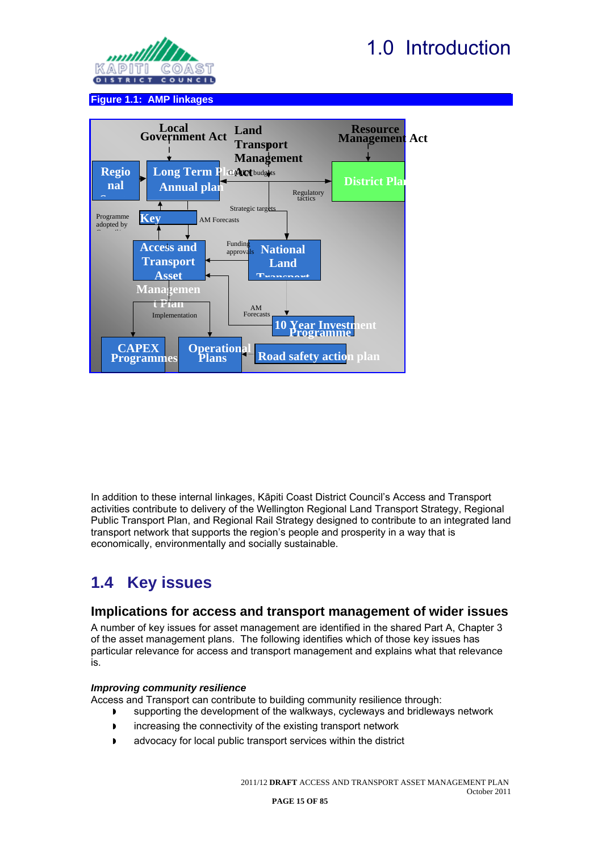

<span id="page-16-0"></span>

#### **Figure 1.1: AMP linkages**

<span id="page-16-1"></span>

In addition to these internal linkages, Kāpiti Coast District Council's Access and Transport activities contribute to delivery of the Wellington Regional Land Transport Strategy, Regional Public Transport Plan, and Regional Rail Strategy designed to contribute to an integrated land transport network that supports the region's people and prosperity in a way that is economically, environmentally and socially sustainable.

### <span id="page-16-2"></span>**1.4 Key issues**

#### <span id="page-16-3"></span>**Implications for access and transport management of wider issues**

A number of key issues for asset management are identified in the shared Part A, Chapter 3 of the asset management plans. The following identifies which of those key issues has particular relevance for access and transport management and explains what that relevance is.

#### *Improving community resilience*

Access and Transport can contribute to building community resilience through:

- **D** supporting the development of the walkways, cycleways and bridleways network
- **image 1** increasing the connectivity of the existing transport network
- advocacy for local public transport services within the district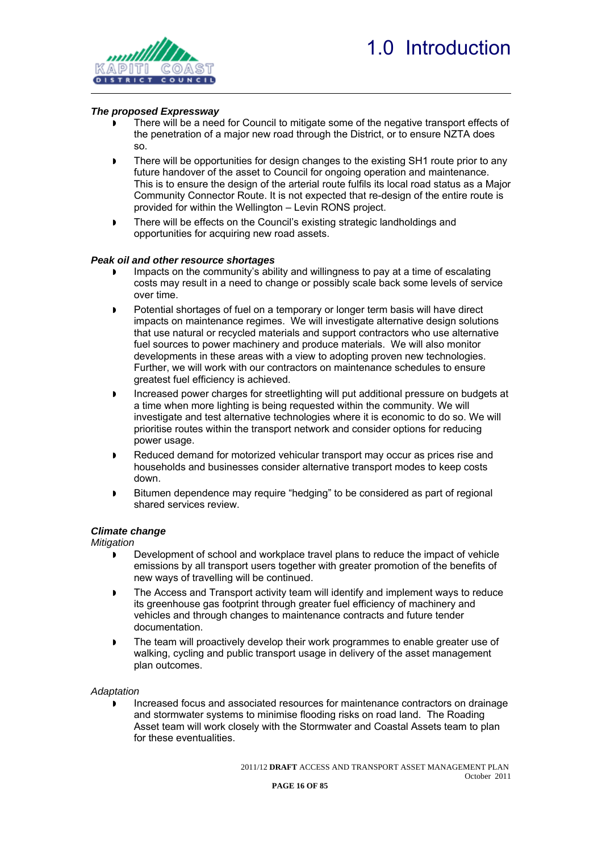

#### *The proposed Expressway*

- There will be a need for Council to mitigate some of the negative transport effects of the penetration of a major new road through the District, or to ensure NZTA does so.
- There will be opportunities for design changes to the existing SH1 route prior to any future handover of the asset to Council for ongoing operation and maintenance. This is to ensure the design of the arterial route fulfils its local road status as a Major Community Connector Route. It is not expected that re-design of the entire route is provided for within the Wellington – Levin RONS project.
- **There will be effects on the Council's existing strategic landholdings and** opportunities for acquiring new road assets.

#### *Peak oil and other resource shortages*

- Impacts on the community's ability and willingness to pay at a time of escalating costs may result in a need to change or possibly scale back some levels of service over time.
- Potential shortages of fuel on a temporary or longer term basis will have direct impacts on maintenance regimes. We will investigate alternative design solutions that use natural or recycled materials and support contractors who use alternative fuel sources to power machinery and produce materials. We will also monitor developments in these areas with a view to adopting proven new technologies. Further, we will work with our contractors on maintenance schedules to ensure greatest fuel efficiency is achieved.
- Increased power charges for streetlighting will put additional pressure on budgets at a time when more lighting is being requested within the community. We will investigate and test alternative technologies where it is economic to do so. We will prioritise routes within the transport network and consider options for reducing power usage.
- **Reduced demand for motorized vehicular transport may occur as prices rise and** households and businesses consider alternative transport modes to keep costs down.
- **Bitumen dependence may require "hedging" to be considered as part of regional** shared services review.

#### *Climate change*

*Mitigation* 

- Development of school and workplace travel plans to reduce the impact of vehicle emissions by all transport users together with greater promotion of the benefits of new ways of travelling will be continued.
- The Access and Transport activity team will identify and implement ways to reduce its greenhouse gas footprint through greater fuel efficiency of machinery and vehicles and through changes to maintenance contracts and future tender documentation.
- **The team will proactively develop their work programmes to enable greater use of** walking, cycling and public transport usage in delivery of the asset management plan outcomes.

*Adaptation* 

 Increased focus and associated resources for maintenance contractors on drainage and stormwater systems to minimise flooding risks on road land. The Roading Asset team will work closely with the Stormwater and Coastal Assets team to plan for these eventualities.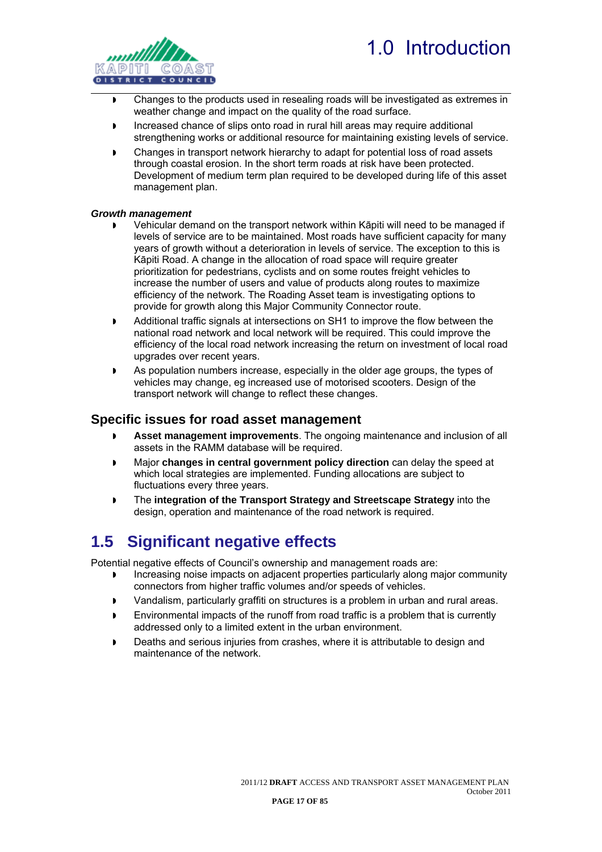

<span id="page-18-0"></span>

- Changes to the products used in resealing roads will be investigated as extremes in weather change and impact on the quality of the road surface.
- Increased chance of slips onto road in rural hill areas may require additional strengthening works or additional resource for maintaining existing levels of service.
- Changes in transport network hierarchy to adapt for potential loss of road assets through coastal erosion. In the short term roads at risk have been protected. Development of medium term plan required to be developed during life of this asset management plan.

#### *Growth management*

- Vehicular demand on the transport network within Kāpiti will need to be managed if levels of service are to be maintained. Most roads have sufficient capacity for many years of growth without a deterioration in levels of service. The exception to this is Kāpiti Road. A change in the allocation of road space will require greater prioritization for pedestrians, cyclists and on some routes freight vehicles to increase the number of users and value of products along routes to maximize efficiency of the network. The Roading Asset team is investigating options to provide for growth along this Major Community Connector route.
- Additional traffic signals at intersections on SH1 to improve the flow between the national road network and local network will be required. This could improve the efficiency of the local road network increasing the return on investment of local road upgrades over recent years.
- As population numbers increase, especially in the older age groups, the types of vehicles may change, eg increased use of motorised scooters. Design of the transport network will change to reflect these changes.

### <span id="page-18-1"></span>**Specific issues for road asset management**

- **Asset management improvements**. The ongoing maintenance and inclusion of all assets in the RAMM database will be required.
- Major **changes in central government policy direction** can delay the speed at which local strategies are implemented. Funding allocations are subject to fluctuations every three years.
- The **integration of the Transport Strategy and Streetscape Strategy** into the design, operation and maintenance of the road network is required.

### <span id="page-18-2"></span>**1.5 Significant negative effects**

Potential negative effects of Council's ownership and management roads are:

- Increasing noise impacts on adjacent properties particularly along major community connectors from higher traffic volumes and/or speeds of vehicles.
- Vandalism, particularly graffiti on structures is a problem in urban and rural areas.
- Environmental impacts of the runoff from road traffic is a problem that is currently addressed only to a limited extent in the urban environment.
- Deaths and serious injuries from crashes, where it is attributable to design and maintenance of the network.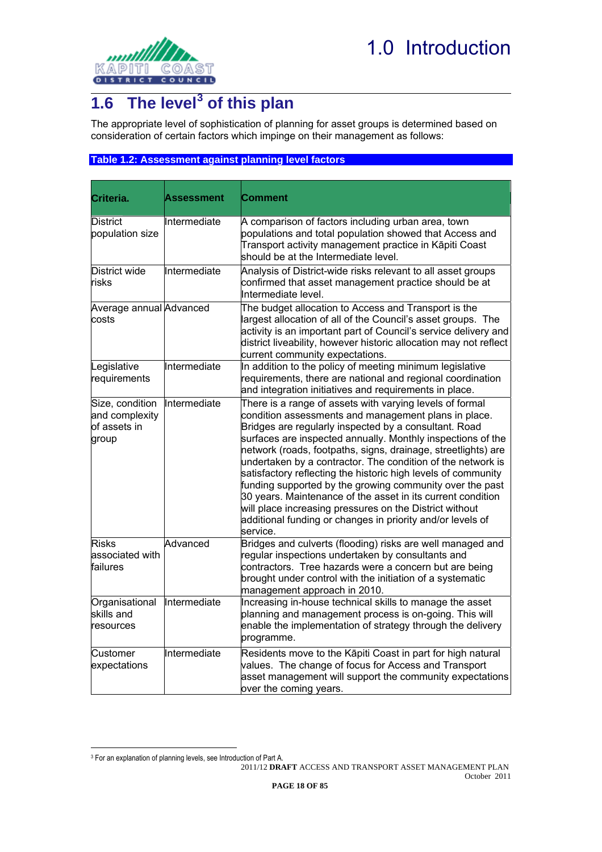<span id="page-19-0"></span>

## <span id="page-19-1"></span>**1.6 The level[3](#page-19-3) of this plan**

The appropriate level of sophistication of planning for asset groups is determined based on consideration of certain factors which impinge on their management as follows:

#### <span id="page-19-2"></span>**Table 1.2: Assessment against planning level factors**

| Criteria.                                                  | Assessment   | Comment                                                                                                                                                                                                                                                                                                                                                                                                                                                                                                                                                                                                                                                                                                   |
|------------------------------------------------------------|--------------|-----------------------------------------------------------------------------------------------------------------------------------------------------------------------------------------------------------------------------------------------------------------------------------------------------------------------------------------------------------------------------------------------------------------------------------------------------------------------------------------------------------------------------------------------------------------------------------------------------------------------------------------------------------------------------------------------------------|
| District<br>population size                                | Intermediate | A comparison of factors including urban area, town<br>populations and total population showed that Access and<br>Transport activity management practice in Kāpiti Coast<br>should be at the Intermediate level.                                                                                                                                                                                                                                                                                                                                                                                                                                                                                           |
| District wide<br>risks                                     | Intermediate | Analysis of District-wide risks relevant to all asset groups<br>confirmed that asset management practice should be at<br>Intermediate level.                                                                                                                                                                                                                                                                                                                                                                                                                                                                                                                                                              |
| Average annual Advanced<br>costs                           |              | The budget allocation to Access and Transport is the<br>largest allocation of all of the Council's asset groups. The<br>activity is an important part of Council's service delivery and<br>district liveability, however historic allocation may not reflect<br>current community expectations.                                                                                                                                                                                                                                                                                                                                                                                                           |
| Legislative<br>requirements                                | Intermediate | In addition to the policy of meeting minimum legislative<br>requirements, there are national and regional coordination<br>and integration initiatives and requirements in place.                                                                                                                                                                                                                                                                                                                                                                                                                                                                                                                          |
| Size, condition<br>and complexity<br>of assets in<br>group | Intermediate | There is a range of assets with varying levels of formal<br>condition assessments and management plans in place.<br>Bridges are regularly inspected by a consultant. Road<br>surfaces are inspected annually. Monthly inspections of the<br>network (roads, footpaths, signs, drainage, streetlights) are<br>undertaken by a contractor. The condition of the network is<br>satisfactory reflecting the historic high levels of community<br>funding supported by the growing community over the past<br>30 years. Maintenance of the asset in its current condition<br>will place increasing pressures on the District without<br>additional funding or changes in priority and/or levels of<br>service. |
| <b>Risks</b><br>associated with<br>failures                | Advanced     | Bridges and culverts (flooding) risks are well managed and<br>regular inspections undertaken by consultants and<br>contractors. Tree hazards were a concern but are being<br>brought under control with the initiation of a systematic<br>management approach in 2010.                                                                                                                                                                                                                                                                                                                                                                                                                                    |
| Organisational<br>skills and<br>resources                  | Intermediate | Increasing in-house technical skills to manage the asset<br>planning and management process is on-going. This will<br>enable the implementation of strategy through the delivery<br>programme.                                                                                                                                                                                                                                                                                                                                                                                                                                                                                                            |
| Customer<br>expectations                                   | Intermediate | Residents move to the Kāpiti Coast in part for high natural<br>values. The change of focus for Access and Transport<br>asset management will support the community expectations<br>over the coming years.                                                                                                                                                                                                                                                                                                                                                                                                                                                                                                 |

 $\overline{a}$ 

2011/12 **DRAFT** ACCESS AND TRANSPORT ASSET MANAGEMENT PLAN

<span id="page-19-3"></span><sup>3</sup> For an explanation of planning levels, see Introduction of Part A.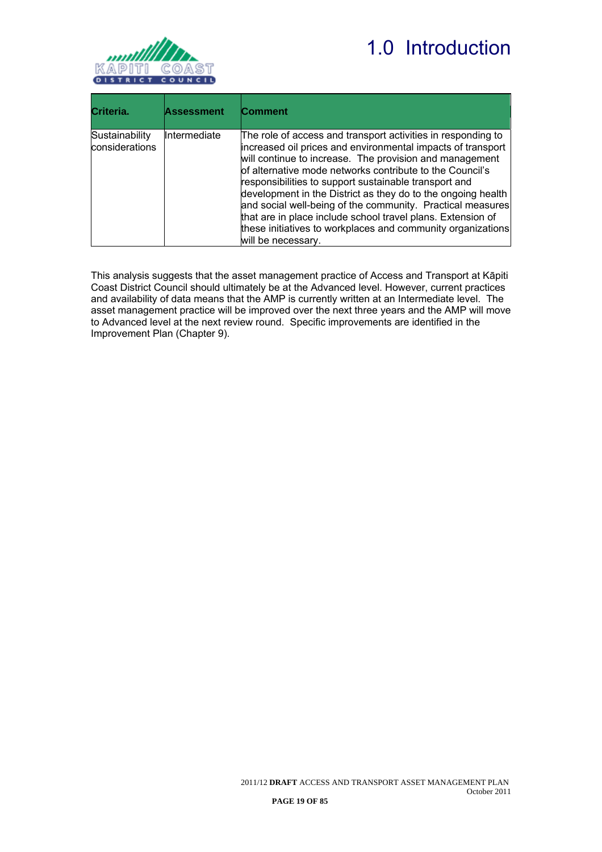# 1.0 Introduction



| Criteria.                        | <b>Assessment</b> | <b>Comment</b>                                                                                                                                                                                                                                                                                                                                                                                                                                                                                                                                                                                |
|----------------------------------|-------------------|-----------------------------------------------------------------------------------------------------------------------------------------------------------------------------------------------------------------------------------------------------------------------------------------------------------------------------------------------------------------------------------------------------------------------------------------------------------------------------------------------------------------------------------------------------------------------------------------------|
| Sustainability<br>considerations | Intermediate      | The role of access and transport activities in responding to<br>increased oil prices and environmental impacts of transport<br>will continue to increase. The provision and management<br>of alternative mode networks contribute to the Council's<br>responsibilities to support sustainable transport and<br>development in the District as they do to the ongoing health<br>and social well-being of the community. Practical measures<br>that are in place include school travel plans. Extension of<br>these initiatives to workplaces and community organizations<br>will be necessary. |

This analysis suggests that the asset management practice of Access and Transport at Kāpiti Coast District Council should ultimately be at the Advanced level. However, current practices and availability of data means that the AMP is currently written at an Intermediate level. The asset management practice will be improved over the next three years and the AMP will move to Advanced level at the next review round. Specific improvements are identified in the Improvement Plan (Chapter 9).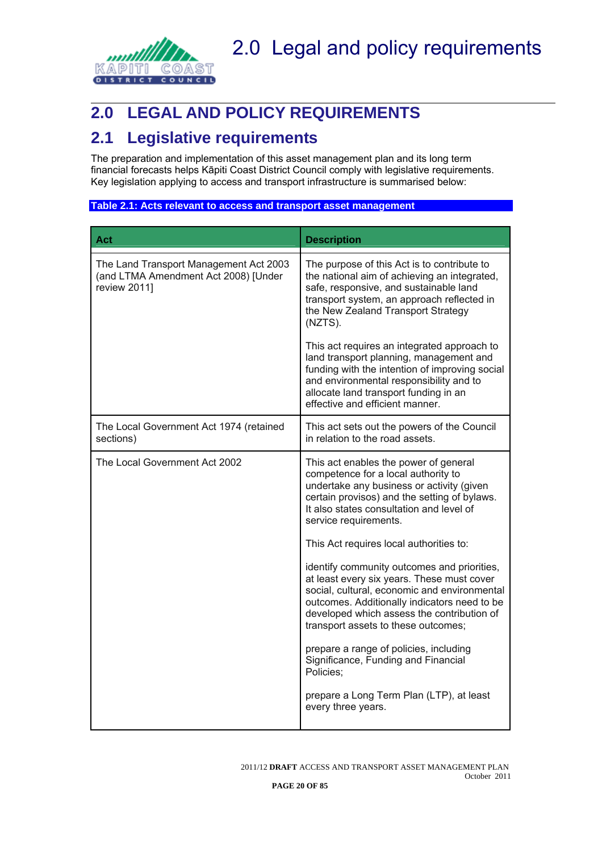<span id="page-21-0"></span>

## <span id="page-21-1"></span>**2.0 LEGAL AND POLICY REQUIREMENTS**

### <span id="page-21-2"></span>**2.1 Legislative requirements**

The preparation and implementation of this asset management plan and its long term financial forecasts helps Kāpiti Coast District Council comply with legislative requirements. Key legislation applying to access and transport infrastructure is summarised below:

#### <span id="page-21-3"></span>**Table 2.1: Acts relevant to access and transport asset management**

| Act                                                                                            | <b>Description</b>                                                                                                                                                                                                                                                             |  |  |  |  |  |  |
|------------------------------------------------------------------------------------------------|--------------------------------------------------------------------------------------------------------------------------------------------------------------------------------------------------------------------------------------------------------------------------------|--|--|--|--|--|--|
| The Land Transport Management Act 2003<br>(and LTMA Amendment Act 2008) [Under<br>review 2011] | The purpose of this Act is to contribute to<br>the national aim of achieving an integrated,<br>safe, responsive, and sustainable land<br>transport system, an approach reflected in<br>the New Zealand Transport Strategy<br>(NZTS).                                           |  |  |  |  |  |  |
|                                                                                                | This act requires an integrated approach to<br>land transport planning, management and<br>funding with the intention of improving social<br>and environmental responsibility and to<br>allocate land transport funding in an<br>effective and efficient manner.                |  |  |  |  |  |  |
| The Local Government Act 1974 (retained<br>sections)                                           | This act sets out the powers of the Council<br>in relation to the road assets.                                                                                                                                                                                                 |  |  |  |  |  |  |
| The Local Government Act 2002                                                                  | This act enables the power of general<br>competence for a local authority to<br>undertake any business or activity (given<br>certain provisos) and the setting of bylaws.<br>It also states consultation and level of<br>service requirements.                                 |  |  |  |  |  |  |
|                                                                                                | This Act requires local authorities to:                                                                                                                                                                                                                                        |  |  |  |  |  |  |
|                                                                                                | identify community outcomes and priorities,<br>at least every six years. These must cover<br>social, cultural, economic and environmental<br>outcomes. Additionally indicators need to be<br>developed which assess the contribution of<br>transport assets to these outcomes; |  |  |  |  |  |  |
|                                                                                                | prepare a range of policies, including<br>Significance, Funding and Financial<br>Policies:                                                                                                                                                                                     |  |  |  |  |  |  |
|                                                                                                | prepare a Long Term Plan (LTP), at least<br>every three years.                                                                                                                                                                                                                 |  |  |  |  |  |  |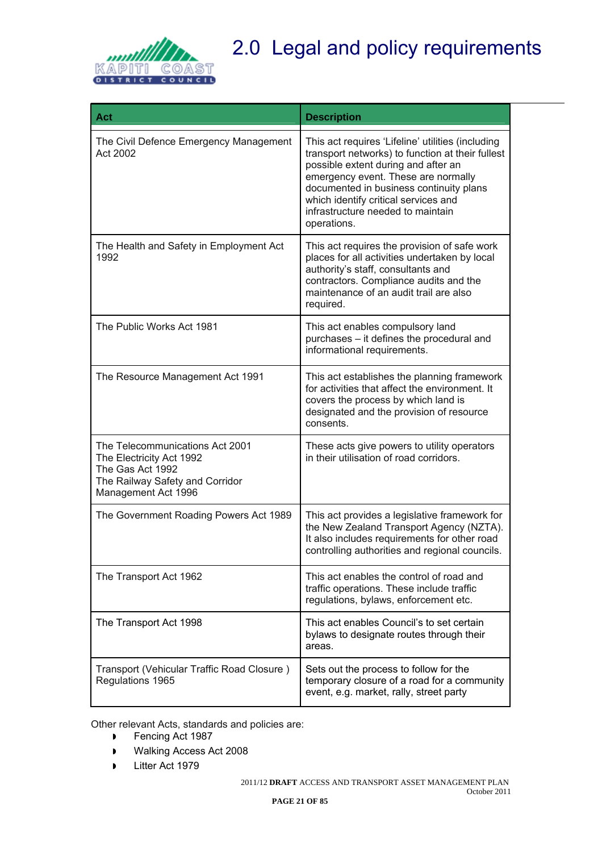

# 2.0 Legal and policy requirements

| Act                                                                                                                                       | <b>Description</b>                                                                                                                                                                                                                                                                                                         |
|-------------------------------------------------------------------------------------------------------------------------------------------|----------------------------------------------------------------------------------------------------------------------------------------------------------------------------------------------------------------------------------------------------------------------------------------------------------------------------|
| The Civil Defence Emergency Management<br>Act 2002                                                                                        | This act requires 'Lifeline' utilities (including<br>transport networks) to function at their fullest<br>possible extent during and after an<br>emergency event. These are normally<br>documented in business continuity plans<br>which identify critical services and<br>infrastructure needed to maintain<br>operations. |
| The Health and Safety in Employment Act<br>1992                                                                                           | This act requires the provision of safe work<br>places for all activities undertaken by local<br>authority's staff, consultants and<br>contractors. Compliance audits and the<br>maintenance of an audit trail are also<br>required.                                                                                       |
| The Public Works Act 1981                                                                                                                 | This act enables compulsory land<br>purchases - it defines the procedural and<br>informational requirements.                                                                                                                                                                                                               |
| The Resource Management Act 1991                                                                                                          | This act establishes the planning framework<br>for activities that affect the environment. It<br>covers the process by which land is<br>designated and the provision of resource<br>consents.                                                                                                                              |
| The Telecommunications Act 2001<br>The Electricity Act 1992<br>The Gas Act 1992<br>The Railway Safety and Corridor<br>Management Act 1996 | These acts give powers to utility operators<br>in their utilisation of road corridors.                                                                                                                                                                                                                                     |
| The Government Roading Powers Act 1989                                                                                                    | This act provides a legislative framework for<br>the New Zealand Transport Agency (NZTA).<br>It also includes requirements for other road<br>controlling authorities and regional councils.                                                                                                                                |
| The Transport Act 1962                                                                                                                    | This act enables the control of road and<br>traffic operations. These include traffic<br>regulations, bylaws, enforcement etc.                                                                                                                                                                                             |
| The Transport Act 1998                                                                                                                    | This act enables Council's to set certain<br>bylaws to designate routes through their<br>areas.                                                                                                                                                                                                                            |
| Transport (Vehicular Traffic Road Closure)<br>Regulations 1965                                                                            | Sets out the process to follow for the<br>temporary closure of a road for a community<br>event, e.g. market, rally, street party                                                                                                                                                                                           |

Other relevant Acts, standards and policies are:

- **Fencing Act 1987**
- Walking Access Act 2008
- **Litter Act 1979**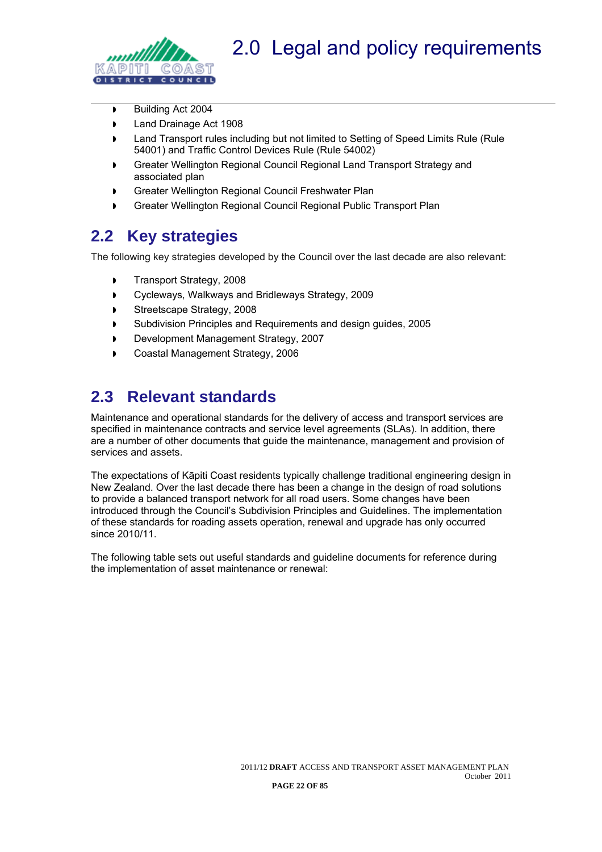

<span id="page-23-0"></span>

- Building Act 2004
- **Land Drainage Act 1908**
- **IDED** Land Transport rules including but not limited to Setting of Speed Limits Rule (Rule 54001) and Traffic Control Devices Rule (Rule 54002)
- Greater Wellington Regional Council Regional Land Transport Strategy and associated plan
- Greater Wellington Regional Council Freshwater Plan
- Greater Wellington Regional Council Regional Public Transport Plan

### <span id="page-23-1"></span>**2.2 Key strategies**

The following key strategies developed by the Council over the last decade are also relevant:

- **Transport Strategy, 2008**
- Cycleways, Walkways and Bridleways Strategy, 2009
- Streetscape Strategy, 2008
- **Subdivision Principles and Requirements and design guides, 2005**
- Development Management Strategy, 2007
- Coastal Management Strategy, 2006

### <span id="page-23-2"></span>**2.3 Relevant standards**

Maintenance and operational standards for the delivery of access and transport services are specified in maintenance contracts and service level agreements (SLAs). In addition, there are a number of other documents that guide the maintenance, management and provision of services and assets.

The expectations of Kāpiti Coast residents typically challenge traditional engineering design in New Zealand. Over the last decade there has been a change in the design of road solutions to provide a balanced transport network for all road users. Some changes have been introduced through the Council's Subdivision Principles and Guidelines. The implementation of these standards for roading assets operation, renewal and upgrade has only occurred since 2010/11.

The following table sets out useful standards and guideline documents for reference during the implementation of asset maintenance or renewal: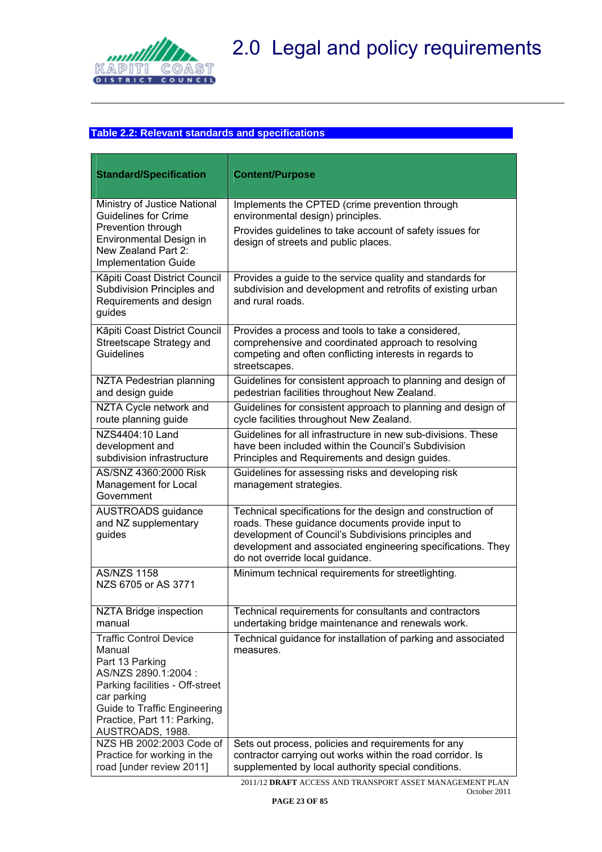<span id="page-24-0"></span>

### <span id="page-24-1"></span>**Table 2.2: Relevant standards and specifications**

| <b>Standard/Specification</b>                                                                                                                                                                                                  | <b>Content/Purpose</b>                                                                                                                                                                                                                                                    |
|--------------------------------------------------------------------------------------------------------------------------------------------------------------------------------------------------------------------------------|---------------------------------------------------------------------------------------------------------------------------------------------------------------------------------------------------------------------------------------------------------------------------|
|                                                                                                                                                                                                                                |                                                                                                                                                                                                                                                                           |
| Ministry of Justice National<br><b>Guidelines for Crime</b><br>Prevention through<br>Environmental Design in<br>New Zealand Part 2:<br><b>Implementation Guide</b>                                                             | Implements the CPTED (crime prevention through<br>environmental design) principles.<br>Provides guidelines to take account of safety issues for<br>design of streets and public places.                                                                                   |
| Kāpiti Coast District Council<br>Subdivision Principles and<br>Requirements and design<br>guides                                                                                                                               | Provides a guide to the service quality and standards for<br>subdivision and development and retrofits of existing urban<br>and rural roads.                                                                                                                              |
| Kāpiti Coast District Council<br>Streetscape Strategy and<br>Guidelines                                                                                                                                                        | Provides a process and tools to take a considered,<br>comprehensive and coordinated approach to resolving<br>competing and often conflicting interests in regards to<br>streetscapes.                                                                                     |
| NZTA Pedestrian planning<br>and design guide                                                                                                                                                                                   | Guidelines for consistent approach to planning and design of<br>pedestrian facilities throughout New Zealand.                                                                                                                                                             |
| NZTA Cycle network and<br>route planning guide                                                                                                                                                                                 | Guidelines for consistent approach to planning and design of<br>cycle facilities throughout New Zealand.                                                                                                                                                                  |
| NZS4404:10 Land<br>development and<br>subdivision infrastructure                                                                                                                                                               | Guidelines for all infrastructure in new sub-divisions. These<br>have been included within the Council's Subdivision<br>Principles and Requirements and design guides.                                                                                                    |
| AS/SNZ 4360:2000 Risk<br>Management for Local<br>Government                                                                                                                                                                    | Guidelines for assessing risks and developing risk<br>management strategies.                                                                                                                                                                                              |
| <b>AUSTROADS</b> guidance<br>and NZ supplementary<br>guides                                                                                                                                                                    | Technical specifications for the design and construction of<br>roads. These guidance documents provide input to<br>development of Council's Subdivisions principles and<br>development and associated engineering specifications. They<br>do not override local guidance. |
| <b>AS/NZS 1158</b><br>NZS 6705 or AS 3771                                                                                                                                                                                      | Minimum technical requirements for streetlighting.                                                                                                                                                                                                                        |
| <b>NZTA Bridge inspection</b><br>manual                                                                                                                                                                                        | Technical requirements for consultants and contractors<br>undertaking bridge maintenance and renewals work.                                                                                                                                                               |
| <b>Traffic Control Device</b><br>Manual<br>Part 13 Parking<br>AS/NZS 2890.1:2004 :<br>Parking facilities - Off-street<br>car parking<br><b>Guide to Traffic Engineering</b><br>Practice, Part 11: Parking,<br>AUSTROADS, 1988. | Technical guidance for installation of parking and associated<br>measures.                                                                                                                                                                                                |
| NZS HB 2002:2003 Code of<br>Practice for working in the<br>road [under review 2011]                                                                                                                                            | Sets out process, policies and requirements for any<br>contractor carrying out works within the road corridor. Is<br>supplemented by local authority special conditions.                                                                                                  |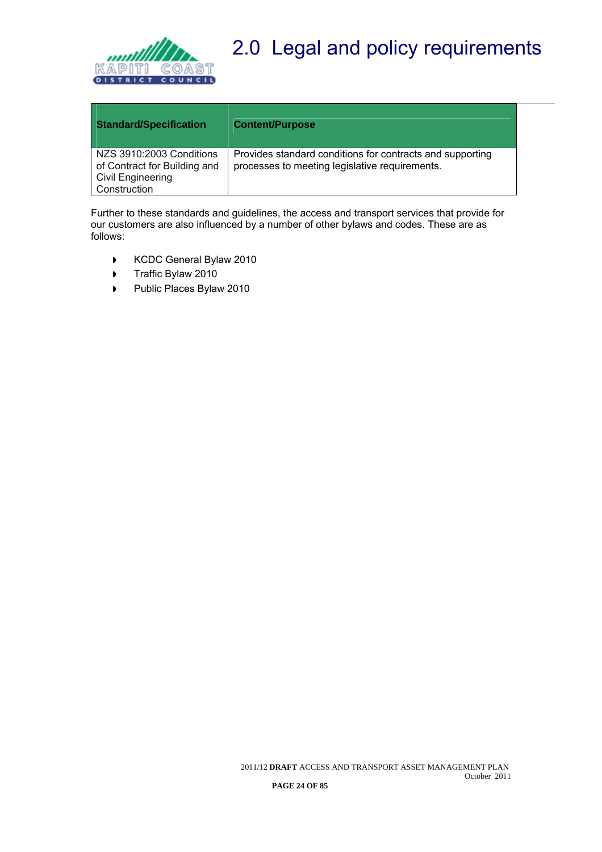

# 2.0 Legal and policy requirements

| <b>Standard/Specification</b>                                                                        | <b>Content/Purpose</b>                                                                                      |
|------------------------------------------------------------------------------------------------------|-------------------------------------------------------------------------------------------------------------|
| NZS 3910:2003 Conditions<br>of Contract for Building and<br><b>Civil Engineering</b><br>Construction | Provides standard conditions for contracts and supporting<br>processes to meeting legislative requirements. |

Further to these standards and guidelines, the access and transport services that provide for our customers are also influenced by a number of other bylaws and codes. These are as follows:

- KCDC General Bylaw 2010
- Traffic Bylaw 2010
- Public Places Bylaw 2010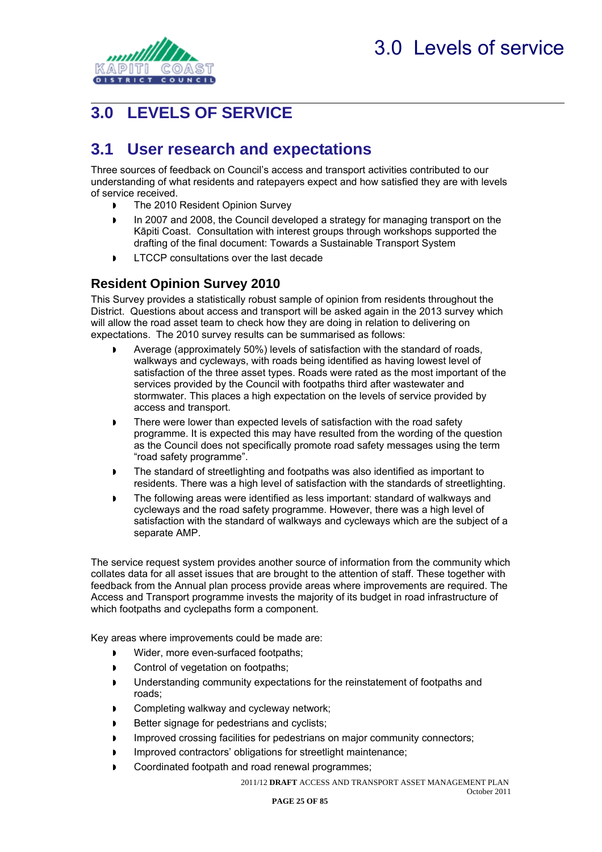<span id="page-26-0"></span>

## <span id="page-26-1"></span>**3.0 LEVELS OF SERVICE**

### <span id="page-26-2"></span>**3.1 User research and expectations**

Three sources of feedback on Council's access and transport activities contributed to our understanding of what residents and ratepayers expect and how satisfied they are with levels of service received.

- The 2010 Resident Opinion Survey
- In 2007 and 2008, the Council developed a strategy for managing transport on the Kāpiti Coast. Consultation with interest groups through workshops supported the drafting of the final document: Towards a Sustainable Transport System
- **LTCCP** consultations over the last decade

### <span id="page-26-3"></span>**Resident Opinion Survey 2010**

This Survey provides a statistically robust sample of opinion from residents throughout the District. Questions about access and transport will be asked again in the 2013 survey which will allow the road asset team to check how they are doing in relation to delivering on expectations. The 2010 survey results can be summarised as follows:

- Average (approximately 50%) levels of satisfaction with the standard of roads, walkways and cycleways, with roads being identified as having lowest level of satisfaction of the three asset types. Roads were rated as the most important of the services provided by the Council with footpaths third after wastewater and stormwater. This places a high expectation on the levels of service provided by access and transport.
- **There were lower than expected levels of satisfaction with the road safety** programme. It is expected this may have resulted from the wording of the question as the Council does not specifically promote road safety messages using the term "road safety programme".
- The standard of streetlighting and footpaths was also identified as important to residents. There was a high level of satisfaction with the standards of streetlighting.
- The following areas were identified as less important: standard of walkways and cycleways and the road safety programme. However, there was a high level of satisfaction with the standard of walkways and cycleways which are the subject of a separate AMP.

The service request system provides another source of information from the community which collates data for all asset issues that are brought to the attention of staff. These together with feedback from the Annual plan process provide areas where improvements are required. The Access and Transport programme invests the majority of its budget in road infrastructure of which footpaths and cyclepaths form a component.

Key areas where improvements could be made are:

- Wider, more even-surfaced footpaths;
- Control of vegetation on footpaths;
- Understanding community expectations for the reinstatement of footpaths and roads;
- **Completing walkway and cycleway network;**
- Better signage for pedestrians and cyclists;
- Improved crossing facilities for pedestrians on major community connectors;
- Improved contractors' obligations for streetlight maintenance;
- Coordinated footpath and road renewal programmes;

2011/12 **DRAFT** ACCESS AND TRANSPORT ASSET MANAGEMENT PLAN October 2011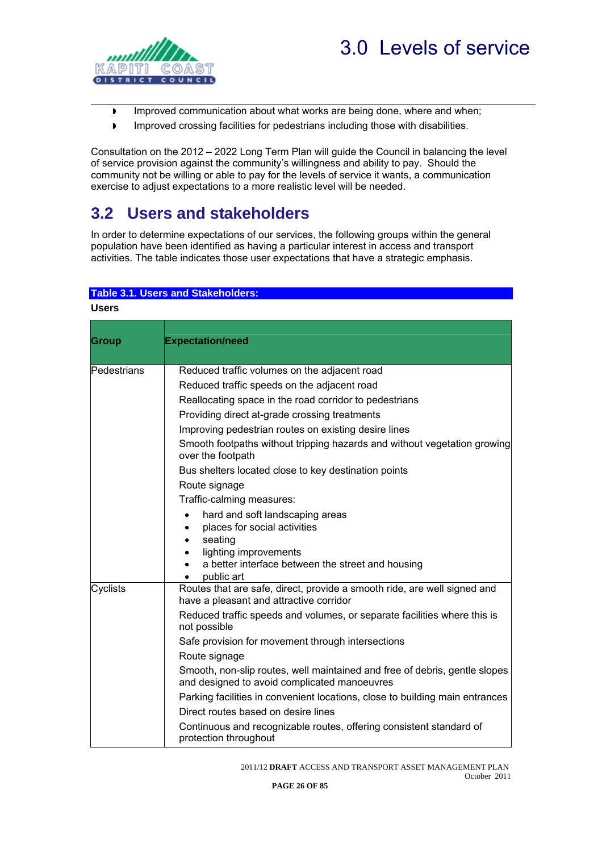

<span id="page-27-0"></span>

- **IMPROVED COMMUNICATED ABOUT WHAT WORKS ARE DEING ONE, Where and when;**
- **IMPROVED CONSTANDING INCOCONTRATION IN A LIME CONSTANDING INCOCOL**

Consultation on the 2012 – 2022 Long Term Plan will guide the Council in balancing the level of service provision against the community's willingness and ability to pay. Should the community not be willing or able to pay for the levels of service it wants, a communication exercise to adjust expectations to a more realistic level will be needed.

### <span id="page-27-1"></span>**3.2 Users and stakeholders**

In order to determine expectations of our services, the following groups within the general population have been identified as having a particular interest in access and transport activities. The table indicates those user expectations that have a strategic emphasis.

#### <span id="page-27-2"></span>**Table 3.1. Users and Stakeholders:**

| <b>Users</b> |                                                                                                                                                                                                                                                                                                                                                                                                                                                                                                                                                                  |
|--------------|------------------------------------------------------------------------------------------------------------------------------------------------------------------------------------------------------------------------------------------------------------------------------------------------------------------------------------------------------------------------------------------------------------------------------------------------------------------------------------------------------------------------------------------------------------------|
| <b>Group</b> | <b>Expectation/need</b>                                                                                                                                                                                                                                                                                                                                                                                                                                                                                                                                          |
| Pedestrians  | Reduced traffic volumes on the adjacent road<br>Reduced traffic speeds on the adjacent road<br>Reallocating space in the road corridor to pedestrians<br>Providing direct at-grade crossing treatments<br>Improving pedestrian routes on existing desire lines<br>Smooth footpaths without tripping hazards and without vegetation growing<br>over the footpath<br>Bus shelters located close to key destination points<br>Route signage<br>Traffic-calming measures:<br>hard and soft landscaping areas<br>$\bullet$<br>places for social activities<br>seating |
| Cyclists     | lighting improvements<br>a better interface between the street and housing<br>public art<br>Routes that are safe, direct, provide a smooth ride, are well signed and                                                                                                                                                                                                                                                                                                                                                                                             |
|              | have a pleasant and attractive corridor<br>Reduced traffic speeds and volumes, or separate facilities where this is<br>not possible<br>Safe provision for movement through intersections<br>Route signage<br>Smooth, non-slip routes, well maintained and free of debris, gentle slopes<br>and designed to avoid complicated manoeuvres<br>Parking facilities in convenient locations, close to building main entrances<br>Direct routes based on desire lines<br>Continuous and recognizable routes, offering consistent standard of<br>protection throughout   |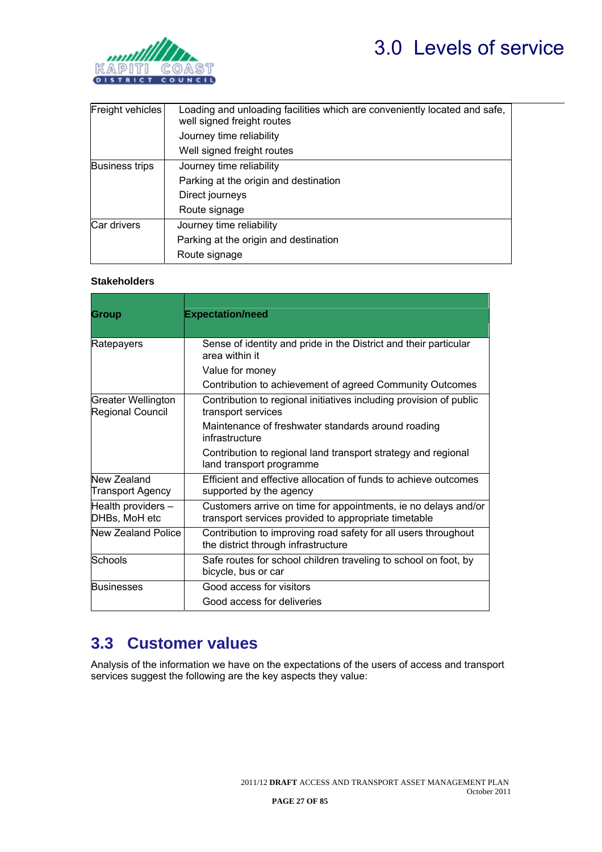<span id="page-28-0"></span>

| Freight vehicles      | Loading and unloading facilities which are conveniently located and safe,<br>well signed freight routes |  |  |  |  |  |  |
|-----------------------|---------------------------------------------------------------------------------------------------------|--|--|--|--|--|--|
|                       | Journey time reliability                                                                                |  |  |  |  |  |  |
|                       | Well signed freight routes                                                                              |  |  |  |  |  |  |
| <b>Business trips</b> | Journey time reliability                                                                                |  |  |  |  |  |  |
|                       | Parking at the origin and destination                                                                   |  |  |  |  |  |  |
|                       | Direct journeys                                                                                         |  |  |  |  |  |  |
|                       | Route signage                                                                                           |  |  |  |  |  |  |
| Car drivers           | Journey time reliability                                                                                |  |  |  |  |  |  |
|                       | Parking at the origin and destination                                                                   |  |  |  |  |  |  |
|                       | Route signage                                                                                           |  |  |  |  |  |  |

#### **Stakeholders**

| <b>Group</b>                           | <b>Expectation/need</b>                                                                                                |  |  |  |  |
|----------------------------------------|------------------------------------------------------------------------------------------------------------------------|--|--|--|--|
|                                        |                                                                                                                        |  |  |  |  |
| Ratepayers                             | Sense of identity and pride in the District and their particular<br>area within it                                     |  |  |  |  |
|                                        | Value for money                                                                                                        |  |  |  |  |
|                                        | Contribution to achievement of agreed Community Outcomes                                                               |  |  |  |  |
| Greater Wellington<br>Regional Council | Contribution to regional initiatives including provision of public<br>transport services                               |  |  |  |  |
|                                        | Maintenance of freshwater standards around roading<br>infrastructure                                                   |  |  |  |  |
|                                        | Contribution to regional land transport strategy and regional<br>land transport programme                              |  |  |  |  |
| New Zealand<br><b>Transport Agency</b> | Efficient and effective allocation of funds to achieve outcomes<br>supported by the agency                             |  |  |  |  |
| Health providers -<br>DHBs, MoH etc    | Customers arrive on time for appointments, ie no delays and/or<br>transport services provided to appropriate timetable |  |  |  |  |
| New Zealand Police                     | Contribution to improving road safety for all users throughout<br>the district through infrastructure                  |  |  |  |  |
| Schools                                | Safe routes for school children traveling to school on foot, by<br>bicycle, bus or car                                 |  |  |  |  |
| <b>Businesses</b>                      | Good access for visitors                                                                                               |  |  |  |  |
|                                        | Good access for deliveries                                                                                             |  |  |  |  |

### <span id="page-28-1"></span>**3.3 Customer values**

Analysis of the information we have on the expectations of the users of access and transport services suggest the following are the key aspects they value: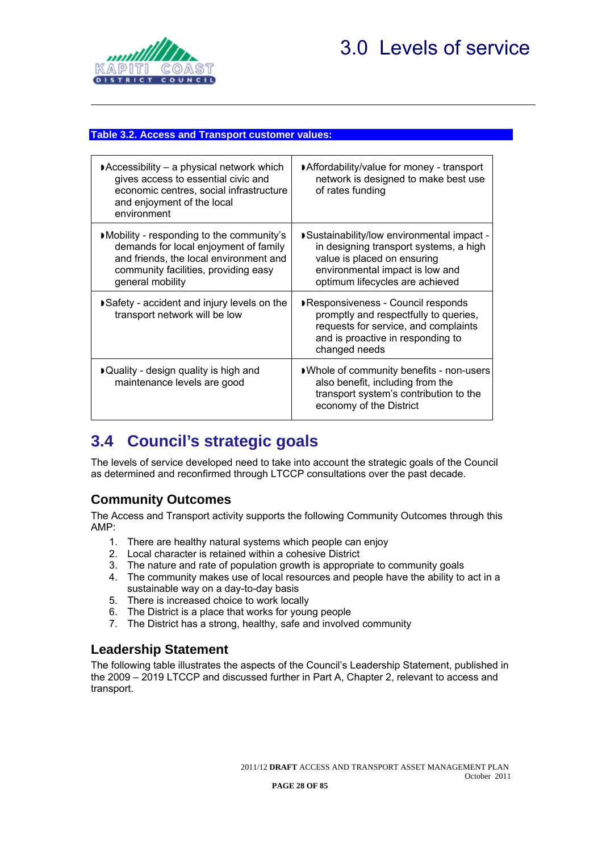<span id="page-29-0"></span>

#### <span id="page-29-1"></span>**Table 3.2. Access and Transport customer values:**

| $\blacktriangleright$ Accessibility – a physical network which<br>gives access to essential civic and<br>economic centres, social infrastructure<br>and enjoyment of the local<br>environment | Affordability/value for money - transport<br>network is designed to make best use<br>of rates funding                                                                                    |
|-----------------------------------------------------------------------------------------------------------------------------------------------------------------------------------------------|------------------------------------------------------------------------------------------------------------------------------------------------------------------------------------------|
| Mobility - responding to the community's<br>demands for local enjoyment of family<br>and friends, the local environment and<br>community facilities, providing easy<br>general mobility       | Sustainability/low environmental impact -<br>in designing transport systems, a high<br>value is placed on ensuring<br>environmental impact is low and<br>optimum lifecycles are achieved |
| Safety - accident and injury levels on the<br>transport network will be low                                                                                                                   | Responsiveness - Council responds<br>promptly and respectfully to queries,<br>requests for service, and complaints<br>and is proactive in responding to<br>changed needs                 |
| ▶ Quality - design quality is high and<br>maintenance levels are good                                                                                                                         | ■ Whole of community benefits - non-users<br>also benefit, including from the<br>transport system's contribution to the<br>economy of the District                                       |

### <span id="page-29-2"></span>**3.4 Council's strategic goals**

The levels of service developed need to take into account the strategic goals of the Council as determined and reconfirmed through LTCCP consultations over the past decade.

### <span id="page-29-3"></span>**Community Outcomes**

The Access and Transport activity supports the following Community Outcomes through this AMP:

- 1. There are healthy natural systems which people can enjoy
- 2. Local character is retained within a cohesive District
- 3. The nature and rate of population growth is appropriate to community goals
- 4. The community makes use of local resources and people have the ability to act in a sustainable way on a day-to-day basis
- 5. There is increased choice to work locally
- 6. The District is a place that works for young people
- 7. The District has a strong, healthy, safe and involved community

### <span id="page-29-4"></span>**Leadership Statement**

The following table illustrates the aspects of the Council's Leadership Statement, published in the 2009 – 2019 LTCCP and discussed further in Part A, Chapter 2, relevant to access and transport.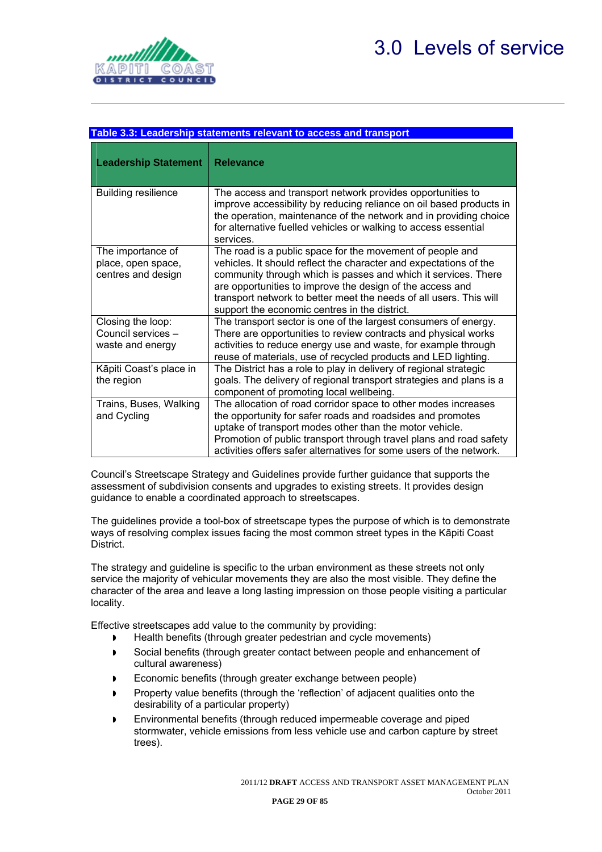<span id="page-30-0"></span>

<span id="page-30-1"></span>

|                                                               | Table 3.3: Leadership statements relevant to access and transport                                                                                                                                                                                                                                                                                                                    |
|---------------------------------------------------------------|--------------------------------------------------------------------------------------------------------------------------------------------------------------------------------------------------------------------------------------------------------------------------------------------------------------------------------------------------------------------------------------|
| <b>Leadership Statement</b>                                   | <b>Relevance</b>                                                                                                                                                                                                                                                                                                                                                                     |
| <b>Building resilience</b>                                    | The access and transport network provides opportunities to<br>improve accessibility by reducing reliance on oil based products in<br>the operation, maintenance of the network and in providing choice<br>for alternative fuelled vehicles or walking to access essential<br>services.                                                                                               |
| The importance of<br>place, open space,<br>centres and design | The road is a public space for the movement of people and<br>vehicles. It should reflect the character and expectations of the<br>community through which is passes and which it services. There<br>are opportunities to improve the design of the access and<br>transport network to better meet the needs of all users. This will<br>support the economic centres in the district. |
| Closing the loop:<br>Council services -<br>waste and energy   | The transport sector is one of the largest consumers of energy.<br>There are opportunities to review contracts and physical works<br>activities to reduce energy use and waste, for example through<br>reuse of materials, use of recycled products and LED lighting.                                                                                                                |
| Kāpiti Coast's place in<br>the region                         | The District has a role to play in delivery of regional strategic<br>goals. The delivery of regional transport strategies and plans is a<br>component of promoting local wellbeing.                                                                                                                                                                                                  |
| Trains, Buses, Walking<br>and Cycling                         | The allocation of road corridor space to other modes increases<br>the opportunity for safer roads and roadsides and promotes<br>uptake of transport modes other than the motor vehicle.<br>Promotion of public transport through travel plans and road safety<br>activities offers safer alternatives for some users of the network.                                                 |

Council's Streetscape Strategy and Guidelines provide further guidance that supports the assessment of subdivision consents and upgrades to existing streets. It provides design guidance to enable a coordinated approach to streetscapes.

The guidelines provide a tool-box of streetscape types the purpose of which is to demonstrate ways of resolving complex issues facing the most common street types in the Kāpiti Coast District.

The strategy and guideline is specific to the urban environment as these streets not only service the majority of vehicular movements they are also the most visible. They define the character of the area and leave a long lasting impression on those people visiting a particular locality.

Effective streetscapes add value to the community by providing:

- ▶ Health benefits (through greater pedestrian and cycle movements)
- Social benefits (through greater contact between people and enhancement of cultural awareness)
- Economic benefits (through greater exchange between people)
- Property value benefits (through the 'reflection' of adjacent qualities onto the desirability of a particular property)
- Environmental benefits (through reduced impermeable coverage and piped stormwater, vehicle emissions from less vehicle use and carbon capture by street trees).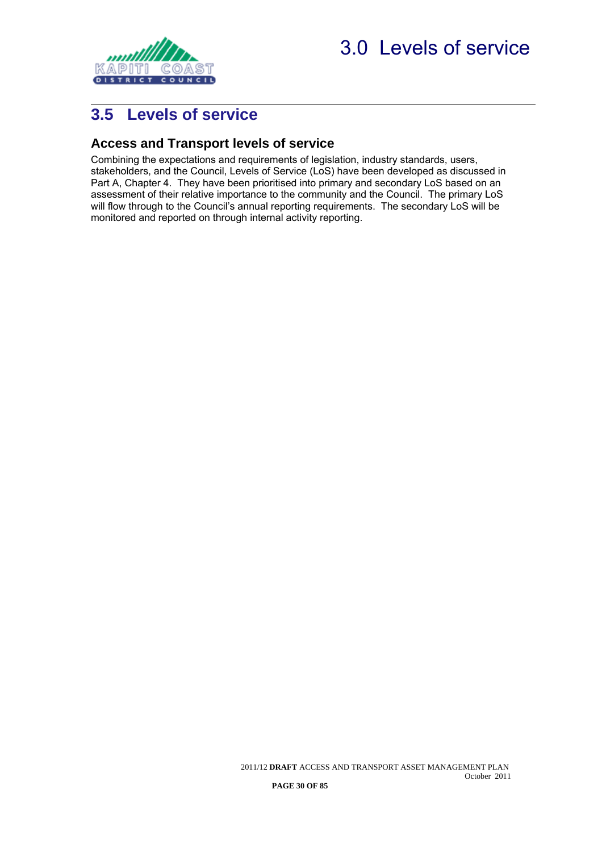<span id="page-31-0"></span>

### <span id="page-31-1"></span>**Access and Transport levels of service**

<span id="page-31-2"></span>Combining the expectations and requirements of legislation, industry standards, users, stakeholders, and the Council, Levels of Service (LoS) have been developed as discussed in Part A, Chapter 4. They have been prioritised into primary and secondary LoS based on an assessment of their relative importance to the community and the Council. The primary LoS will flow through to the Council's annual reporting requirements. The secondary LoS will be monitored and reported on through internal activity reporting.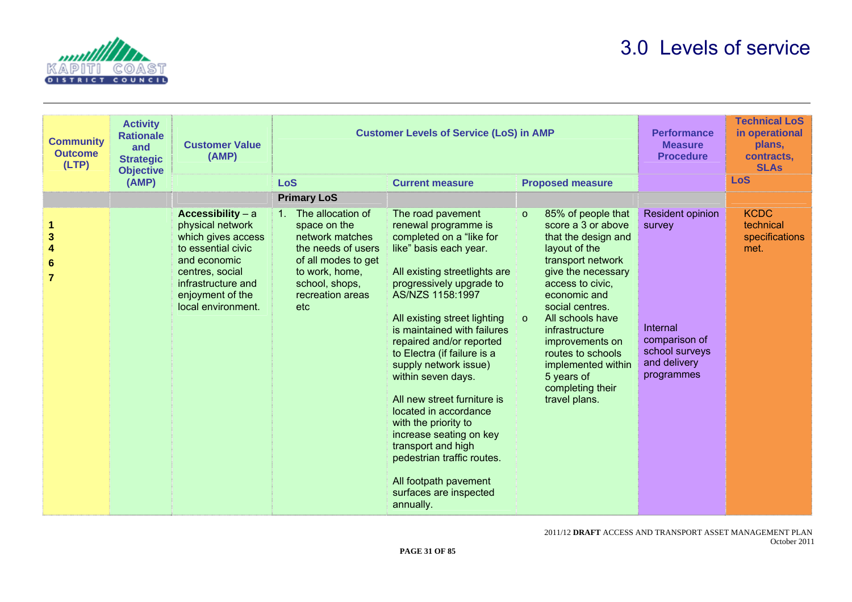



| <b>Community</b><br><b>Outcome</b><br>(LTP)                                  | <b>Activity</b><br><b>Rationale</b><br>and<br><b>Strategic</b><br><b>Objective</b> | <b>Customer Value</b><br>(AMP)                                                                                                                                                       | <b>Customer Levels of Service (LoS) in AMP</b>                                                                                                                                     |                                                                                                                                                                                                                                                                                                                                                                                                                                                                                                                                                                                          |                                                                                                                                                                                                                                                                                                                                                                 | <b>Performance</b><br><b>Measure</b><br><b>Procedure</b>                                                | <b>Technical LoS</b><br>in operational<br>plans,<br>contracts.<br><b>SLAs</b> |
|------------------------------------------------------------------------------|------------------------------------------------------------------------------------|--------------------------------------------------------------------------------------------------------------------------------------------------------------------------------------|------------------------------------------------------------------------------------------------------------------------------------------------------------------------------------|------------------------------------------------------------------------------------------------------------------------------------------------------------------------------------------------------------------------------------------------------------------------------------------------------------------------------------------------------------------------------------------------------------------------------------------------------------------------------------------------------------------------------------------------------------------------------------------|-----------------------------------------------------------------------------------------------------------------------------------------------------------------------------------------------------------------------------------------------------------------------------------------------------------------------------------------------------------------|---------------------------------------------------------------------------------------------------------|-------------------------------------------------------------------------------|
|                                                                              | (AMP)                                                                              |                                                                                                                                                                                      | <b>LoS</b>                                                                                                                                                                         | <b>Current measure</b>                                                                                                                                                                                                                                                                                                                                                                                                                                                                                                                                                                   | <b>Proposed measure</b>                                                                                                                                                                                                                                                                                                                                         |                                                                                                         | <b>LoS</b>                                                                    |
|                                                                              |                                                                                    |                                                                                                                                                                                      | <b>Primary LoS</b>                                                                                                                                                                 |                                                                                                                                                                                                                                                                                                                                                                                                                                                                                                                                                                                          |                                                                                                                                                                                                                                                                                                                                                                 |                                                                                                         |                                                                               |
| $\mathbf{3}$<br>$\overline{\mathbf{4}}$<br>$6\phantom{1}6$<br>$\overline{7}$ |                                                                                    | Accessibility - a<br>physical network<br>which gives access<br>to essential civic<br>and economic<br>centres, social<br>infrastructure and<br>enjoyment of the<br>local environment. | The allocation of<br>1 <sub>1</sub><br>space on the<br>network matches<br>the needs of users<br>of all modes to get<br>to work, home,<br>school, shops,<br>recreation areas<br>etc | The road pavement<br>renewal programme is<br>completed on a "like for<br>like" basis each year.<br>All existing streetlights are<br>progressively upgrade to<br>AS/NZS 1158:1997<br>All existing street lighting<br>is maintained with failures<br>repaired and/or reported<br>to Electra (if failure is a<br>supply network issue)<br>within seven days.<br>All new street furniture is<br>located in accordance<br>with the priority to<br>increase seating on key<br>transport and high<br>pedestrian traffic routes.<br>All footpath pavement<br>surfaces are inspected<br>annually. | 85% of people that<br>$\circ$<br>score a 3 or above<br>that the design and<br>layout of the<br>transport network<br>give the necessary<br>access to civic,<br>economic and<br>social centres.<br>All schools have<br>$\circ$<br>infrastructure<br>improvements on<br>routes to schools<br>implemented within<br>5 years of<br>completing their<br>travel plans. | Resident opinion<br>survey<br>Internal<br>comparison of<br>school surveys<br>and delivery<br>programmes | <b>KCDC</b><br>technical<br>specifications<br>met.                            |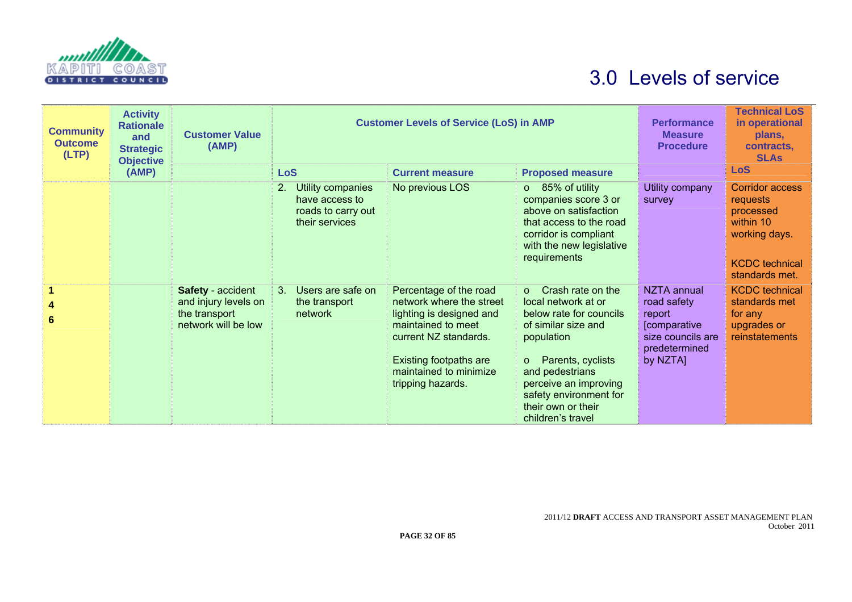

| <b>Community</b><br><b>Outcome</b><br>(LTP) | <b>Activity</b><br><b>Rationale</b><br>and<br><b>Strategic</b><br><b>Objective</b> | <b>Customer Value</b><br>(AMP)                                                    | <b>Customer Levels of Service (LoS) in AMP</b>                                    |                                                                                                                                                                                                               |                                                                                                                                                                                                                                                                   | <b>Performance</b><br><b>Measure</b><br><b>Procedure</b>                                                     | <b>Technical LoS</b><br>in operational<br>plans.<br>contracts.<br><b>SLAs</b>                                            |
|---------------------------------------------|------------------------------------------------------------------------------------|-----------------------------------------------------------------------------------|-----------------------------------------------------------------------------------|---------------------------------------------------------------------------------------------------------------------------------------------------------------------------------------------------------------|-------------------------------------------------------------------------------------------------------------------------------------------------------------------------------------------------------------------------------------------------------------------|--------------------------------------------------------------------------------------------------------------|--------------------------------------------------------------------------------------------------------------------------|
|                                             | (AMP)                                                                              |                                                                                   | <b>LoS</b>                                                                        | <b>Current measure</b>                                                                                                                                                                                        | <b>Proposed measure</b>                                                                                                                                                                                                                                           |                                                                                                              | <b>LoS</b>                                                                                                               |
|                                             |                                                                                    |                                                                                   | Utility companies<br>2.<br>have access to<br>roads to carry out<br>their services | No previous LOS                                                                                                                                                                                               | $\circ$ 85% of utility<br>companies score 3 or<br>above on satisfaction<br>that access to the road<br>corridor is compliant<br>with the new legislative<br>requirements                                                                                           | Utility company<br>survey                                                                                    | <b>Corridor access</b><br>requests<br>processed<br>within 10<br>working days.<br><b>KCDC</b> technical<br>standards met. |
| 4<br>6                                      |                                                                                    | Safety - accident<br>and injury levels on<br>the transport<br>network will be low | Users are safe on<br>3 <sub>1</sub><br>the transport<br>network                   | Percentage of the road<br>network where the street<br>lighting is designed and<br>maintained to meet<br>current NZ standards.<br><b>Existing footpaths are</b><br>maintained to minimize<br>tripping hazards. | $\circ$ Crash rate on the<br>local network at or<br>below rate for councils<br>of similar size and<br>population<br>Parents, cyclists<br>$\circ$<br>and pedestrians<br>perceive an improving<br>safety environment for<br>their own or their<br>children's travel | NZTA annual<br>road safety<br>report<br><b>Comparative</b><br>size councils are<br>predetermined<br>by NZTA] | <b>KCDC</b> technical<br>standards met<br>for any<br>upgrades or<br>reinstatements                                       |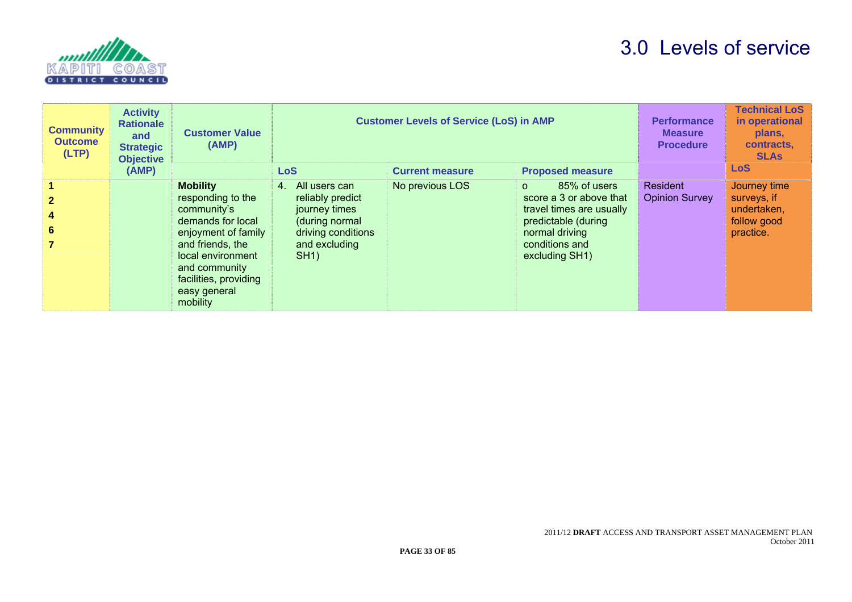

| <b>Community</b><br><b>Outcome</b><br>(LTP) | <b>Activity</b><br><b>Rationale</b><br>and<br><b>Strategic</b><br><b>Objective</b> | <b>Customer Value</b><br>(AMP)                                                                                                                                                                                 | <b>Customer Levels of Service (LoS) in AMP</b>                                                                           | <b>Performance</b><br><b>Measure</b><br><b>Procedure</b> | <b>Technical LoS</b><br>in operational<br>plans,<br>contracts,<br><b>SLAs</b>                                                                                |                                          |                                                                        |
|---------------------------------------------|------------------------------------------------------------------------------------|----------------------------------------------------------------------------------------------------------------------------------------------------------------------------------------------------------------|--------------------------------------------------------------------------------------------------------------------------|----------------------------------------------------------|--------------------------------------------------------------------------------------------------------------------------------------------------------------|------------------------------------------|------------------------------------------------------------------------|
|                                             | (AMP)                                                                              |                                                                                                                                                                                                                | <b>LoS</b>                                                                                                               | <b>Current measure</b>                                   | <b>Proposed measure</b>                                                                                                                                      |                                          | <b>LoS</b>                                                             |
| 6                                           |                                                                                    | <b>Mobility</b><br>responding to the<br>community's<br>demands for local<br>enjoyment of family<br>and friends, the<br>local environment<br>and community<br>facilities, providing<br>easy general<br>mobility | All users can<br>4.<br>reliably predict<br>journey times<br>(during normal<br>driving conditions<br>and excluding<br>SH1 | No previous LOS                                          | 85% of users<br>$\Omega$<br>score a 3 or above that<br>travel times are usually<br>predictable (during<br>normal driving<br>conditions and<br>excluding SH1) | <b>Resident</b><br><b>Opinion Survey</b> | Journey time<br>surveys, if<br>undertaken,<br>follow good<br>practice. |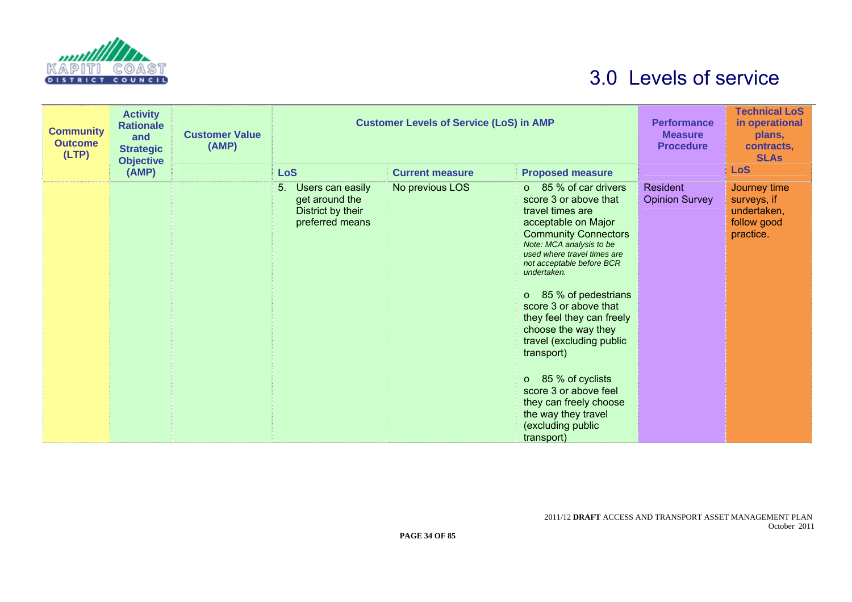

| <b>Community</b><br><b>Outcome</b><br>(LTP) | <b>Activity</b><br><b>Rationale</b><br>and<br><b>Strategic</b><br><b>Objective</b> | <b>Customer Value</b><br>(AMP) | <b>Customer Levels of Service (LoS) in AMP</b>                                   | <b>Performance</b><br><b>Measure</b><br><b>Procedure</b> | <b>Technical LoS</b><br>in operational<br>plans,<br>contracts,<br><b>SLAs</b>                                                                                                                                                                                                                                                                                                                                                                                                                                                  |                                   |                                                                        |
|---------------------------------------------|------------------------------------------------------------------------------------|--------------------------------|----------------------------------------------------------------------------------|----------------------------------------------------------|--------------------------------------------------------------------------------------------------------------------------------------------------------------------------------------------------------------------------------------------------------------------------------------------------------------------------------------------------------------------------------------------------------------------------------------------------------------------------------------------------------------------------------|-----------------------------------|------------------------------------------------------------------------|
|                                             | (AMP)                                                                              |                                | <b>LoS</b>                                                                       | <b>Current measure</b>                                   | <b>Proposed measure</b>                                                                                                                                                                                                                                                                                                                                                                                                                                                                                                        |                                   | <b>LoS</b>                                                             |
|                                             |                                                                                    |                                | 5.<br>Users can easily<br>get around the<br>District by their<br>preferred means | No previous LOS                                          | $\circ$ 85 % of car drivers<br>score 3 or above that<br>travel times are<br>acceptable on Major<br><b>Community Connectors</b><br>Note: MCA analysis to be<br>used where travel times are<br>not acceptable before BCR<br>undertaken.<br>$\circ$ 85 % of pedestrians<br>score 3 or above that<br>they feel they can freely<br>choose the way they<br>travel (excluding public<br>transport)<br>o 85 % of cyclists<br>score 3 or above feel<br>they can freely choose<br>the way they travel<br>(excluding public<br>transport) | Resident<br><b>Opinion Survey</b> | Journey time<br>surveys, if<br>undertaken,<br>follow good<br>practice. |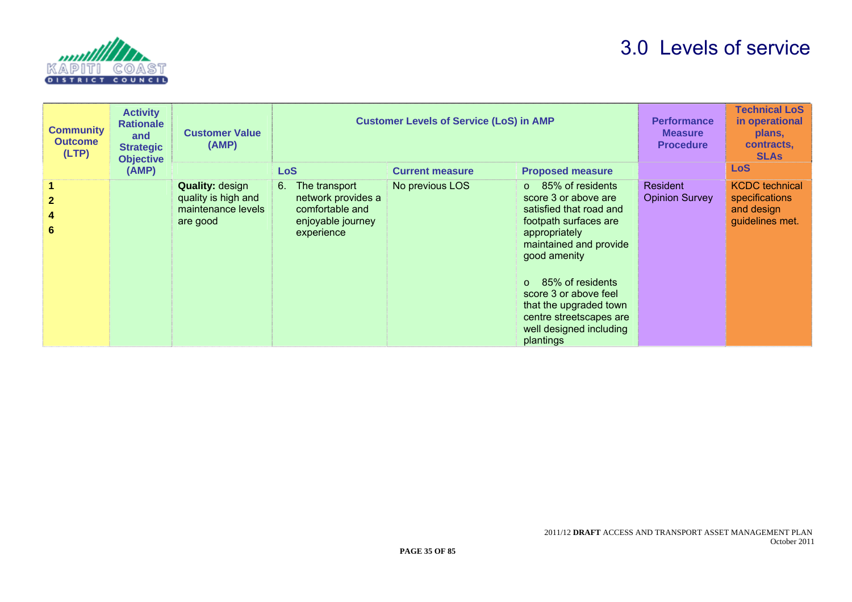

| <b>Community</b><br><b>Outcome</b><br>(LTP) | <b>Activity</b><br><b>Rationale</b><br>and<br><b>Strategic</b><br><b>Objective</b> | <b>Customer Value</b><br>(AMP)                                                  | <b>Customer Levels of Service (LoS) in AMP</b>                                                  |                        | <b>Performance</b><br><b>Measure</b><br><b>Procedure</b>                                                                                                                                                                                                                                                                 | <b>Technical LoS</b><br>in operational<br>plans,<br>contracts,<br><b>SLAs</b> |                                                                          |
|---------------------------------------------|------------------------------------------------------------------------------------|---------------------------------------------------------------------------------|-------------------------------------------------------------------------------------------------|------------------------|--------------------------------------------------------------------------------------------------------------------------------------------------------------------------------------------------------------------------------------------------------------------------------------------------------------------------|-------------------------------------------------------------------------------|--------------------------------------------------------------------------|
|                                             | (AMP)                                                                              |                                                                                 | <b>LoS</b>                                                                                      | <b>Current measure</b> | <b>Proposed measure</b>                                                                                                                                                                                                                                                                                                  |                                                                               | <b>LoS</b>                                                               |
| $\mathbf{2}$<br>4<br>6                      |                                                                                    | <b>Quality: design</b><br>quality is high and<br>maintenance levels<br>are good | 6.<br>The transport<br>network provides a<br>comfortable and<br>enjoyable journey<br>experience | No previous LOS        | 85% of residents<br>$\circ$<br>score 3 or above are<br>satisfied that road and<br>footpath surfaces are<br>appropriately<br>maintained and provide<br>good amenity<br>85% of residents<br>$\Omega$<br>score 3 or above feel<br>that the upgraded town<br>centre streetscapes are<br>well designed including<br>plantings | <b>Resident</b><br><b>Opinion Survey</b>                                      | <b>KCDC</b> technical<br>specifications<br>and design<br>guidelines met. |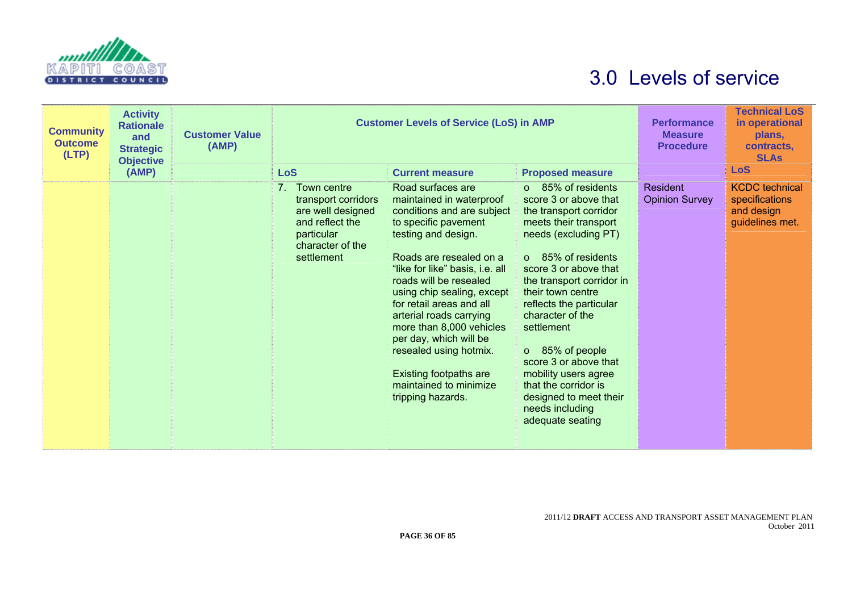

| <b>Community</b><br><b>Outcome</b><br>(LTP) | <b>Activity</b><br><b>Rationale</b><br>and<br><b>Strategic</b><br><b>Objective</b> | <b>Customer Value</b><br>(AMP) | <b>Customer Levels of Service (LoS) in AMP</b>                                                                                               |                                                                                                                                                                                                                                                                                                                                                                                                                                                                         | <b>Performance</b><br><b>Measure</b><br><b>Procedure</b>                                                                                                                                                                                                                                                                                                                                                                                                            | <b>Technical LoS</b><br>in operational<br>plans,<br>contracts.<br><b>SLAs</b> |                                                                          |
|---------------------------------------------|------------------------------------------------------------------------------------|--------------------------------|----------------------------------------------------------------------------------------------------------------------------------------------|-------------------------------------------------------------------------------------------------------------------------------------------------------------------------------------------------------------------------------------------------------------------------------------------------------------------------------------------------------------------------------------------------------------------------------------------------------------------------|---------------------------------------------------------------------------------------------------------------------------------------------------------------------------------------------------------------------------------------------------------------------------------------------------------------------------------------------------------------------------------------------------------------------------------------------------------------------|-------------------------------------------------------------------------------|--------------------------------------------------------------------------|
|                                             | (AMP)                                                                              |                                | LoS                                                                                                                                          | <b>Current measure</b>                                                                                                                                                                                                                                                                                                                                                                                                                                                  | <b>Proposed measure</b>                                                                                                                                                                                                                                                                                                                                                                                                                                             |                                                                               | <b>LoS</b>                                                               |
|                                             |                                                                                    |                                | Town centre<br>7 <sup>1</sup><br>transport corridors<br>are well designed<br>and reflect the<br>particular<br>character of the<br>settlement | Road surfaces are<br>maintained in waterproof<br>conditions and are subject<br>to specific pavement<br>testing and design.<br>Roads are resealed on a<br>"like for like" basis, i.e. all<br>roads will be resealed<br>using chip sealing, except<br>for retail areas and all<br>arterial roads carrying<br>more than 8,000 vehicles<br>per day, which will be<br>resealed using hotmix.<br><b>Existing footpaths are</b><br>maintained to minimize<br>tripping hazards. | $\circ$ 85% of residents<br>score 3 or above that<br>the transport corridor<br>meets their transport<br>needs (excluding PT)<br>$\circ$ 85% of residents<br>score 3 or above that<br>the transport corridor in<br>their town centre<br>reflects the particular<br>character of the<br>settlement<br>$\circ$ 85% of people<br>score 3 or above that<br>mobility users agree<br>that the corridor is<br>designed to meet their<br>needs including<br>adequate seating | Resident<br><b>Opinion Survey</b>                                             | <b>KCDC</b> technical<br>specifications<br>and design<br>guidelines met. |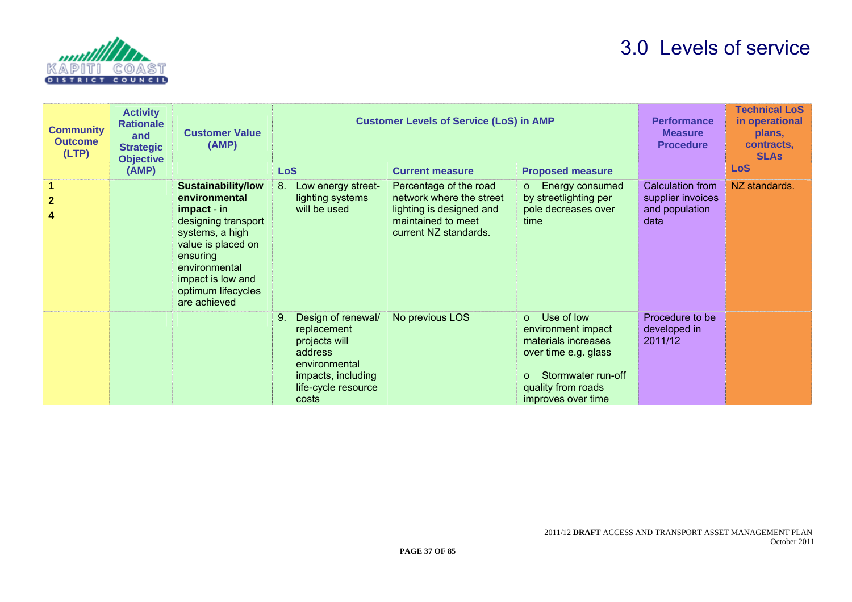

| <b>Community</b><br><b>Outcome</b><br>(LTP) | <b>Activity</b><br><b>Rationale</b><br>and<br><b>Strategic</b><br><b>Objective</b> | <b>Customer Value</b><br>(AMP)                                                                                                                                                                                    | <b>Customer Levels of Service (LoS) in AMP</b>                                                                                             |                                                                                                                               | <b>Performance</b><br><b>Measure</b><br><b>Procedure</b>                                                                                                      | <b>Technical LoS</b><br>in operational<br>plans,<br>contracts,<br><b>SLAs</b> |               |
|---------------------------------------------|------------------------------------------------------------------------------------|-------------------------------------------------------------------------------------------------------------------------------------------------------------------------------------------------------------------|--------------------------------------------------------------------------------------------------------------------------------------------|-------------------------------------------------------------------------------------------------------------------------------|---------------------------------------------------------------------------------------------------------------------------------------------------------------|-------------------------------------------------------------------------------|---------------|
|                                             | (AMP)                                                                              |                                                                                                                                                                                                                   | <b>LoS</b>                                                                                                                                 | <b>Current measure</b>                                                                                                        | <b>Proposed measure</b>                                                                                                                                       |                                                                               | <b>LoS</b>    |
| $\mathbf{2}$                                |                                                                                    | <b>Sustainability/low</b><br>environmental<br>impact - in<br>designing transport<br>systems, a high<br>value is placed on<br>ensuring<br>environmental<br>impact is low and<br>optimum lifecycles<br>are achieved | 8.<br>Low energy street-<br>lighting systems<br>will be used                                                                               | Percentage of the road<br>network where the street<br>lighting is designed and<br>maintained to meet<br>current NZ standards. | Energy consumed<br>$\circ$<br>by streetlighting per<br>pole decreases over<br><b>time</b>                                                                     | Calculation from<br>supplier invoices<br>and population<br>data               | NZ standards. |
|                                             |                                                                                    |                                                                                                                                                                                                                   | 9.<br>Design of renewal/<br>replacement<br>projects will<br>address<br>environmental<br>impacts, including<br>life-cycle resource<br>costs | No previous LOS                                                                                                               | Use of low<br>$\Omega$<br>environment impact<br>materials increases<br>over time e.g. glass<br>Stormwater run-off<br>quality from roads<br>improves over time | Procedure to be<br>developed in<br>2011/12                                    |               |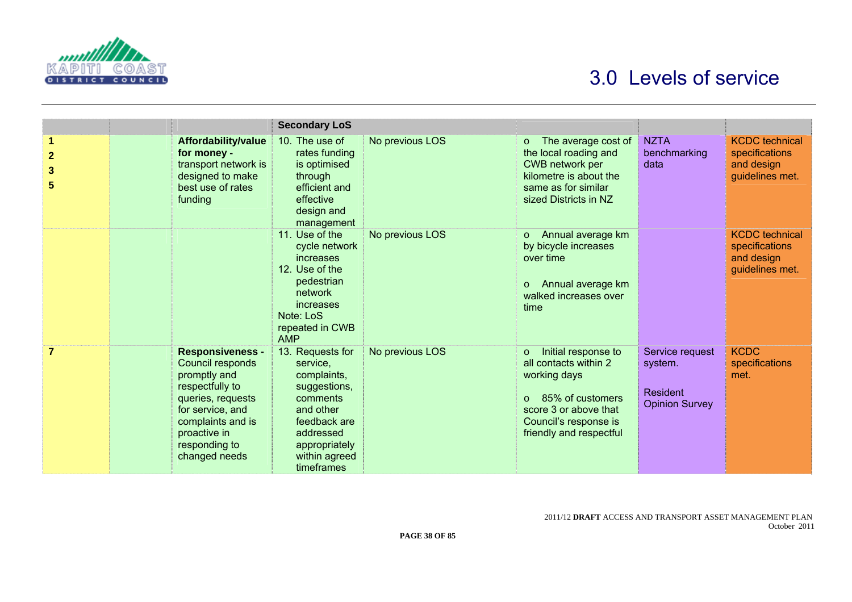

|                                          |                                                                                                                                                                                                | <b>Secondary LoS</b>                                                                                                                                              |                 |                                                                                                                                                                                      |                                                                 |                                                                          |
|------------------------------------------|------------------------------------------------------------------------------------------------------------------------------------------------------------------------------------------------|-------------------------------------------------------------------------------------------------------------------------------------------------------------------|-----------------|--------------------------------------------------------------------------------------------------------------------------------------------------------------------------------------|-----------------------------------------------------------------|--------------------------------------------------------------------------|
| 1<br>$\overline{2}$<br>$\mathbf{3}$<br>5 | Affordability/value<br>for money -<br>transport network is<br>designed to make<br>best use of rates<br>funding                                                                                 | 10. The use of<br>rates funding<br>is optimised<br>through<br>efficient and<br>effective<br>design and<br>management                                              | No previous LOS | The average cost of<br>$\circ$<br>the local roading and<br>CWB network per<br>kilometre is about the<br>same as for similar<br>sized Districts in NZ                                 | <b>NZTA</b><br>benchmarking<br>data                             | <b>KCDC</b> technical<br>specifications<br>and design<br>guidelines met. |
|                                          |                                                                                                                                                                                                | 11. Use of the<br>cycle network<br>increases<br>12. Use of the<br>pedestrian<br>network<br>increases<br>Note: LoS<br>repeated in CWB<br><b>AMP</b>                | No previous LOS | Annual average km<br>$\circ$<br>by bicycle increases<br>over time<br>Annual average km<br>$\circ$<br>walked increases over<br>time                                                   |                                                                 | <b>KCDC</b> technical<br>specifications<br>and design<br>guidelines met. |
| $\overline{7}$                           | <b>Responsiveness -</b><br>Council responds<br>promptly and<br>respectfully to<br>queries, requests<br>for service, and<br>complaints and is<br>proactive in<br>responding to<br>changed needs | 13. Requests for<br>service.<br>complaints,<br>suggestions,<br>comments<br>and other<br>feedback are<br>addressed<br>appropriately<br>within agreed<br>timeframes | No previous LOS | Initial response to<br>$\circ$<br>all contacts within 2<br>working days<br>85% of customers<br>$\Omega$<br>score 3 or above that<br>Council's response is<br>friendly and respectful | Service request<br>system.<br>Resident<br><b>Opinion Survey</b> | <b>KCDC</b><br>specifications<br>met.                                    |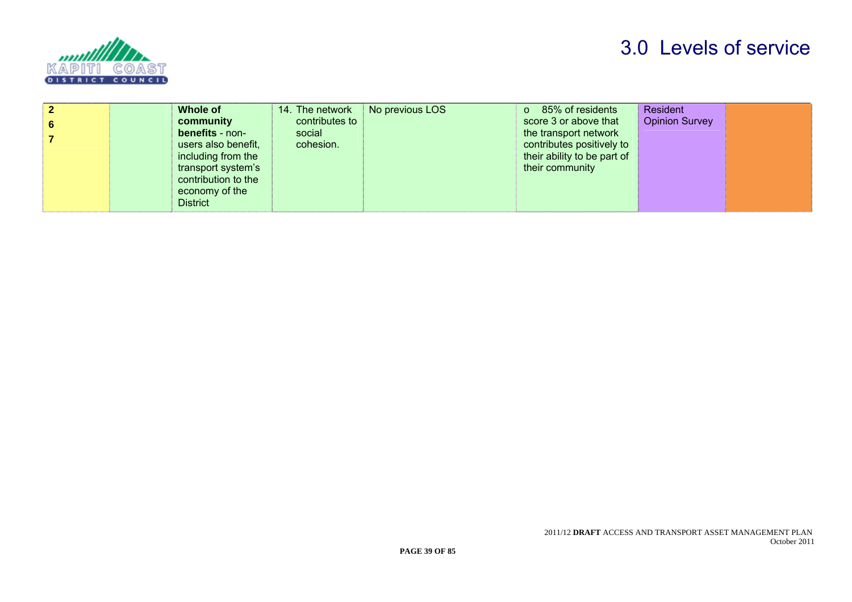

|   | Whole of               | 14. The network | No previous LOS | 85% of residents<br>$\circ$ | Resident       |  |
|---|------------------------|-----------------|-----------------|-----------------------------|----------------|--|
| 6 | community              | contributes to  |                 | score 3 or above that       | Opinion Survey |  |
|   | <b>benefits</b> - non- | social          |                 | the transport network       |                |  |
|   | users also benefit,    | cohesion.       |                 | contributes positively to   |                |  |
|   | including from the     |                 |                 | their ability to be part of |                |  |
|   | transport system's     |                 |                 | their community             |                |  |
|   | contribution to the    |                 |                 |                             |                |  |
|   | economy of the         |                 |                 |                             |                |  |
|   | <b>District</b>        |                 |                 |                             |                |  |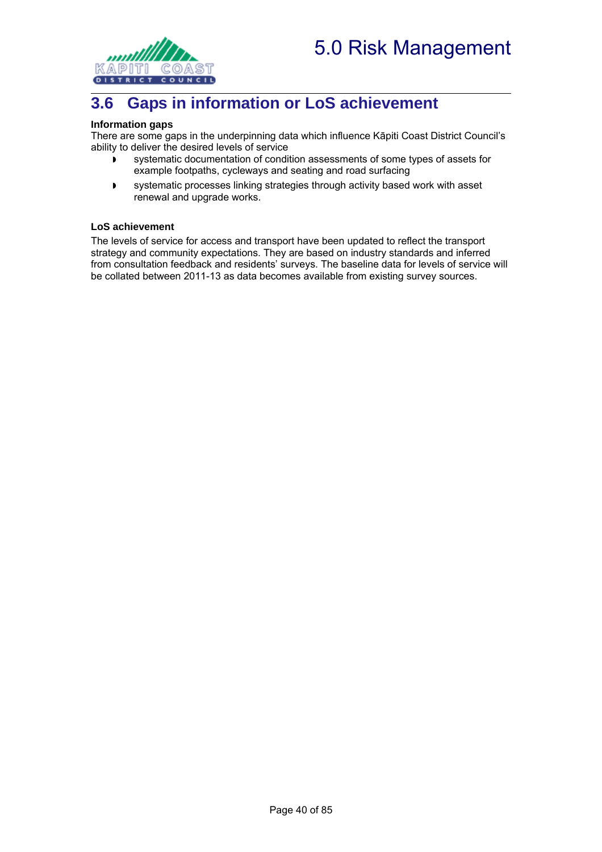

## **3.6 Gaps in information or LoS achievement**

#### **Information gaps**

There are some gaps in the underpinning data which influence Kāpiti Coast District Council's ability to deliver the desired levels of service

- systematic documentation of condition assessments of some types of assets for example footpaths, cycleways and seating and road surfacing
- systematic processes linking strategies through activity based work with asset renewal and upgrade works.

#### **LoS achievement**

The levels of service for access and transport have been updated to reflect the transport strategy and community expectations. They are based on industry standards and inferred from consultation feedback and residents' surveys. The baseline data for levels of service will be collated between 2011-13 as data becomes available from existing survey sources.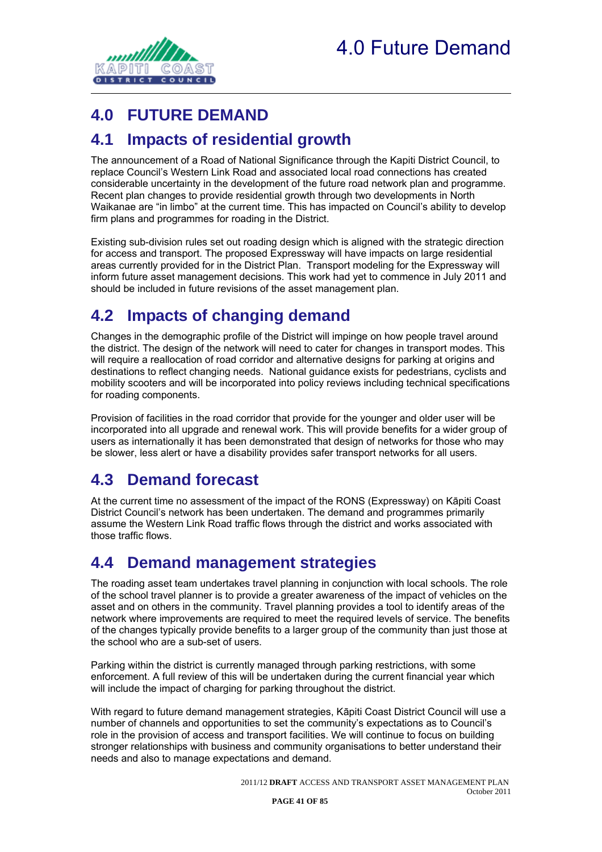

# **4.0 FUTURE DEMAND**

### **4.1 Impacts of residential growth**

The announcement of a Road of National Significance through the Kapiti District Council, to replace Council's Western Link Road and associated local road connections has created considerable uncertainty in the development of the future road network plan and programme. Recent plan changes to provide residential growth through two developments in North Waikanae are "in limbo" at the current time. This has impacted on Council's ability to develop firm plans and programmes for roading in the District.

Existing sub-division rules set out roading design which is aligned with the strategic direction for access and transport. The proposed Expressway will have impacts on large residential areas currently provided for in the District Plan. Transport modeling for the Expressway will inform future asset management decisions. This work had yet to commence in July 2011 and should be included in future revisions of the asset management plan.

# **4.2 Impacts of changing demand**

Changes in the demographic profile of the District will impinge on how people travel around the district. The design of the network will need to cater for changes in transport modes. This will require a reallocation of road corridor and alternative designs for parking at origins and destinations to reflect changing needs. National guidance exists for pedestrians, cyclists and mobility scooters and will be incorporated into policy reviews including technical specifications for roading components.

Provision of facilities in the road corridor that provide for the younger and older user will be incorporated into all upgrade and renewal work. This will provide benefits for a wider group of users as internationally it has been demonstrated that design of networks for those who may be slower, less alert or have a disability provides safer transport networks for all users.

## **4.3 Demand forecast**

At the current time no assessment of the impact of the RONS (Expressway) on Kāpiti Coast District Council's network has been undertaken. The demand and programmes primarily assume the Western Link Road traffic flows through the district and works associated with those traffic flows.

### **4.4 Demand management strategies**

The roading asset team undertakes travel planning in conjunction with local schools. The role of the school travel planner is to provide a greater awareness of the impact of vehicles on the asset and on others in the community. Travel planning provides a tool to identify areas of the network where improvements are required to meet the required levels of service. The benefits of the changes typically provide benefits to a larger group of the community than just those at the school who are a sub-set of users.

Parking within the district is currently managed through parking restrictions, with some enforcement. A full review of this will be undertaken during the current financial year which will include the impact of charging for parking throughout the district.

With regard to future demand management strategies, Kāpiti Coast District Council will use a number of channels and opportunities to set the community's expectations as to Council's role in the provision of access and transport facilities. We will continue to focus on building stronger relationships with business and community organisations to better understand their needs and also to manage expectations and demand.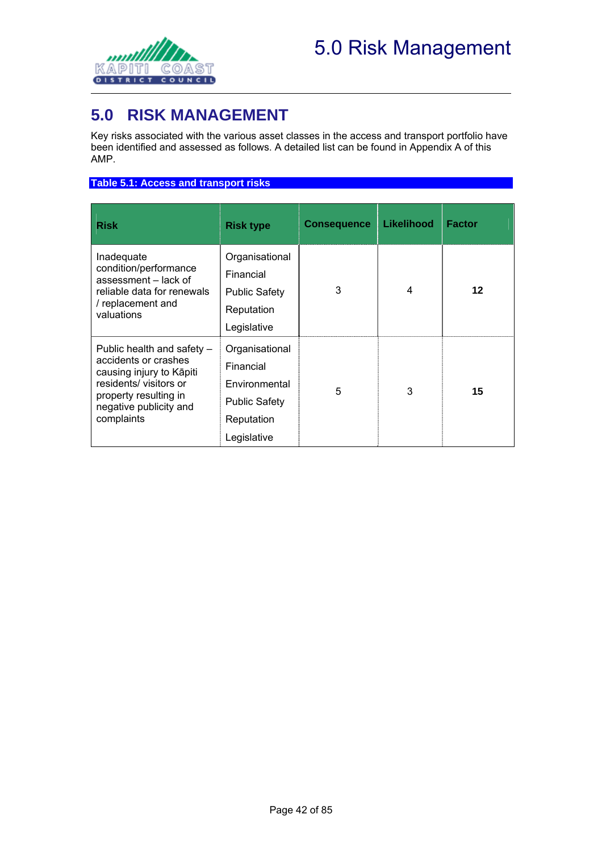

# **5.0 RISK MANAGEMENT**

Key risks associated with the various asset classes in the access and transport portfolio have been identified and assessed as follows. A detailed list can be found in Appendix A of this AMP.

#### **Table 5.1: Access and transport risks**

| <b>Risk</b>                                                                                                                                                              | <b>Risk type</b>                                                                                  | <b>Consequence</b> | Likelihood | <b>Factor</b> |
|--------------------------------------------------------------------------------------------------------------------------------------------------------------------------|---------------------------------------------------------------------------------------------------|--------------------|------------|---------------|
| Inadequate<br>condition/performance<br>assessment - lack of<br>reliable data for renewals<br>/ replacement and<br>valuations                                             | Organisational<br>Financial<br><b>Public Safety</b><br>Reputation<br>Legislative                  | 3                  | 4          | 12            |
| Public health and safety -<br>accidents or crashes<br>causing injury to Kāpiti<br>residents/visitors or<br>property resulting in<br>negative publicity and<br>complaints | Organisational<br>Financial<br>Environmental<br><b>Public Safety</b><br>Reputation<br>Legislative | 5                  | 3          | 15            |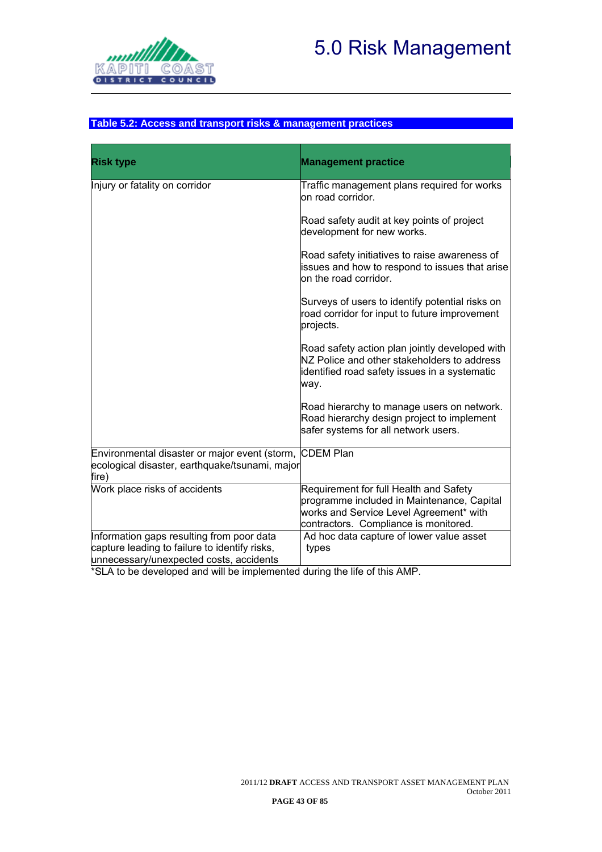



#### **Table 5.2: Access and transport risks & management practices**

| <b>Risk type</b>                                                                                                                      | <b>Management practice</b>                                                                                                                                               |
|---------------------------------------------------------------------------------------------------------------------------------------|--------------------------------------------------------------------------------------------------------------------------------------------------------------------------|
| Injury or fatality on corridor                                                                                                        | Traffic management plans required for works<br>on road corridor.                                                                                                         |
|                                                                                                                                       | Road safety audit at key points of project<br>development for new works.                                                                                                 |
|                                                                                                                                       | Road safety initiatives to raise awareness of<br>issues and how to respond to issues that arise<br>on the road corridor.                                                 |
|                                                                                                                                       | Surveys of users to identify potential risks on<br>road corridor for input to future improvement<br>projects.                                                            |
|                                                                                                                                       | Road safety action plan jointly developed with<br>NZ Police and other stakeholders to address<br>identified road safety issues in a systematic<br>way.                   |
|                                                                                                                                       | Road hierarchy to manage users on network.<br>Road hierarchy design project to implement<br>safer systems for all network users.                                         |
| Environmental disaster or major event (storm, CDEM Plan<br>ecological disaster, earthquake/tsunami, major<br>fire)                    |                                                                                                                                                                          |
| Work place risks of accidents                                                                                                         | Requirement for full Health and Safety<br>programme included in Maintenance, Capital<br>works and Service Level Agreement* with<br>contractors. Compliance is monitored. |
| Information gaps resulting from poor data<br>capture leading to failure to identify risks,<br>unnecessary/unexpected costs, accidents | Ad hoc data capture of lower value asset<br>types                                                                                                                        |

\*SLA to be developed and will be implemented during the life of this AMP.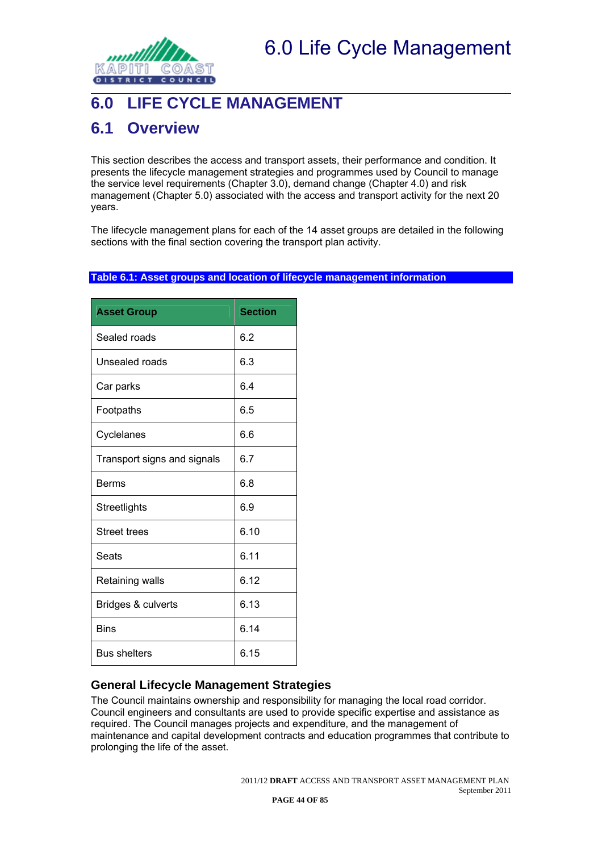

# **6.0 LIFE CYCLE MANAGEMENT**

### **6.1 Overview**

This section describes the access and transport assets, their performance and condition. It presents the lifecycle management strategies and programmes used by Council to manage the service level requirements (Chapter 3.0), demand change (Chapter 4.0) and risk management (Chapter 5.0) associated with the access and transport activity for the next 20 years.

The lifecycle management plans for each of the 14 asset groups are detailed in the following sections with the final section covering the transport plan activity.

#### **Table 6.1: Asset groups and location of lifecycle management information**

| <b>Asset Group</b>          | <b>Section</b> |
|-----------------------------|----------------|
| Sealed roads                | 6.2            |
| Unsealed roads              | 6.3            |
| Car parks                   | 6.4            |
| Footpaths                   | 6.5            |
| Cyclelanes                  | 6.6            |
| Transport signs and signals | 6.7            |
| Berms                       | 6.8            |
| Streetlights                | 6.9            |
| <b>Street trees</b>         | 6.10           |
| Seats                       | 6.11           |
| Retaining walls             | 6.12           |
| Bridges & culverts          | 6.13           |
| <b>Bins</b>                 | 6.14           |
| <b>Bus shelters</b>         | 6.15           |

#### **General Lifecycle Management Strategies**

The Council maintains ownership and responsibility for managing the local road corridor. Council engineers and consultants are used to provide specific expertise and assistance as required. The Council manages projects and expenditure, and the management of maintenance and capital development contracts and education programmes that contribute to prolonging the life of the asset.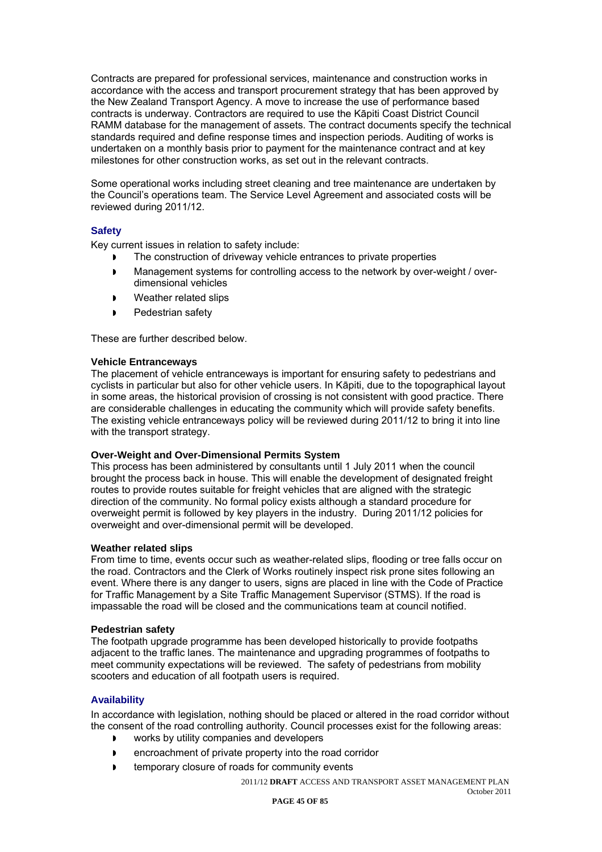Contracts are prepared for professional services, maintenance and construction works in accordance with the access and transport procurement strategy that has been approved by the New Zealand Transport Agency. A move to increase the use of performance based contracts is underway. Contractors are required to use the Kāpiti Coast District Council RAMM database for the management of assets. The contract documents specify the technical standards required and define response times and inspection periods. Auditing of works is undertaken on a monthly basis prior to payment for the maintenance contract and at key milestones for other construction works, as set out in the relevant contracts.

Some operational works including street cleaning and tree maintenance are undertaken by the Council's operations team. The Service Level Agreement and associated costs will be reviewed during 2011/12.

#### **Safety**

Key current issues in relation to safety include:

- The construction of driveway vehicle entrances to private properties
- Management systems for controlling access to the network by over-weight / overdimensional vehicles
- Weather related slips
- Pedestrian safety

These are further described below.

#### **Vehicle Entranceways**

The placement of vehicle entranceways is important for ensuring safety to pedestrians and cyclists in particular but also for other vehicle users. In Kāpiti, due to the topographical layout in some areas, the historical provision of crossing is not consistent with good practice. There are considerable challenges in educating the community which will provide safety benefits. The existing vehicle entranceways policy will be reviewed during 2011/12 to bring it into line with the transport strategy.

#### **Over-Weight and Over-Dimensional Permits System**

This process has been administered by consultants until 1 July 2011 when the council brought the process back in house. This will enable the development of designated freight routes to provide routes suitable for freight vehicles that are aligned with the strategic direction of the community. No formal policy exists although a standard procedure for overweight permit is followed by key players in the industry. During 2011/12 policies for overweight and over-dimensional permit will be developed.

#### **Weather related slips**

From time to time, events occur such as weather-related slips, flooding or tree falls occur on the road. Contractors and the Clerk of Works routinely inspect risk prone sites following an event. Where there is any danger to users, signs are placed in line with the Code of Practice for Traffic Management by a Site Traffic Management Supervisor (STMS). If the road is impassable the road will be closed and the communications team at council notified.

#### **Pedestrian safety**

The footpath upgrade programme has been developed historically to provide footpaths adjacent to the traffic lanes. The maintenance and upgrading programmes of footpaths to meet community expectations will be reviewed. The safety of pedestrians from mobility scooters and education of all footpath users is required.

#### **Availability**

In accordance with legislation, nothing should be placed or altered in the road corridor without the consent of the road controlling authority. Council processes exist for the following areas:

- **D** works by utility companies and developers
- **P** encroachment of private property into the road corridor
- temporary closure of roads for community events

2011/12 **DRAFT** ACCESS AND TRANSPORT ASSET MANAGEMENT PLAN October 2011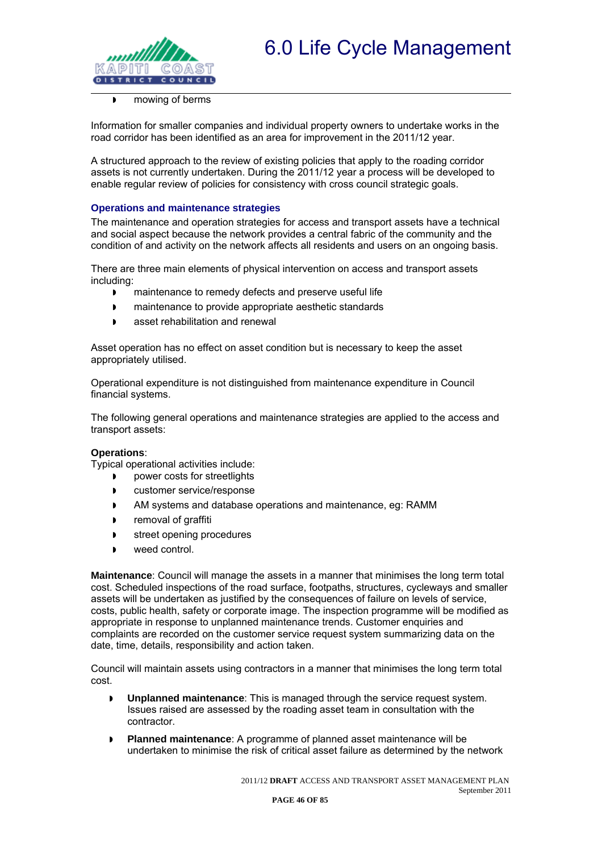

#### mowing of berms

Information for smaller companies and individual property owners to undertake works in the road corridor has been identified as an area for improvement in the 2011/12 year.

A structured approach to the review of existing policies that apply to the roading corridor assets is not currently undertaken. During the 2011/12 year a process will be developed to enable regular review of policies for consistency with cross council strategic goals.

#### **Operations and maintenance strategies**

The maintenance and operation strategies for access and transport assets have a technical and social aspect because the network provides a central fabric of the community and the condition of and activity on the network affects all residents and users on an ongoing basis.

There are three main elements of physical intervention on access and transport assets including:

- **n** maintenance to remedy defects and preserve useful life
- **n** maintenance to provide appropriate aesthetic standards
- **asset rehabilitation and renewal**

Asset operation has no effect on asset condition but is necessary to keep the asset appropriately utilised.

Operational expenditure is not distinguished from maintenance expenditure in Council financial systems.

The following general operations and maintenance strategies are applied to the access and transport assets:

#### **Operations**:

Typical operational activities include:

- **p** power costs for streetlights
- **D** customer service/response
- AM systems and database operations and maintenance, eg: RAMM
- **P** removal of graffiti
- **street opening procedures**
- **weed control.**

**Maintenance**: Council will manage the assets in a manner that minimises the long term total cost. Scheduled inspections of the road surface, footpaths, structures, cycleways and smaller assets will be undertaken as justified by the consequences of failure on levels of service, costs, public health, safety or corporate image. The inspection programme will be modified as appropriate in response to unplanned maintenance trends. Customer enquiries and complaints are recorded on the customer service request system summarizing data on the date, time, details, responsibility and action taken.

Council will maintain assets using contractors in a manner that minimises the long term total cost.

- **Unplanned maintenance**: This is managed through the service request system. Issues raised are assessed by the roading asset team in consultation with the contractor.
- **Planned maintenance**: A programme of planned asset maintenance will be undertaken to minimise the risk of critical asset failure as determined by the network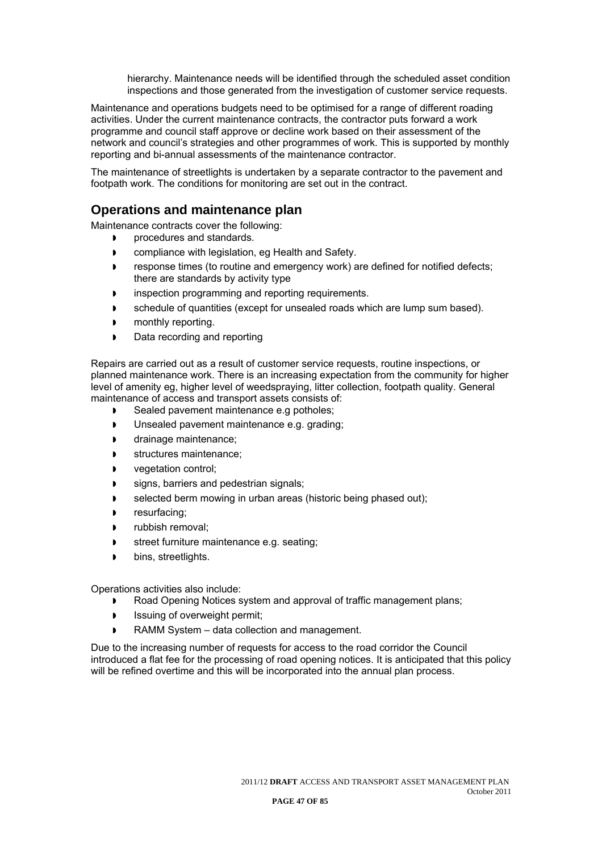hierarchy. Maintenance needs will be identified through the scheduled asset condition inspections and those generated from the investigation of customer service requests.

Maintenance and operations budgets need to be optimised for a range of different roading activities. Under the current maintenance contracts, the contractor puts forward a work programme and council staff approve or decline work based on their assessment of the network and council's strategies and other programmes of work. This is supported by monthly reporting and bi-annual assessments of the maintenance contractor.

The maintenance of streetlights is undertaken by a separate contractor to the pavement and footpath work. The conditions for monitoring are set out in the contract.

#### **Operations and maintenance plan**

Maintenance contracts cover the following:

- procedures and standards.
- **D** compliance with legislation, eg Health and Safety.
- **FALL** response times (to routine and emergency work) are defined for notified defects; there are standards by activity type
- **image 1** inspection programming and reporting requirements.
- schedule of quantities (except for unsealed roads which are lump sum based).
- monthly reporting.
- Data recording and reporting

Repairs are carried out as a result of customer service requests, routine inspections, or planned maintenance work. There is an increasing expectation from the community for higher level of amenity eg, higher level of weedspraying, litter collection, footpath quality. General maintenance of access and transport assets consists of:

- Sealed pavement maintenance e.g potholes;
- **I** Unsealed pavement maintenance e.g. grading;
- **drainage maintenance;**
- structures maintenance;
- vegetation control;
- signs, barriers and pedestrian signals;
- selected berm mowing in urban areas (historic being phased out);
- resurfacing;
- rubbish removal;
- street furniture maintenance e.g. seating;
- bins, streetlights.

Operations activities also include:

- Road Opening Notices system and approval of traffic management plans;
- **ISSUM** Issuing of overweight permit;
- RAMM System data collection and management.

Due to the increasing number of requests for access to the road corridor the Council introduced a flat fee for the processing of road opening notices. It is anticipated that this policy will be refined overtime and this will be incorporated into the annual plan process.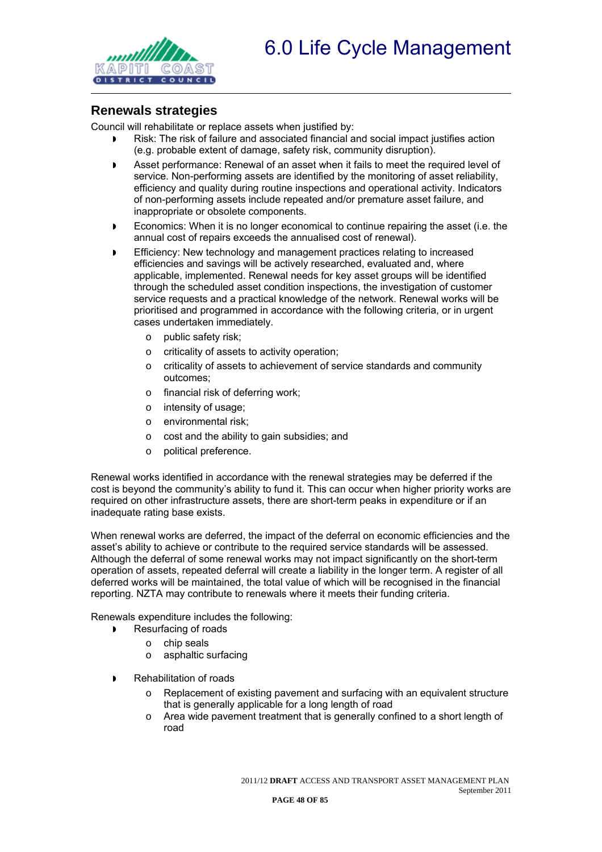

#### **Renewals strategies**

Council will rehabilitate or replace assets when justified by:

- Risk: The risk of failure and associated financial and social impact justifies action (e.g. probable extent of damage, safety risk, community disruption).
- Asset performance: Renewal of an asset when it fails to meet the required level of service. Non-performing assets are identified by the monitoring of asset reliability, efficiency and quality during routine inspections and operational activity. Indicators of non-performing assets include repeated and/or premature asset failure, and inappropriate or obsolete components.
- **Economics: When it is no longer economical to continue repairing the asset (i.e. the** annual cost of repairs exceeds the annualised cost of renewal).
- Efficiency: New technology and management practices relating to increased efficiencies and savings will be actively researched, evaluated and, where applicable, implemented. Renewal needs for key asset groups will be identified through the scheduled asset condition inspections, the investigation of customer service requests and a practical knowledge of the network. Renewal works will be prioritised and programmed in accordance with the following criteria, or in urgent cases undertaken immediately.
	- o public safety risk;
	- o criticality of assets to activity operation;
	- o criticality of assets to achievement of service standards and community outcomes;
	- o financial risk of deferring work;
	- o intensity of usage;
	- o environmental risk;
	- o cost and the ability to gain subsidies; and
	- o political preference.

Renewal works identified in accordance with the renewal strategies may be deferred if the cost is beyond the community's ability to fund it. This can occur when higher priority works are required on other infrastructure assets, there are short-term peaks in expenditure or if an inadequate rating base exists.

When renewal works are deferred, the impact of the deferral on economic efficiencies and the asset's ability to achieve or contribute to the required service standards will be assessed. Although the deferral of some renewal works may not impact significantly on the short-term operation of assets, repeated deferral will create a liability in the longer term. A register of all deferred works will be maintained, the total value of which will be recognised in the financial reporting. NZTA may contribute to renewals where it meets their funding criteria.

Renewals expenditure includes the following:

- Resurfacing of roads
	- o chip seals
	- o asphaltic surfacing
- Rehabilitation of roads
	- $\circ$  Replacement of existing pavement and surfacing with an equivalent structure that is generally applicable for a long length of road
	- $\circ$  Area wide pavement treatment that is generally confined to a short length of road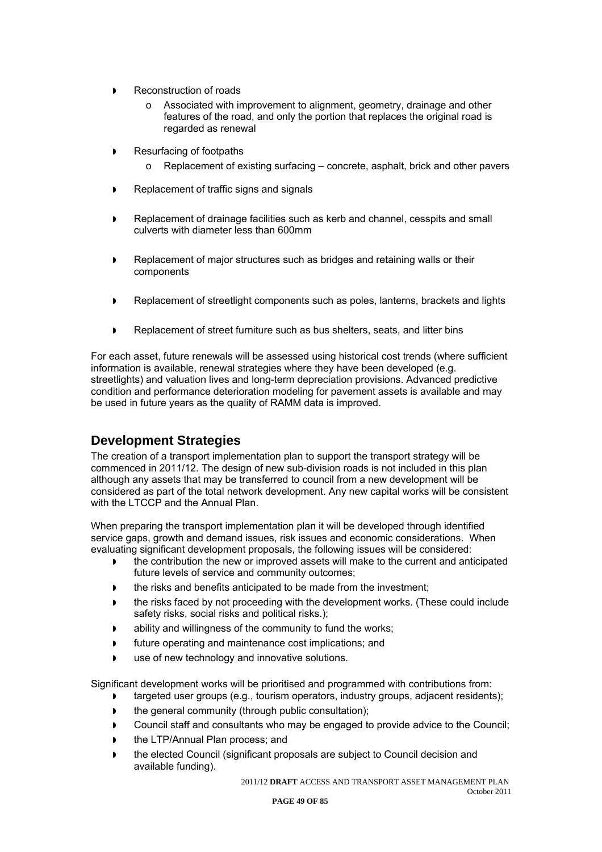- Reconstruction of roads
	- o Associated with improvement to alignment, geometry, drainage and other features of the road, and only the portion that replaces the original road is regarded as renewal
- Resurfacing of footpaths
	- $\circ$  Replacement of existing surfacing concrete, asphalt, brick and other pavers
- Replacement of traffic signs and signals
- Replacement of drainage facilities such as kerb and channel, cesspits and small culverts with diameter less than 600mm
- Replacement of major structures such as bridges and retaining walls or their components
- **Replacement of streetlight components such as poles, lanterns, brackets and lights**
- **P** Replacement of street furniture such as bus shelters, seats, and litter bins

For each asset, future renewals will be assessed using historical cost trends (where sufficient information is available, renewal strategies where they have been developed (e.g. streetlights) and valuation lives and long-term depreciation provisions. Advanced predictive condition and performance deterioration modeling for pavement assets is available and may be used in future years as the quality of RAMM data is improved.

#### **Development Strategies**

The creation of a transport implementation plan to support the transport strategy will be commenced in 2011/12. The design of new sub-division roads is not included in this plan although any assets that may be transferred to council from a new development will be considered as part of the total network development. Any new capital works will be consistent with the LTCCP and the Annual Plan.

When preparing the transport implementation plan it will be developed through identified service gaps, growth and demand issues, risk issues and economic considerations. When evaluating significant development proposals, the following issues will be considered:

- the contribution the new or improved assets will make to the current and anticipated future levels of service and community outcomes;
- **the risks and benefits anticipated to be made from the investment;**
- the risks faced by not proceeding with the development works. (These could include safety risks, social risks and political risks.);
- ability and willingness of the community to fund the works;
- future operating and maintenance cost implications; and
- use of new technology and innovative solutions.

Significant development works will be prioritised and programmed with contributions from:

- targeted user groups (e.g., tourism operators, industry groups, adjacent residents);
- **the general community (through public consultation);**
- Council staff and consultants who may be engaged to provide advice to the Council;
- the LTP/Annual Plan process; and
- the elected Council (significant proposals are subject to Council decision and available funding).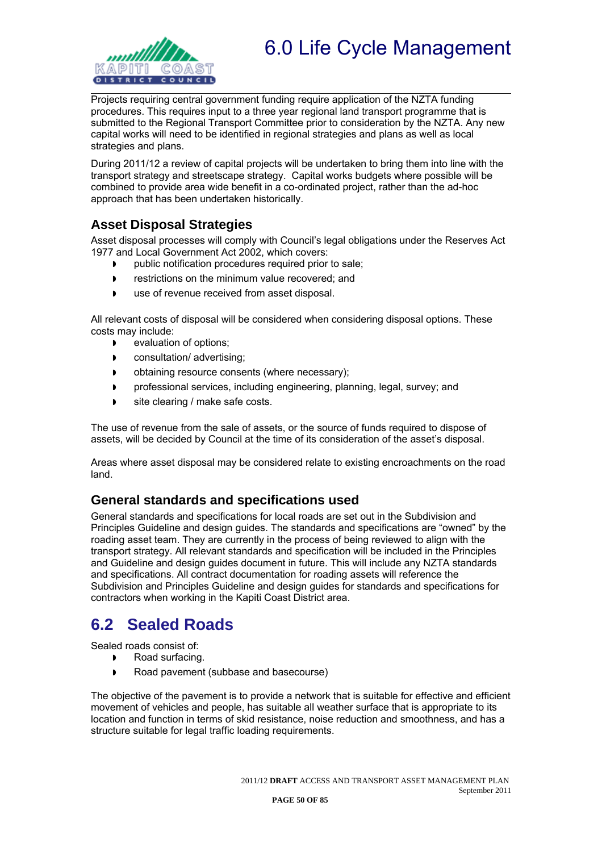

Projects requiring central government funding require application of the NZTA funding procedures. This requires input to a three year regional land transport programme that is submitted to the Regional Transport Committee prior to consideration by the NZTA. Any new capital works will need to be identified in regional strategies and plans as well as local strategies and plans.

During 2011/12 a review of capital projects will be undertaken to bring them into line with the transport strategy and streetscape strategy. Capital works budgets where possible will be combined to provide area wide benefit in a co-ordinated project, rather than the ad-hoc approach that has been undertaken historically.

### **Asset Disposal Strategies**

Asset disposal processes will comply with Council's legal obligations under the Reserves Act 1977 and Local Government Act 2002, which covers:

- **p** public notification procedures required prior to sale;
- **Fig. 3** restrictions on the minimum value recovered; and
- use of revenue received from asset disposal.

All relevant costs of disposal will be considered when considering disposal options. These costs may include:

- **D** evaluation of options;
- **D** consultation/advertising;
- **b** obtaining resource consents (where necessary):
- **Professional services, including engineering, planning, legal, survey; and**
- site clearing / make safe costs.

The use of revenue from the sale of assets, or the source of funds required to dispose of assets, will be decided by Council at the time of its consideration of the asset's disposal.

Areas where asset disposal may be considered relate to existing encroachments on the road land.

#### **General standards and specifications used**

General standards and specifications for local roads are set out in the Subdivision and Principles Guideline and design guides. The standards and specifications are "owned" by the roading asset team. They are currently in the process of being reviewed to align with the transport strategy. All relevant standards and specification will be included in the Principles and Guideline and design guides document in future. This will include any NZTA standards and specifications. All contract documentation for roading assets will reference the Subdivision and Principles Guideline and design guides for standards and specifications for contractors when working in the Kapiti Coast District area.

## **6.2 Sealed Roads**

Sealed roads consist of:

- Road surfacing.
- Road pavement (subbase and basecourse)

The objective of the pavement is to provide a network that is suitable for effective and efficient movement of vehicles and people, has suitable all weather surface that is appropriate to its location and function in terms of skid resistance, noise reduction and smoothness, and has a structure suitable for legal traffic loading requirements.

**PAGE 50 OF 85**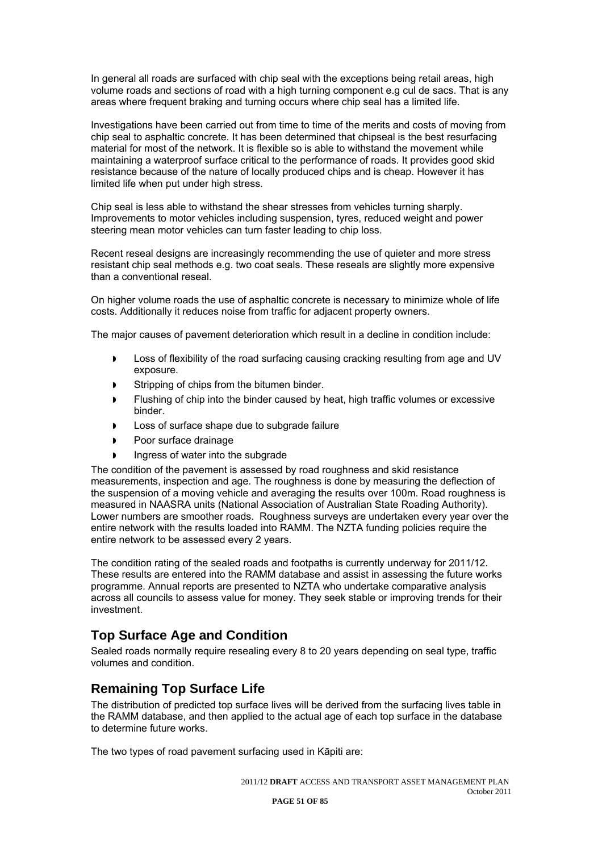In general all roads are surfaced with chip seal with the exceptions being retail areas, high volume roads and sections of road with a high turning component e.g cul de sacs. That is any areas where frequent braking and turning occurs where chip seal has a limited life.

Investigations have been carried out from time to time of the merits and costs of moving from chip seal to asphaltic concrete. It has been determined that chipseal is the best resurfacing material for most of the network. It is flexible so is able to withstand the movement while maintaining a waterproof surface critical to the performance of roads. It provides good skid resistance because of the nature of locally produced chips and is cheap. However it has limited life when put under high stress.

Chip seal is less able to withstand the shear stresses from vehicles turning sharply. Improvements to motor vehicles including suspension, tyres, reduced weight and power steering mean motor vehicles can turn faster leading to chip loss.

Recent reseal designs are increasingly recommending the use of quieter and more stress resistant chip seal methods e.g. two coat seals. These reseals are slightly more expensive than a conventional reseal.

On higher volume roads the use of asphaltic concrete is necessary to minimize whole of life costs. Additionally it reduces noise from traffic for adjacent property owners.

The major causes of pavement deterioration which result in a decline in condition include:

- Loss of flexibility of the road surfacing causing cracking resulting from age and UV exposure.
- Stripping of chips from the bitumen binder.
- Flushing of chip into the binder caused by heat, high traffic volumes or excessive binder.
- Loss of surface shape due to subgrade failure
- Poor surface drainage
- Ingress of water into the subgrade

The condition of the pavement is assessed by road roughness and skid resistance measurements, inspection and age. The roughness is done by measuring the deflection of the suspension of a moving vehicle and averaging the results over 100m. Road roughness is measured in NAASRA units (National Association of Australian State Roading Authority). Lower numbers are smoother roads. Roughness surveys are undertaken every year over the entire network with the results loaded into RAMM. The NZTA funding policies require the entire network to be assessed every 2 years.

The condition rating of the sealed roads and footpaths is currently underway for 2011/12. These results are entered into the RAMM database and assist in assessing the future works programme. Annual reports are presented to NZTA who undertake comparative analysis across all councils to assess value for money. They seek stable or improving trends for their investment.

#### **Top Surface Age and Condition**

Sealed roads normally require resealing every 8 to 20 years depending on seal type, traffic volumes and condition.

#### **Remaining Top Surface Life**

The distribution of predicted top surface lives will be derived from the surfacing lives table in the RAMM database, and then applied to the actual age of each top surface in the database to determine future works.

The two types of road pavement surfacing used in Kāpiti are: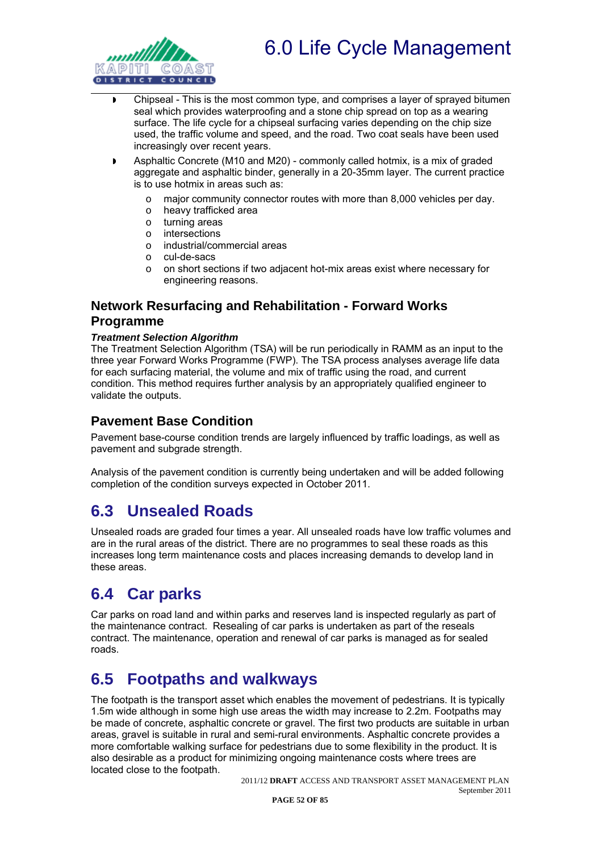



- Chipseal This is the most common type, and comprises a layer of sprayed bitumen seal which provides waterproofing and a stone chip spread on top as a wearing surface. The life cycle for a chipseal surfacing varies depending on the chip size used, the traffic volume and speed, and the road. Two coat seals have been used increasingly over recent years.
- Asphaltic Concrete (M10 and M20) commonly called hotmix, is a mix of graded aggregate and asphaltic binder, generally in a 20-35mm layer. The current practice is to use hotmix in areas such as:
	- o major community connector routes with more than 8,000 vehicles per day.
	- o heavy trafficked area
	- o turning areas
	- o intersections
	- o industrial/commercial areas
	- o cul-de-sacs
	- o on short sections if two adjacent hot-mix areas exist where necessary for engineering reasons.

### **Network Resurfacing and Rehabilitation - Forward Works Programme**

#### *Treatment Selection Algorithm*

The Treatment Selection Algorithm (TSA) will be run periodically in RAMM as an input to the three year Forward Works Programme (FWP). The TSA process analyses average life data for each surfacing material, the volume and mix of traffic using the road, and current condition. This method requires further analysis by an appropriately qualified engineer to validate the outputs.

#### **Pavement Base Condition**

Pavement base-course condition trends are largely influenced by traffic loadings, as well as pavement and subgrade strength.

Analysis of the pavement condition is currently being undertaken and will be added following completion of the condition surveys expected in October 2011.

### **6.3 Unsealed Roads**

Unsealed roads are graded four times a year. All unsealed roads have low traffic volumes and are in the rural areas of the district. There are no programmes to seal these roads as this increases long term maintenance costs and places increasing demands to develop land in these areas.

### **6.4 Car parks**

Car parks on road land and within parks and reserves land is inspected regularly as part of the maintenance contract. Resealing of car parks is undertaken as part of the reseals contract. The maintenance, operation and renewal of car parks is managed as for sealed roads.

### **6.5 Footpaths and walkways**

The footpath is the transport asset which enables the movement of pedestrians. It is typically 1.5m wide although in some high use areas the width may increase to 2.2m. Footpaths may be made of concrete, asphaltic concrete or gravel. The first two products are suitable in urban areas, gravel is suitable in rural and semi-rural environments. Asphaltic concrete provides a more comfortable walking surface for pedestrians due to some flexibility in the product. It is also desirable as a product for minimizing ongoing maintenance costs where trees are located close to the footpath.

2011/12 **DRAFT** ACCESS AND TRANSPORT ASSET MANAGEMENT PLAN September 2011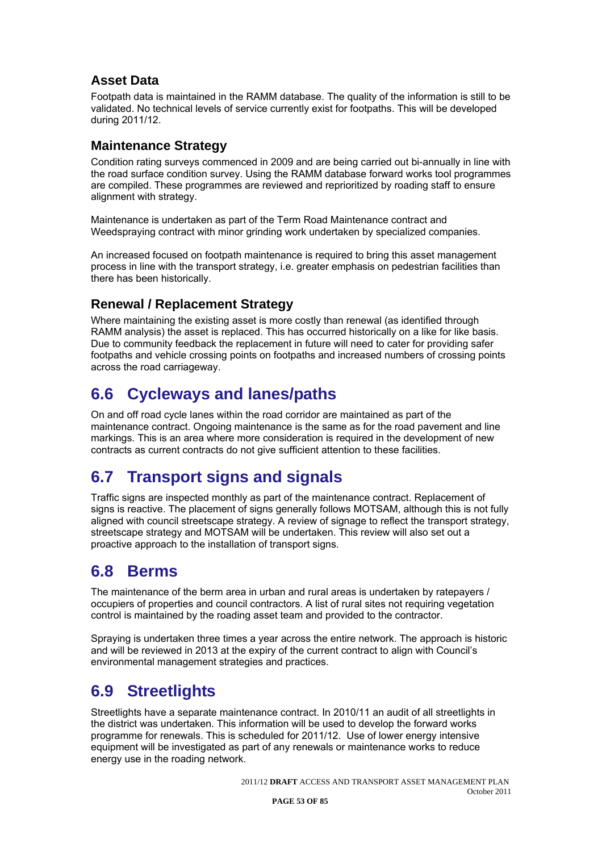### **Asset Data**

Footpath data is maintained in the RAMM database. The quality of the information is still to be validated. No technical levels of service currently exist for footpaths. This will be developed during 2011/12.

#### **Maintenance Strategy**

Condition rating surveys commenced in 2009 and are being carried out bi-annually in line with the road surface condition survey. Using the RAMM database forward works tool programmes are compiled. These programmes are reviewed and reprioritized by roading staff to ensure alignment with strategy.

Maintenance is undertaken as part of the Term Road Maintenance contract and Weedspraying contract with minor grinding work undertaken by specialized companies.

An increased focused on footpath maintenance is required to bring this asset management process in line with the transport strategy, i.e. greater emphasis on pedestrian facilities than there has been historically.

### **Renewal / Replacement Strategy**

Where maintaining the existing asset is more costly than renewal (as identified through RAMM analysis) the asset is replaced. This has occurred historically on a like for like basis. Due to community feedback the replacement in future will need to cater for providing safer footpaths and vehicle crossing points on footpaths and increased numbers of crossing points across the road carriageway.

## **6.6 Cycleways and lanes/paths**

On and off road cycle lanes within the road corridor are maintained as part of the maintenance contract. Ongoing maintenance is the same as for the road pavement and line markings. This is an area where more consideration is required in the development of new contracts as current contracts do not give sufficient attention to these facilities.

## **6.7 Transport signs and signals**

Traffic signs are inspected monthly as part of the maintenance contract. Replacement of signs is reactive. The placement of signs generally follows MOTSAM, although this is not fully aligned with council streetscape strategy. A review of signage to reflect the transport strategy, streetscape strategy and MOTSAM will be undertaken. This review will also set out a proactive approach to the installation of transport signs.

## **6.8 Berms**

The maintenance of the berm area in urban and rural areas is undertaken by ratepayers / occupiers of properties and council contractors. A list of rural sites not requiring vegetation control is maintained by the roading asset team and provided to the contractor.

Spraying is undertaken three times a year across the entire network. The approach is historic and will be reviewed in 2013 at the expiry of the current contract to align with Council's environmental management strategies and practices.

# **6.9 Streetlights**

Streetlights have a separate maintenance contract. In 2010/11 an audit of all streetlights in the district was undertaken. This information will be used to develop the forward works programme for renewals. This is scheduled for 2011/12. Use of lower energy intensive equipment will be investigated as part of any renewals or maintenance works to reduce energy use in the roading network.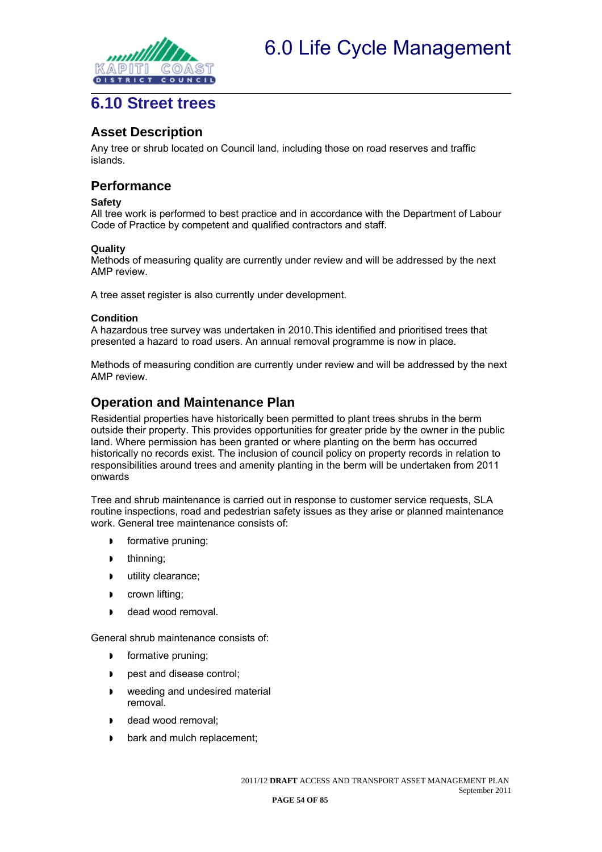

### **6.10 Street trees**

#### **Asset Description**

Any tree or shrub located on Council land, including those on road reserves and traffic islands.

#### **Performance**

#### **Safety**

All tree work is performed to best practice and in accordance with the Department of Labour Code of Practice by competent and qualified contractors and staff.

#### **Quality**

Methods of measuring quality are currently under review and will be addressed by the next AMP review.

A tree asset register is also currently under development.

#### **Condition**

A hazardous tree survey was undertaken in 2010.This identified and prioritised trees that presented a hazard to road users. An annual removal programme is now in place.

Methods of measuring condition are currently under review and will be addressed by the next AMP review.

#### **Operation and Maintenance Plan**

Residential properties have historically been permitted to plant trees shrubs in the berm outside their property. This provides opportunities for greater pride by the owner in the public land. Where permission has been granted or where planting on the berm has occurred historically no records exist. The inclusion of council policy on property records in relation to responsibilities around trees and amenity planting in the berm will be undertaken from 2011 onwards

Tree and shrub maintenance is carried out in response to customer service requests, SLA routine inspections, road and pedestrian safety issues as they arise or planned maintenance work. General tree maintenance consists of:

- **formative pruning;**
- **b** thinning;
- **utility clearance;**
- **D** crown lifting;
- dead wood removal.

General shrub maintenance consists of:

- **formative pruning;**
- **p** pest and disease control:
- **weeding and undesired material** removal.
- dead wood removal:
- **b** bark and mulch replacement;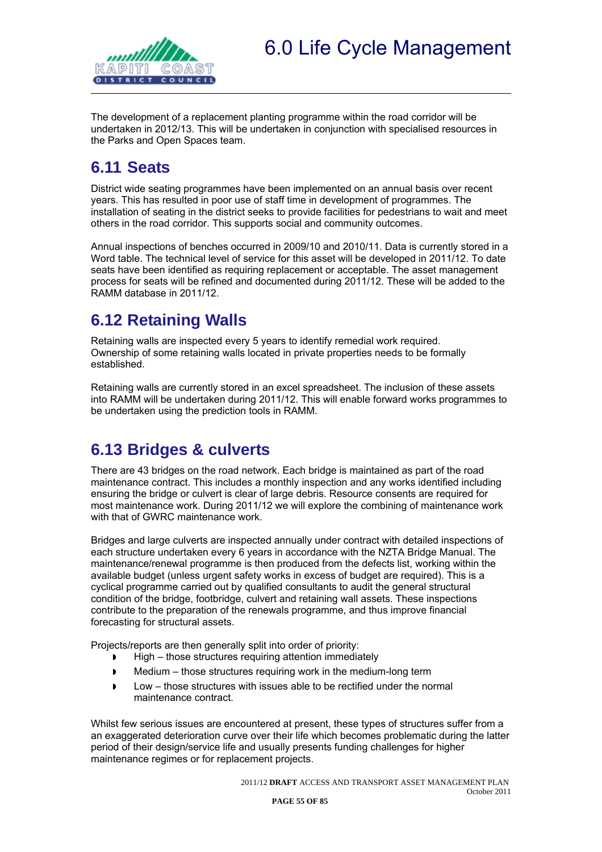

The development of a replacement planting programme within the road corridor will be undertaken in 2012/13. This will be undertaken in conjunction with specialised resources in the Parks and Open Spaces team.

## **6.11 Seats**

District wide seating programmes have been implemented on an annual basis over recent years. This has resulted in poor use of staff time in development of programmes. The installation of seating in the district seeks to provide facilities for pedestrians to wait and meet others in the road corridor. This supports social and community outcomes.

Annual inspections of benches occurred in 2009/10 and 2010/11. Data is currently stored in a Word table. The technical level of service for this asset will be developed in 2011/12. To date seats have been identified as requiring replacement or acceptable. The asset management process for seats will be refined and documented during 2011/12. These will be added to the RAMM database in 2011/12.

# **6.12 Retaining Walls**

Retaining walls are inspected every 5 years to identify remedial work required. Ownership of some retaining walls located in private properties needs to be formally established.

Retaining walls are currently stored in an excel spreadsheet. The inclusion of these assets into RAMM will be undertaken during 2011/12. This will enable forward works programmes to be undertaken using the prediction tools in RAMM.

## **6.13 Bridges & culverts**

There are 43 bridges on the road network. Each bridge is maintained as part of the road maintenance contract. This includes a monthly inspection and any works identified including ensuring the bridge or culvert is clear of large debris. Resource consents are required for most maintenance work. During 2011/12 we will explore the combining of maintenance work with that of GWRC maintenance work.

Bridges and large culverts are inspected annually under contract with detailed inspections of each structure undertaken every 6 years in accordance with the NZTA Bridge Manual. The maintenance/renewal programme is then produced from the defects list, working within the available budget (unless urgent safety works in excess of budget are required). This is a cyclical programme carried out by qualified consultants to audit the general structural condition of the bridge, footbridge, culvert and retaining wall assets. These inspections contribute to the preparation of the renewals programme, and thus improve financial forecasting for structural assets.

Projects/reports are then generally split into order of priority:

- $\blacktriangleright$  High those structures requiring attention immediately
- Medium those structures requiring work in the medium-long term
- Low those structures with issues able to be rectified under the normal maintenance contract.

Whilst few serious issues are encountered at present, these types of structures suffer from a an exaggerated deterioration curve over their life which becomes problematic during the latter period of their design/service life and usually presents funding challenges for higher maintenance regimes or for replacement projects.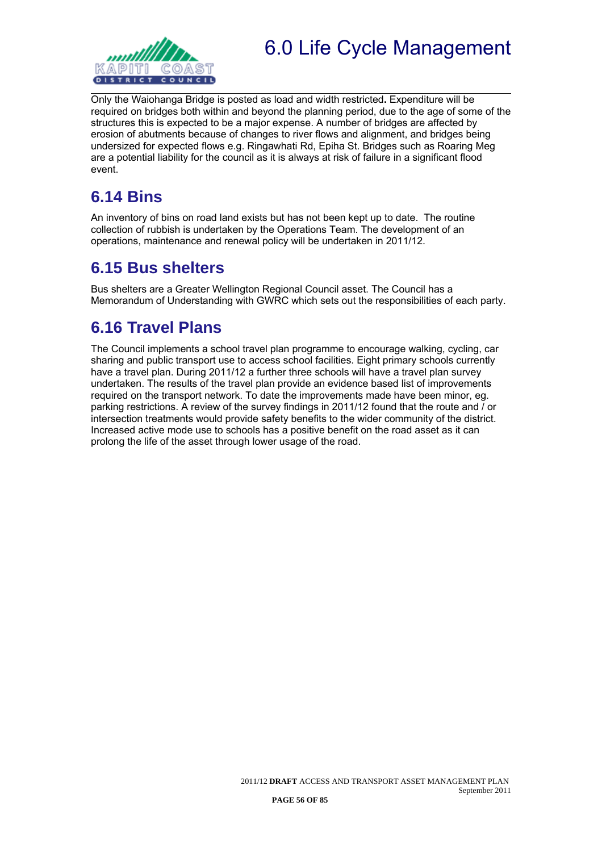

Only the Waiohanga Bridge is posted as load and width restricted**.** Expenditure will be required on bridges both within and beyond the planning period, due to the age of some of the structures this is expected to be a major expense. A number of bridges are affected by erosion of abutments because of changes to river flows and alignment, and bridges being undersized for expected flows e.g. Ringawhati Rd, Epiha St. Bridges such as Roaring Meg are a potential liability for the council as it is always at risk of failure in a significant flood event.

# **6.14 Bins**

An inventory of bins on road land exists but has not been kept up to date. The routine collection of rubbish is undertaken by the Operations Team. The development of an operations, maintenance and renewal policy will be undertaken in 2011/12.

### **6.15 Bus shelters**

Bus shelters are a Greater Wellington Regional Council asset. The Council has a Memorandum of Understanding with GWRC which sets out the responsibilities of each party.

# **6.16 Travel Plans**

The Council implements a school travel plan programme to encourage walking, cycling, car sharing and public transport use to access school facilities. Eight primary schools currently have a travel plan. During 2011/12 a further three schools will have a travel plan survey undertaken. The results of the travel plan provide an evidence based list of improvements required on the transport network. To date the improvements made have been minor, eg. parking restrictions. A review of the survey findings in 2011/12 found that the route and / or intersection treatments would provide safety benefits to the wider community of the district. Increased active mode use to schools has a positive benefit on the road asset as it can prolong the life of the asset through lower usage of the road.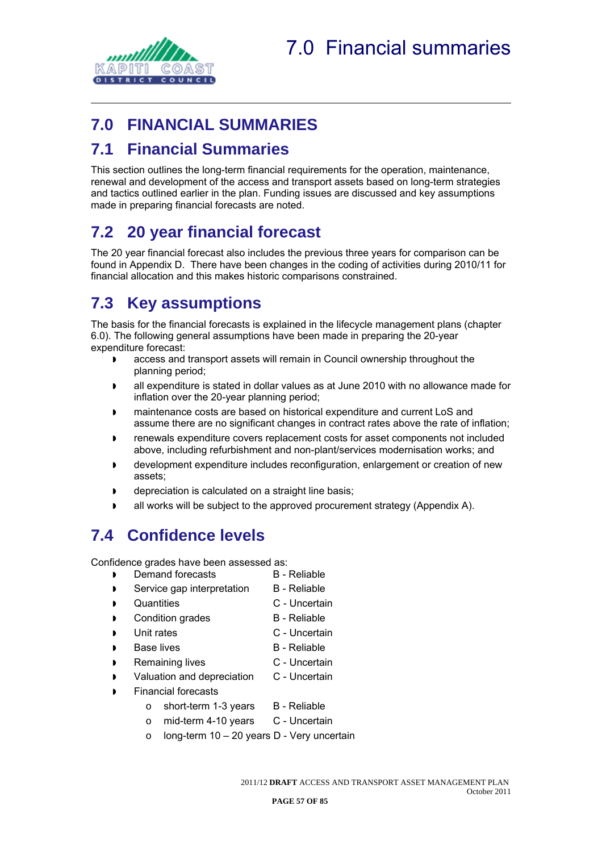

# **7.0 FINANCIAL SUMMARIES**

## **7.1 Financial Summaries**

This section outlines the long-term financial requirements for the operation, maintenance, renewal and development of the access and transport assets based on long-term strategies and tactics outlined earlier in the plan. Funding issues are discussed and key assumptions made in preparing financial forecasts are noted.

# **7.2 20 year financial forecast**

The 20 year financial forecast also includes the previous three years for comparison can be found in Appendix D. There have been changes in the coding of activities during 2010/11 for financial allocation and this makes historic comparisons constrained.

# **7.3 Key assumptions**

The basis for the financial forecasts is explained in the lifecycle management plans (chapter 6.0). The following general assumptions have been made in preparing the 20-year expenditure forecast:

- access and transport assets will remain in Council ownership throughout the planning period;
- all expenditure is stated in dollar values as at June 2010 with no allowance made for inflation over the 20-year planning period;
- maintenance costs are based on historical expenditure and current LoS and assume there are no significant changes in contract rates above the rate of inflation;
- renewals expenditure covers replacement costs for asset components not included above, including refurbishment and non-plant/services modernisation works; and
- development expenditure includes reconfiguration, enlargement or creation of new assets;
- depreciation is calculated on a straight line basis;
- all works will be subject to the approved procurement strategy (Appendix A).

## **7.4 Confidence levels**

Confidence grades have been assessed as:

- **Demand forecasts B Reliable**
- Service gap interpretation B Reliable
- **D** Quantities **C** Uncertain
- **Condition grades** B Reliable
- Unit rates C Uncertain
- 
- Base lives B Reliable
	- Remaining lives C Uncertain
- Valuation and depreciation C Uncertain
- Financial forecasts
	- $\circ$  short-term 1-3 years  $\circ$  B Reliable
	- o mid-term 4-10 years C Uncertain
	- o long-term 10 20 years D Very uncertain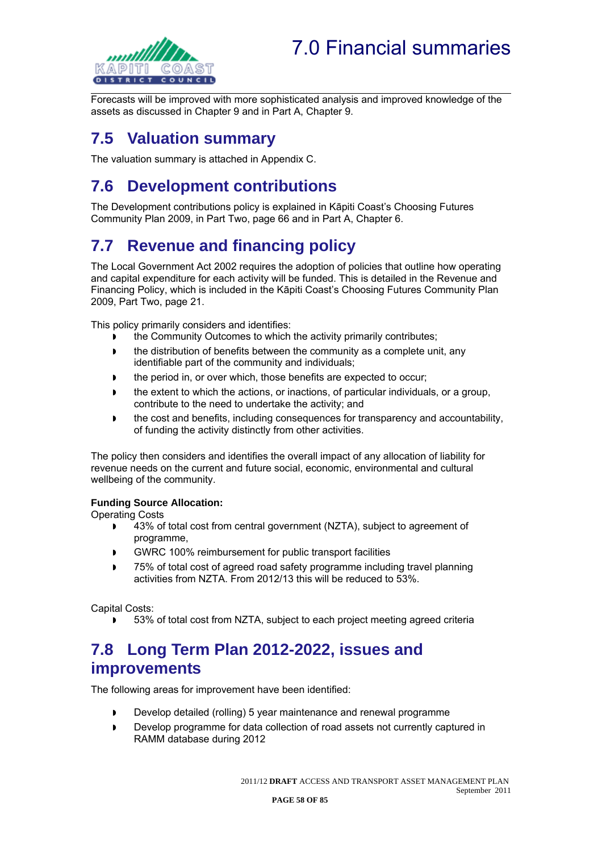# 7.0 Financial summaries



Forecasts will be improved with more sophisticated analysis and improved knowledge of the assets as discussed in Chapter 9 and in Part A, Chapter 9.

# **7.5 Valuation summary**

The valuation summary is attached in Appendix C.

# **7.6 Development contributions**

The Development contributions policy is explained in Kāpiti Coast's Choosing Futures Community Plan 2009, in Part Two, page 66 and in Part A, Chapter 6.

# **7.7 Revenue and financing policy**

The Local Government Act 2002 requires the adoption of policies that outline how operating and capital expenditure for each activity will be funded. This is detailed in the Revenue and Financing Policy, which is included in the Kāpiti Coast's Choosing Futures Community Plan 2009, Part Two, page 21.

This policy primarily considers and identifies:

- **the Community Outcomes to which the activity primarily contributes;**
- **the distribution of benefits between the community as a complete unit, any** identifiable part of the community and individuals;
- the period in, or over which, those benefits are expected to occur;
- **the extent to which the actions, or inactions, of particular individuals, or a group,** contribute to the need to undertake the activity; and
- the cost and benefits, including consequences for transparency and accountability, of funding the activity distinctly from other activities.

The policy then considers and identifies the overall impact of any allocation of liability for revenue needs on the current and future social, economic, environmental and cultural wellbeing of the community.

#### **Funding Source Allocation:**

Operating Costs

- 43% of total cost from central government (NZTA), subject to agreement of programme,
- GWRC 100% reimbursement for public transport facilities
- 75% of total cost of agreed road safety programme including travel planning activities from NZTA. From 2012/13 this will be reduced to 53%.

Capital Costs:

**53% of total cost from NZTA, subject to each project meeting agreed criteria** 

### **7.8 Long Term Plan 2012-2022, issues and improvements**

The following areas for improvement have been identified:

- Develop detailed (rolling) 5 year maintenance and renewal programme
- Develop programme for data collection of road assets not currently captured in RAMM database during 2012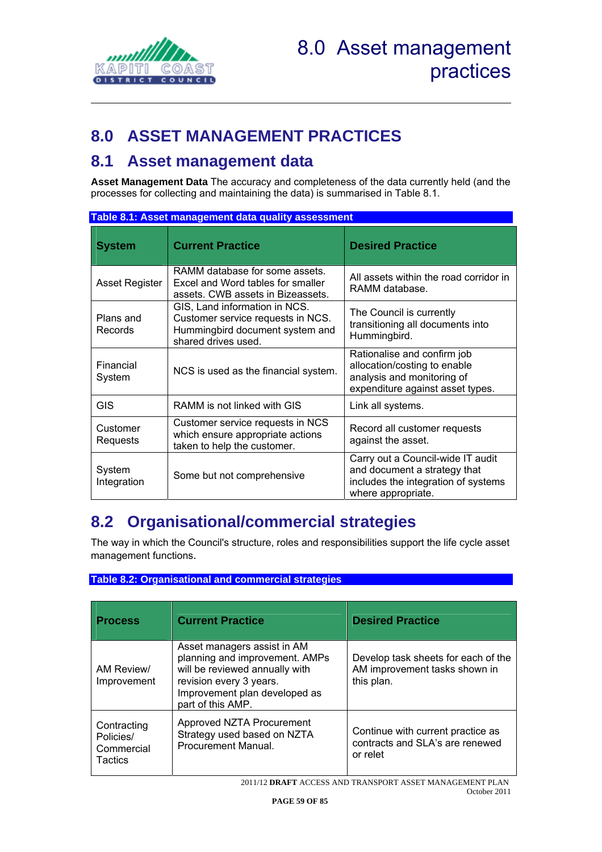

# **8.0 ASSET MANAGEMENT PRACTICES**

### **8.1 Asset management data**

**Asset Management Data** The accuracy and completeness of the data currently held (and the processes for collecting and maintaining the data) is summarised in Table 8.1.

| Table 8.1: Asset management data quality assessment |                                                                                                                              |                                                                                                                                |  |
|-----------------------------------------------------|------------------------------------------------------------------------------------------------------------------------------|--------------------------------------------------------------------------------------------------------------------------------|--|
| <b>System</b>                                       | <b>Current Practice</b>                                                                                                      | <b>Desired Practice</b>                                                                                                        |  |
| Asset Register                                      | RAMM database for some assets.<br>Excel and Word tables for smaller<br>assets. CWB assets in Bizeassets.                     | All assets within the road corridor in<br>RAMM database.                                                                       |  |
| Plans and<br>Records                                | GIS, Land information in NCS.<br>Customer service requests in NCS.<br>Hummingbird document system and<br>shared drives used. | The Council is currently<br>transitioning all documents into<br>Hummingbird.                                                   |  |
| Financial<br>System                                 | NCS is used as the financial system.                                                                                         | Rationalise and confirm job<br>allocation/costing to enable<br>analysis and monitoring of<br>expenditure against asset types.  |  |
| <b>GIS</b>                                          | RAMM is not linked with GIS                                                                                                  | Link all systems.                                                                                                              |  |
| Customer<br>Requests                                | Customer service requests in NCS<br>which ensure appropriate actions<br>taken to help the customer.                          | Record all customer requests<br>against the asset.                                                                             |  |
| System<br>Integration                               | Some but not comprehensive                                                                                                   | Carry out a Council-wide IT audit<br>and document a strategy that<br>includes the integration of systems<br>where appropriate. |  |

## **8.2 Organisational/commercial strategies**

The way in which the Council's structure, roles and responsibilities support the life cycle asset management functions.

#### **Table 8.2: Organisational and commercial strategies**

| <b>Process</b>                                    | <b>Current Practice</b>                                                                                                                                                          | <b>Desired Practice</b>                                                            |
|---------------------------------------------------|----------------------------------------------------------------------------------------------------------------------------------------------------------------------------------|------------------------------------------------------------------------------------|
| AM Review/<br>Improvement                         | Asset managers assist in AM<br>planning and improvement. AMPs<br>will be reviewed annually with<br>revision every 3 years.<br>Improvement plan developed as<br>part of this AMP. | Develop task sheets for each of the<br>AM improvement tasks shown in<br>this plan. |
| Contracting<br>Policies/<br>Commercial<br>Tactics | Approved NZTA Procurement<br>Strategy used based on NZTA<br>Procurement Manual.                                                                                                  | Continue with current practice as<br>contracts and SLA's are renewed<br>or relet   |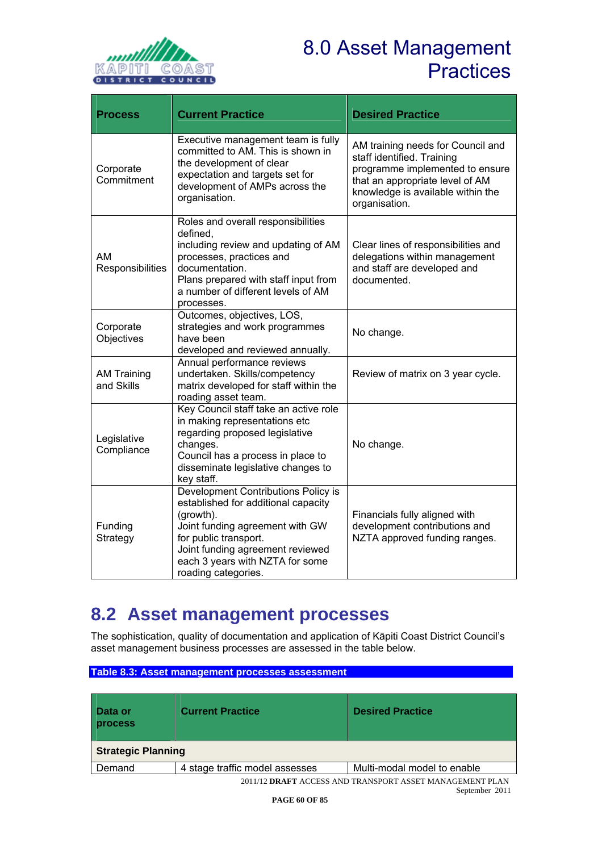

# 8.0 Asset Management **Practices**

| <b>Process</b>                   | <b>Current Practice</b>                                                                                                                                                                                                                           | <b>Desired Practice</b>                                                                                                                                                                     |
|----------------------------------|---------------------------------------------------------------------------------------------------------------------------------------------------------------------------------------------------------------------------------------------------|---------------------------------------------------------------------------------------------------------------------------------------------------------------------------------------------|
| Corporate<br>Commitment          | Executive management team is fully<br>committed to AM. This is shown in<br>the development of clear<br>expectation and targets set for<br>development of AMPs across the<br>organisation.                                                         | AM training needs for Council and<br>staff identified. Training<br>programme implemented to ensure<br>that an appropriate level of AM<br>knowledge is available within the<br>organisation. |
| <b>AM</b><br>Responsibilities    | Roles and overall responsibilities<br>defined,<br>including review and updating of AM<br>processes, practices and<br>documentation.<br>Plans prepared with staff input from<br>a number of different levels of AM<br>processes.                   | Clear lines of responsibilities and<br>delegations within management<br>and staff are developed and<br>documented.                                                                          |
| Corporate<br>Objectives          | Outcomes, objectives, LOS,<br>strategies and work programmes<br>have been<br>developed and reviewed annually.                                                                                                                                     | No change.                                                                                                                                                                                  |
| <b>AM Training</b><br>and Skills | Annual performance reviews<br>undertaken. Skills/competency<br>matrix developed for staff within the<br>roading asset team.                                                                                                                       | Review of matrix on 3 year cycle.                                                                                                                                                           |
| Legislative<br>Compliance        | Key Council staff take an active role<br>in making representations etc<br>regarding proposed legislative<br>changes.<br>Council has a process in place to<br>disseminate legislative changes to<br>key staff.                                     | No change.                                                                                                                                                                                  |
| Funding<br>Strategy              | Development Contributions Policy is<br>established for additional capacity<br>(growth).<br>Joint funding agreement with GW<br>for public transport.<br>Joint funding agreement reviewed<br>each 3 years with NZTA for some<br>roading categories. | Financials fully aligned with<br>development contributions and<br>NZTA approved funding ranges.                                                                                             |

# **8.2 Asset management processes**

The sophistication, quality of documentation and application of Kāpiti Coast District Council's asset management business processes are assessed in the table below.

#### **Table 8.3: Asset management processes assessment**

| Data or<br><b>process</b> | <b>Current Practice</b>        | <b>Desired Practice</b>     |  |  |
|---------------------------|--------------------------------|-----------------------------|--|--|
| <b>Strategic Planning</b> |                                |                             |  |  |
| Demand                    | 4 stage traffic model assesses | Multi-modal model to enable |  |  |

2011/12 **DRAFT** ACCESS AND TRANSPORT ASSET MANAGEMENT PLAN September 2011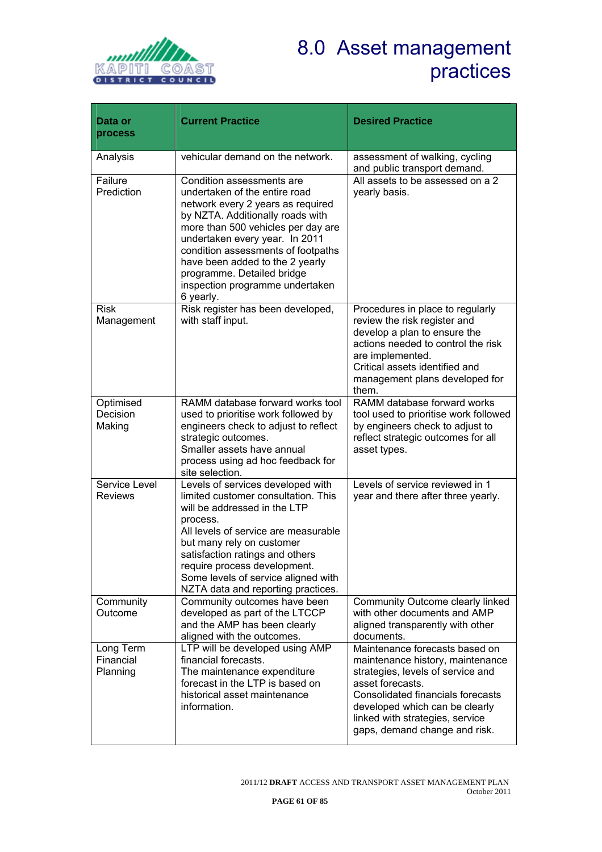

# 8.0 Asset management practices

| Data or                            | <b>Current Practice</b>                                                                                                                                                                                                                                                                                                                                            | <b>Desired Practice</b>                                                                                                                                                                                                                                                |
|------------------------------------|--------------------------------------------------------------------------------------------------------------------------------------------------------------------------------------------------------------------------------------------------------------------------------------------------------------------------------------------------------------------|------------------------------------------------------------------------------------------------------------------------------------------------------------------------------------------------------------------------------------------------------------------------|
| process                            |                                                                                                                                                                                                                                                                                                                                                                    |                                                                                                                                                                                                                                                                        |
| Analysis                           | vehicular demand on the network.                                                                                                                                                                                                                                                                                                                                   | assessment of walking, cycling<br>and public transport demand.                                                                                                                                                                                                         |
| Failure<br>Prediction              | Condition assessments are<br>undertaken of the entire road<br>network every 2 years as required<br>by NZTA. Additionally roads with<br>more than 500 vehicles per day are<br>undertaken every year. In 2011<br>condition assessments of footpaths<br>have been added to the 2 yearly<br>programme. Detailed bridge<br>inspection programme undertaken<br>6 yearly. | All assets to be assessed on a 2<br>yearly basis.                                                                                                                                                                                                                      |
| <b>Risk</b><br>Management          | Risk register has been developed,<br>with staff input.                                                                                                                                                                                                                                                                                                             | Procedures in place to regularly<br>review the risk register and<br>develop a plan to ensure the<br>actions needed to control the risk<br>are implemented.<br>Critical assets identified and<br>management plans developed for<br>them.                                |
| Optimised<br>Decision<br>Making    | RAMM database forward works tool<br>used to prioritise work followed by<br>engineers check to adjust to reflect<br>strategic outcomes.<br>Smaller assets have annual<br>process using ad hoc feedback for<br>site selection.                                                                                                                                       | RAMM database forward works<br>tool used to prioritise work followed<br>by engineers check to adjust to<br>reflect strategic outcomes for all<br>asset types.                                                                                                          |
| Service Level<br><b>Reviews</b>    | Levels of services developed with<br>limited customer consultation. This<br>will be addressed in the LTP<br>process.<br>All levels of service are measurable<br>but many rely on customer<br>satisfaction ratings and others<br>require process development.<br>Some levels of service aligned with<br>NZTA data and reporting practices.                          | Levels of service reviewed in 1<br>year and there after three yearly.                                                                                                                                                                                                  |
| Community<br>Outcome               | Community outcomes have been<br>developed as part of the LTCCP<br>and the AMP has been clearly<br>aligned with the outcomes.                                                                                                                                                                                                                                       | Community Outcome clearly linked<br>with other documents and AMP<br>aligned transparently with other<br>documents.                                                                                                                                                     |
| Long Term<br>Financial<br>Planning | LTP will be developed using AMP<br>financial forecasts.<br>The maintenance expenditure<br>forecast in the LTP is based on<br>historical asset maintenance<br>information.                                                                                                                                                                                          | Maintenance forecasts based on<br>maintenance history, maintenance<br>strategies, levels of service and<br>asset forecasts.<br>Consolidated financials forecasts<br>developed which can be clearly<br>linked with strategies, service<br>gaps, demand change and risk. |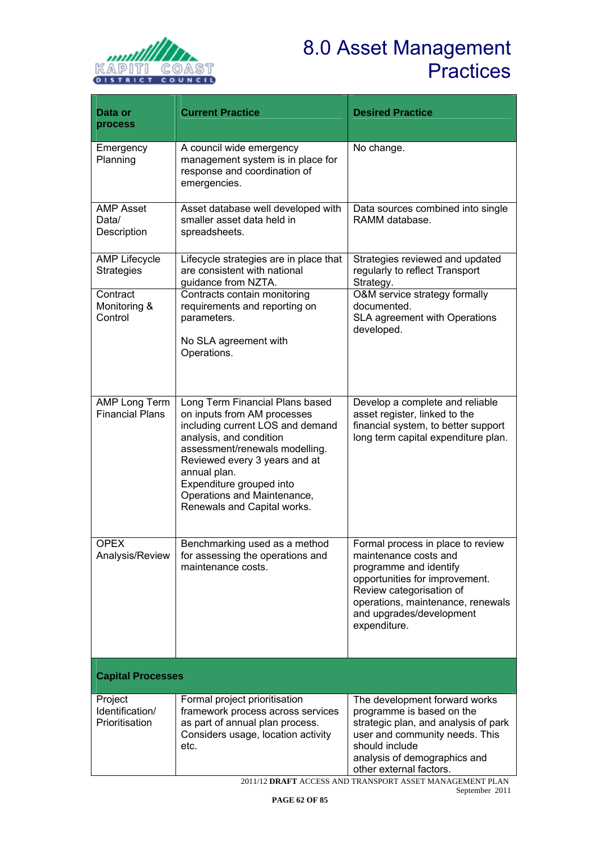

# 8.0 Asset Management **Practices**

| Data or<br>process                           | <b>Current Practice</b>                                                                                                                                                                                                                                                                                    | <b>Desired Practice</b>                                                                                                                                                                                                             |  |  |
|----------------------------------------------|------------------------------------------------------------------------------------------------------------------------------------------------------------------------------------------------------------------------------------------------------------------------------------------------------------|-------------------------------------------------------------------------------------------------------------------------------------------------------------------------------------------------------------------------------------|--|--|
| Emergency<br>Planning                        | A council wide emergency<br>management system is in place for<br>response and coordination of<br>emergencies.                                                                                                                                                                                              | No change.                                                                                                                                                                                                                          |  |  |
| <b>AMP Asset</b><br>Data/<br>Description     | Asset database well developed with<br>smaller asset data held in<br>spreadsheets.                                                                                                                                                                                                                          | Data sources combined into single<br>RAMM database.                                                                                                                                                                                 |  |  |
| <b>AMP Lifecycle</b><br><b>Strategies</b>    | Lifecycle strategies are in place that<br>are consistent with national<br>guidance from NZTA.                                                                                                                                                                                                              | Strategies reviewed and updated<br>regularly to reflect Transport<br>Strategy.                                                                                                                                                      |  |  |
| Contract<br>Monitoring &<br>Control          | Contracts contain monitoring<br>requirements and reporting on<br>parameters.<br>No SLA agreement with<br>Operations.                                                                                                                                                                                       | O&M service strategy formally<br>documented.<br>SLA agreement with Operations<br>developed.                                                                                                                                         |  |  |
| AMP Long Term<br><b>Financial Plans</b>      | Long Term Financial Plans based<br>on inputs from AM processes<br>including current LOS and demand<br>analysis, and condition<br>assessment/renewals modelling.<br>Reviewed every 3 years and at<br>annual plan.<br>Expenditure grouped into<br>Operations and Maintenance,<br>Renewals and Capital works. | Develop a complete and reliable<br>asset register, linked to the<br>financial system, to better support<br>long term capital expenditure plan.                                                                                      |  |  |
| <b>OPEX</b><br>Analysis/Review               | Benchmarking used as a method<br>for assessing the operations and<br>maintenance costs.                                                                                                                                                                                                                    | Formal process in place to review<br>maintenance costs and<br>programme and identify<br>opportunities for improvement.<br>Review categorisation of<br>operations, maintenance, renewals<br>and upgrades/development<br>expenditure. |  |  |
| <b>Capital Processes</b>                     |                                                                                                                                                                                                                                                                                                            |                                                                                                                                                                                                                                     |  |  |
| Project<br>Identification/<br>Prioritisation | Formal project prioritisation<br>framework process across services<br>as part of annual plan process.<br>Considers usage, location activity<br>etc.                                                                                                                                                        | The development forward works<br>programme is based on the<br>strategic plan, and analysis of park<br>user and community needs. This<br>should include<br>analysis of demographics and<br>other external factors.                   |  |  |

2011/12 **DRAFT** ACCESS AND TRANSPORT ASSET MANAGEMENT PLAN September 2011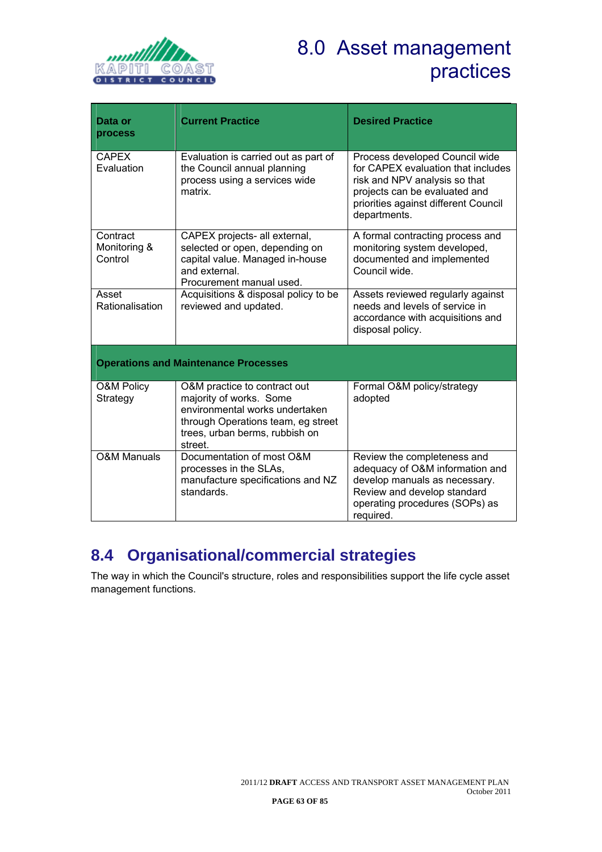

# 8.0 Asset management practices

| Data or<br>process                          | <b>Current Practice</b>                                                                                                                                                      | <b>Desired Practice</b>                                                                                                                                                                        |  |  |
|---------------------------------------------|------------------------------------------------------------------------------------------------------------------------------------------------------------------------------|------------------------------------------------------------------------------------------------------------------------------------------------------------------------------------------------|--|--|
| <b>CAPEX</b><br>Evaluation                  | Evaluation is carried out as part of<br>the Council annual planning<br>process using a services wide<br>matrix.                                                              | Process developed Council wide<br>for CAPEX evaluation that includes<br>risk and NPV analysis so that<br>projects can be evaluated and<br>priorities against different Council<br>departments. |  |  |
| Contract<br>Monitoring &<br>Control         | CAPEX projects- all external,<br>selected or open, depending on<br>capital value. Managed in-house<br>and external.<br>Procurement manual used.                              | A formal contracting process and<br>monitoring system developed,<br>documented and implemented<br>Council wide.                                                                                |  |  |
| Asset<br>Rationalisation                    | Acquisitions & disposal policy to be<br>reviewed and updated.                                                                                                                | Assets reviewed regularly against<br>needs and levels of service in<br>accordance with acquisitions and<br>disposal policy.                                                                    |  |  |
| <b>Operations and Maintenance Processes</b> |                                                                                                                                                                              |                                                                                                                                                                                                |  |  |
| <b>O&amp;M Policy</b><br>Strategy           | O&M practice to contract out<br>majority of works. Some<br>environmental works undertaken<br>through Operations team, eg street<br>trees, urban berms, rubbish on<br>street. | Formal O&M policy/strategy<br>adopted                                                                                                                                                          |  |  |
| <b>O&amp;M Manuals</b>                      | Documentation of most O&M<br>processes in the SLAs,<br>manufacture specifications and NZ<br>standards.                                                                       | Review the completeness and<br>adequacy of O&M information and<br>develop manuals as necessary.<br>Review and develop standard<br>operating procedures (SOPs) as<br>required.                  |  |  |

# **8.4 Organisational/commercial strategies**

The way in which the Council's structure, roles and responsibilities support the life cycle asset management functions.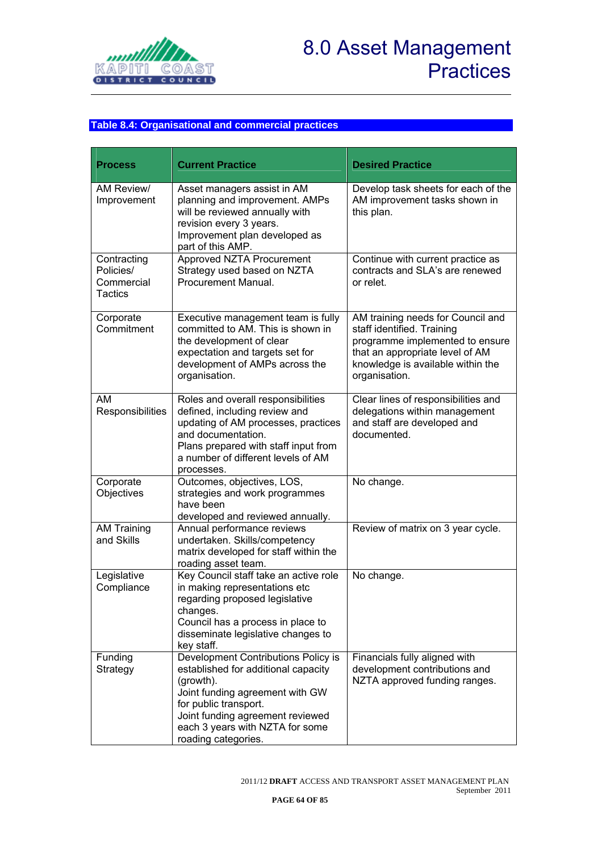

# 8.0 Asset Management **Practices**

#### **Table 8.4: Organisational and commercial practices**

| <b>Process</b>                                           | <b>Current Practice</b>                                                                                                                                                                                                                           | <b>Desired Practice</b>                                                                                                                                                                     |  |
|----------------------------------------------------------|---------------------------------------------------------------------------------------------------------------------------------------------------------------------------------------------------------------------------------------------------|---------------------------------------------------------------------------------------------------------------------------------------------------------------------------------------------|--|
| AM Review/<br>Improvement                                | Asset managers assist in AM<br>planning and improvement. AMPs<br>will be reviewed annually with<br>revision every 3 years.<br>Improvement plan developed as<br>part of this AMP.                                                                  | Develop task sheets for each of the<br>AM improvement tasks shown in<br>this plan.                                                                                                          |  |
| Contracting<br>Policies/<br>Commercial<br><b>Tactics</b> | Approved NZTA Procurement<br>Strategy used based on NZTA<br>Procurement Manual.                                                                                                                                                                   | Continue with current practice as<br>contracts and SLA's are renewed<br>or relet.                                                                                                           |  |
| Corporate<br>Commitment                                  | Executive management team is fully<br>committed to AM. This is shown in<br>the development of clear<br>expectation and targets set for<br>development of AMPs across the<br>organisation.                                                         | AM training needs for Council and<br>staff identified. Training<br>programme implemented to ensure<br>that an appropriate level of AM<br>knowledge is available within the<br>organisation. |  |
| AM<br>Responsibilities                                   | Roles and overall responsibilities<br>defined, including review and<br>updating of AM processes, practices<br>and documentation.<br>Plans prepared with staff input from<br>a number of different levels of AM<br>processes.                      | Clear lines of responsibilities and<br>delegations within management<br>and staff are developed and<br>documented.                                                                          |  |
| Corporate<br>Objectives                                  | Outcomes, objectives, LOS,<br>strategies and work programmes<br>have been<br>developed and reviewed annually.                                                                                                                                     | No change.                                                                                                                                                                                  |  |
| <b>AM Training</b><br>and Skills                         | Annual performance reviews<br>undertaken. Skills/competency<br>matrix developed for staff within the<br>roading asset team.                                                                                                                       | Review of matrix on 3 year cycle.                                                                                                                                                           |  |
| Legislative<br>Compliance                                | Key Council staff take an active role<br>in making representations etc<br>regarding proposed legislative<br>changes.<br>Council has a process in place to<br>disseminate legislative changes to<br>key staff.                                     | No change.                                                                                                                                                                                  |  |
| Funding<br>Strategy                                      | Development Contributions Policy is<br>established for additional capacity<br>(growth).<br>Joint funding agreement with GW<br>for public transport.<br>Joint funding agreement reviewed<br>each 3 years with NZTA for some<br>roading categories. | Financials fully aligned with<br>development contributions and<br>NZTA approved funding ranges.                                                                                             |  |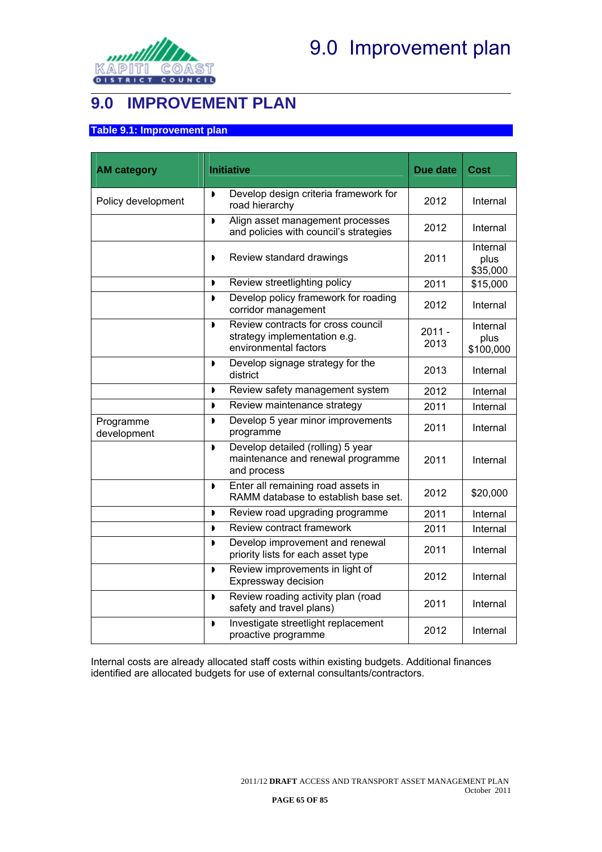

## **9.0 IMPROVEMENT PLAN**

#### **Table 9.1: Improvement plan**

| <b>AM category</b>       | <b>Initiative</b>                                                                                             | Due date         | Cost                          |
|--------------------------|---------------------------------------------------------------------------------------------------------------|------------------|-------------------------------|
| Policy development       | Develop design criteria framework for<br>$\blacksquare$<br>road hierarchy                                     | 2012             | Internal                      |
|                          | Align asset management processes<br>D<br>and policies with council's strategies                               | 2012             | Internal                      |
|                          | Review standard drawings<br>D                                                                                 | 2011             | Internal<br>plus<br>\$35,000  |
|                          | Review streetlighting policy<br>$\blacksquare$                                                                | 2011             | \$15,000                      |
|                          | Develop policy framework for roading<br>$\blacksquare$<br>corridor management                                 | 2012             | Internal                      |
|                          | Review contracts for cross council<br>$\blacksquare$<br>strategy implementation e.g.<br>environmental factors | $2011 -$<br>2013 | Internal<br>plus<br>\$100,000 |
|                          | Develop signage strategy for the<br>$\blacksquare$<br>district                                                | 2013             | Internal                      |
|                          | Review safety management system<br>$\blacksquare$                                                             | 2012             | Internal                      |
|                          | Review maintenance strategy<br>,                                                                              | 2011             | Internal                      |
| Programme<br>development | Develop 5 year minor improvements<br>D<br>programme                                                           | 2011             | Internal                      |
|                          | Develop detailed (rolling) 5 year<br>$\blacksquare$<br>maintenance and renewal programme<br>and process       | 2011             | Internal                      |
|                          | Enter all remaining road assets in<br>D<br>RAMM database to establish base set.                               | 2012             | \$20,000                      |
|                          | Review road upgrading programme<br>$\mathbf{D}$                                                               | 2011             | Internal                      |
|                          | Review contract framework<br>$\blacksquare$                                                                   | 2011             | Internal                      |
|                          | Develop improvement and renewal<br>D<br>priority lists for each asset type                                    | 2011             | Internal                      |
|                          | Review improvements in light of<br>$\blacksquare$<br>Expressway decision                                      | 2012             | Internal                      |
|                          | Review roading activity plan (road<br>$\mathbf{D}$<br>safety and travel plans)                                | 2011             | Internal                      |
|                          | Investigate streetlight replacement<br>$\blacksquare$<br>proactive programme                                  | 2012             | Internal                      |

Internal costs are already allocated staff costs within existing budgets. Additional finances identified are allocated budgets for use of external consultants/contractors.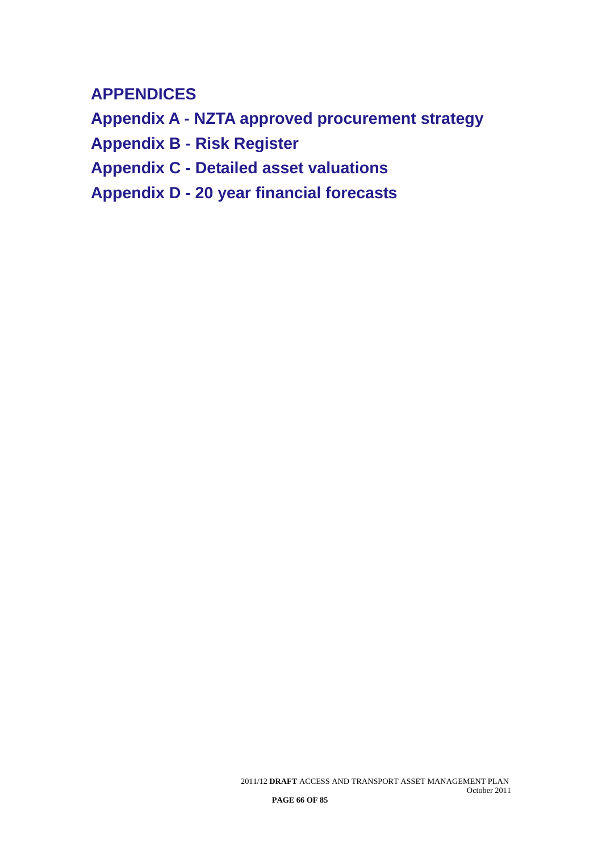# **APPENDICES**

**Appendix A - NZTA approved procurement strategy Appendix B - Risk Register Appendix C - Detailed asset valuations Appendix D - 20 year financial forecasts**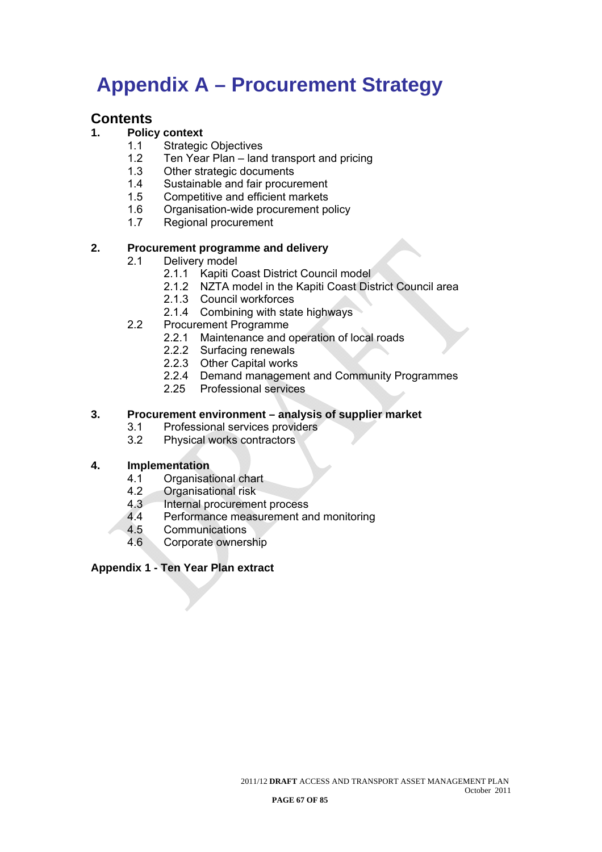# **Appendix A – Procurement Strategy**

### **Contents**

#### **1. Policy context**

- 1.1 Strategic Objectives
- 1.2 Ten Year Plan land transport and pricing
- 1.3 Other strategic documents
- 1.4 Sustainable and fair procurement
- 1.5 Competitive and efficient markets
- 1.6 Organisation-wide procurement policy
- 1.7 Regional procurement

#### **2. Procurement programme and delivery**

- 2.1 Delivery model
	- 2.1.1 Kapiti Coast District Council model
	- 2.1.2 NZTA model in the Kapiti Coast District Council area
	- 2.1.3 Council workforces
	- 2.1.4 Combining with state highways
- 2.2 Procurement Programme
	- 2.2.1 Maintenance and operation of local roads
	- 2.2.2 Surfacing renewals
	- 2.2.3 Other Capital works
	- 2.2.4 Demand management and Community Programmes
	- 2.25 Professional services

#### **3. Procurement environment – analysis of supplier market**

- 3.1 Professional services providers
- 3.2 Physical works contractors

#### **4. Implementation**

- 4.1 Organisational chart
- 4.2 Organisational risk<br>4.3 Internal procuremer
- Internal procurement process
- 4.4 Performance measurement and monitoring
- 4.5 Communications
- 4.6 Corporate ownership

#### **Appendix 1 - Ten Year Plan extract**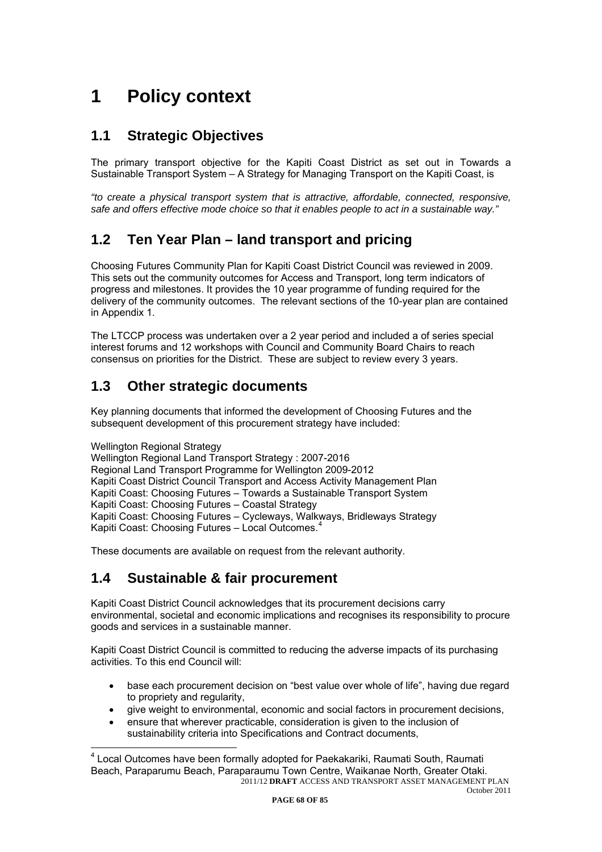# <span id="page-69-0"></span>**1 Policy context**

### **1.1 Strategic Objectives**

The primary transport objective for the Kapiti Coast District as set out in Towards a Sustainable Transport System – A Strategy for Managing Transport on the Kapiti Coast, is

*"to create a physical transport system that is attractive, affordable, connected, responsive, safe and offers effective mode choice so that it enables people to act in a sustainable way."* 

### **1.2 Ten Year Plan – land transport and pricing**

Choosing Futures Community Plan for Kapiti Coast District Council was reviewed in 2009. This sets out the community outcomes for Access and Transport, long term indicators of progress and milestones. It provides the 10 year programme of funding required for the delivery of the community outcomes. The relevant sections of the 10-year plan are contained in Appendix 1.

The LTCCP process was undertaken over a 2 year period and included a of series special interest forums and 12 workshops with Council and Community Board Chairs to reach consensus on priorities for the District. These are subject to review every 3 years.

### **1.3 Other strategic documents**

Key planning documents that informed the development of Choosing Futures and the subsequent development of this procurement strategy have included:

Wellington Regional Strategy

 $\overline{a}$ 

Wellington Regional Land Transport Strategy : 2007-2016 Regional Land Transport Programme for Wellington 2009-2012 Kapiti Coast District Council Transport and Access Activity Management Plan Kapiti Coast: Choosing Futures – Towards a Sustainable Transport System Kapiti Coast: Choosing Futures – Coastal Strategy Kapiti Coast: Choosing Futures – Cycleways, Walkways, Bridleways Strategy Kapiti Coast: Choosing Futures - Local Outcomes.<sup>[4](#page-69-0)</sup>

These documents are available on request from the relevant authority.

### **1.4 Sustainable & fair procurement**

Kapiti Coast District Council acknowledges that its procurement decisions carry environmental, societal and economic implications and recognises its responsibility to procure goods and services in a sustainable manner.

Kapiti Coast District Council is committed to reducing the adverse impacts of its purchasing activities. To this end Council will:

- base each procurement decision on "best value over whole of life", having due regard to propriety and regularity,
- give weight to environmental, economic and social factors in procurement decisions,
- ensure that wherever practicable, consideration is given to the inclusion of sustainability criteria into Specifications and Contract documents,

<sup>2011/12</sup> **DRAFT** ACCESS AND TRANSPORT ASSET MANAGEMENT PLAN <sup>4</sup> Local Outcomes have been formally adopted for Paekakariki, Raumati South, Raumati Beach, Paraparumu Beach, Paraparaumu Town Centre, Waikanae North, Greater Otaki.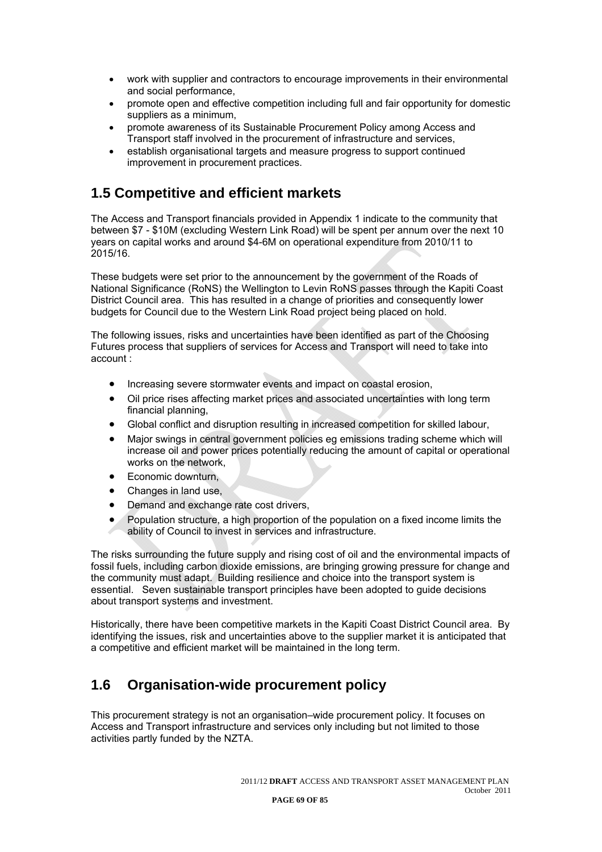- work with supplier and contractors to encourage improvements in their environmental and social performance,
- promote open and effective competition including full and fair opportunity for domestic suppliers as a minimum,
- promote awareness of its Sustainable Procurement Policy among Access and Transport staff involved in the procurement of infrastructure and services,
- establish organisational targets and measure progress to support continued improvement in procurement practices.

### **1.5 Competitive and efficient markets**

The Access and Transport financials provided in Appendix 1 indicate to the community that between \$7 - \$10M (excluding Western Link Road) will be spent per annum over the next 10 years on capital works and around \$4-6M on operational expenditure from 2010/11 to 2015/16.

These budgets were set prior to the announcement by the government of the Roads of National Significance (RoNS) the Wellington to Levin RoNS passes through the Kapiti Coast District Council area. This has resulted in a change of priorities and consequently lower budgets for Council due to the Western Link Road project being placed on hold.

The following issues, risks and uncertainties have been identified as part of the Choosing Futures process that suppliers of services for Access and Transport will need to take into account :

- Increasing severe stormwater events and impact on coastal erosion,
- Oil price rises affecting market prices and associated uncertainties with long term financial planning,
- Global conflict and disruption resulting in increased competition for skilled labour,
- Major swings in central government policies eg emissions trading scheme which will increase oil and power prices potentially reducing the amount of capital or operational works on the network,
- Economic downturn,
- Changes in land use,
- Demand and exchange rate cost drivers.
- Population structure, a high proportion of the population on a fixed income limits the ability of Council to invest in services and infrastructure.

The risks surrounding the future supply and rising cost of oil and the environmental impacts of fossil fuels, including carbon dioxide emissions, are bringing growing pressure for change and the community must adapt. Building resilience and choice into the transport system is essential. Seven sustainable transport principles have been adopted to guide decisions about transport systems and investment.

Historically, there have been competitive markets in the Kapiti Coast District Council area. By identifying the issues, risk and uncertainties above to the supplier market it is anticipated that a competitive and efficient market will be maintained in the long term.

### **1.6 Organisation-wide procurement policy**

This procurement strategy is not an organisation–wide procurement policy. It focuses on Access and Transport infrastructure and services only including but not limited to those activities partly funded by the NZTA.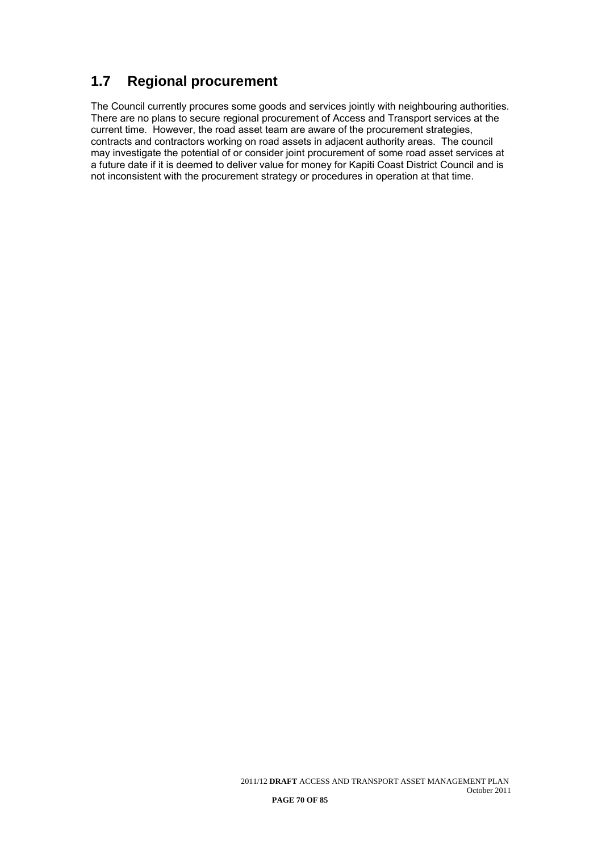### **1.7 Regional procurement**

The Council currently procures some goods and services jointly with neighbouring authorities. There are no plans to secure regional procurement of Access and Transport services at the current time. However, the road asset team are aware of the procurement strategies, contracts and contractors working on road assets in adjacent authority areas. The council may investigate the potential of or consider joint procurement of some road asset services at a future date if it is deemed to deliver value for money for Kapiti Coast District Council and is not inconsistent with the procurement strategy or procedures in operation at that time.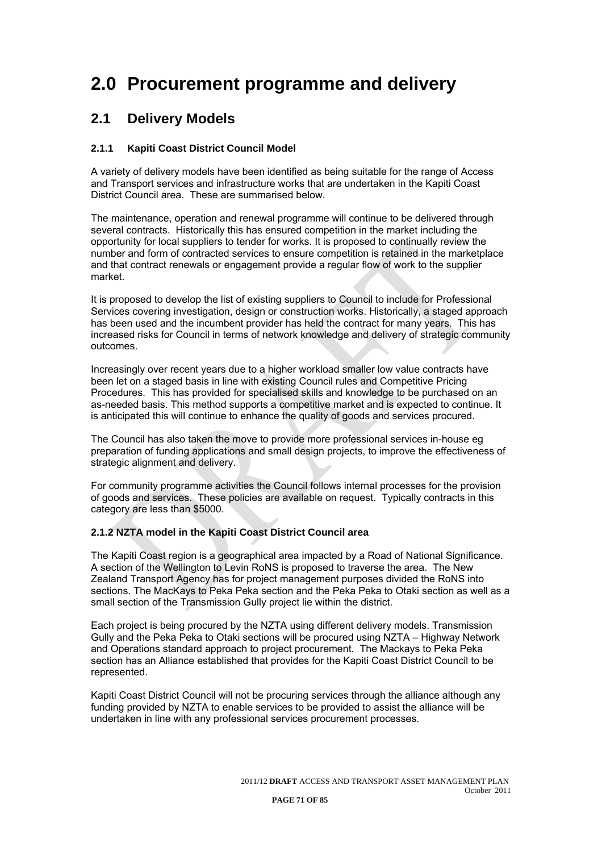## **2.0 Procurement programme and delivery**

### **2.1 Delivery Models**

#### **2.1.1 Kapiti Coast District Council Model**

A variety of delivery models have been identified as being suitable for the range of Access and Transport services and infrastructure works that are undertaken in the Kapiti Coast District Council area. These are summarised below.

The maintenance, operation and renewal programme will continue to be delivered through several contracts. Historically this has ensured competition in the market including the opportunity for local suppliers to tender for works. It is proposed to continually review the number and form of contracted services to ensure competition is retained in the marketplace and that contract renewals or engagement provide a regular flow of work to the supplier market.

It is proposed to develop the list of existing suppliers to Council to include for Professional Services covering investigation, design or construction works. Historically, a staged approach has been used and the incumbent provider has held the contract for many years. This has increased risks for Council in terms of network knowledge and delivery of strategic community outcomes.

Increasingly over recent years due to a higher workload smaller low value contracts have been let on a staged basis in line with existing Council rules and Competitive Pricing Procedures. This has provided for specialised skills and knowledge to be purchased on an as-needed basis. This method supports a competitive market and is expected to continue. It is anticipated this will continue to enhance the quality of goods and services procured.

The Council has also taken the move to provide more professional services in-house eg preparation of funding applications and small design projects, to improve the effectiveness of strategic alignment and delivery.

For community programme activities the Council follows internal processes for the provision of goods and services. These policies are available on request. Typically contracts in this category are less than \$5000.

#### **2.1.2 NZTA model in the Kapiti Coast District Council area**

The Kapiti Coast region is a geographical area impacted by a Road of National Significance. A section of the Wellington to Levin RoNS is proposed to traverse the area. The New Zealand Transport Agency has for project management purposes divided the RoNS into sections. The MacKays to Peka Peka section and the Peka Peka to Otaki section as well as a small section of the Transmission Gully project lie within the district.

Each project is being procured by the NZTA using different delivery models. Transmission Gully and the Peka Peka to Otaki sections will be procured using NZTA – Highway Network and Operations standard approach to project procurement. The Mackays to Peka Peka section has an Alliance established that provides for the Kapiti Coast District Council to be represented.

Kapiti Coast District Council will not be procuring services through the alliance although any funding provided by NZTA to enable services to be provided to assist the alliance will be undertaken in line with any professional services procurement processes.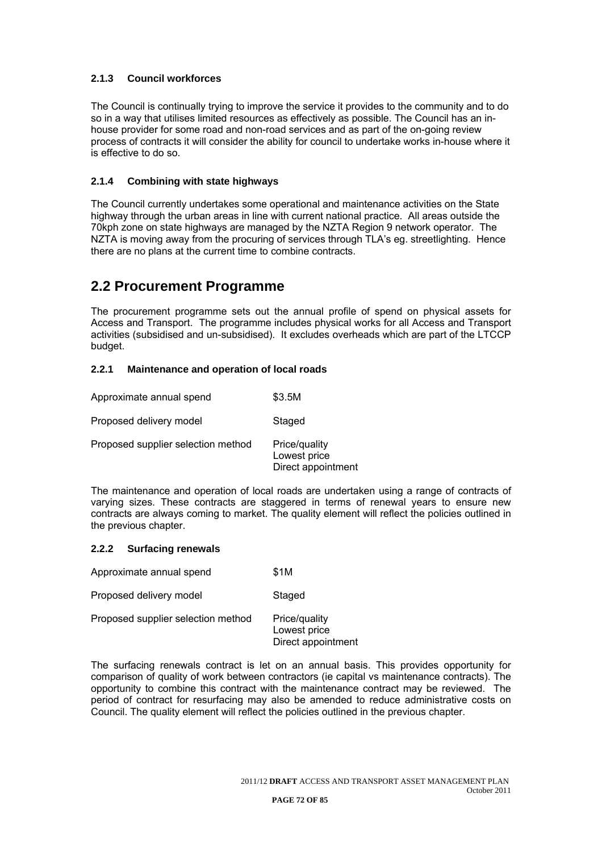### **2.1.3 Council workforces**

The Council is continually trying to improve the service it provides to the community and to do so in a way that utilises limited resources as effectively as possible. The Council has an inhouse provider for some road and non-road services and as part of the on-going review process of contracts it will consider the ability for council to undertake works in-house where it is effective to do so.

#### **2.1.4 Combining with state highways**

The Council currently undertakes some operational and maintenance activities on the State highway through the urban areas in line with current national practice. All areas outside the 70kph zone on state highways are managed by the NZTA Region 9 network operator. The NZTA is moving away from the procuring of services through TLA's eg. streetlighting. Hence there are no plans at the current time to combine contracts.

### **2.2 Procurement Programme**

The procurement programme sets out the annual profile of spend on physical assets for Access and Transport. The programme includes physical works for all Access and Transport activities (subsidised and un-subsidised). It excludes overheads which are part of the LTCCP budget.

#### **2.2.1 Maintenance and operation of local roads**

| Approximate annual spend           | \$3.5M                                              |
|------------------------------------|-----------------------------------------------------|
| Proposed delivery model            | Staged                                              |
| Proposed supplier selection method | Price/quality<br>Lowest price<br>Direct appointment |

The maintenance and operation of local roads are undertaken using a range of contracts of varying sizes. These contracts are staggered in terms of renewal years to ensure new contracts are always coming to market. The quality element will reflect the policies outlined in the previous chapter.

#### **2.2.2 Surfacing renewals**

| Approximate annual spend           | \$1M                                                |
|------------------------------------|-----------------------------------------------------|
| Proposed delivery model            | Staged                                              |
| Proposed supplier selection method | Price/quality<br>Lowest price<br>Direct appointment |

The surfacing renewals contract is let on an annual basis. This provides opportunity for comparison of quality of work between contractors (ie capital vs maintenance contracts). The opportunity to combine this contract with the maintenance contract may be reviewed. The period of contract for resurfacing may also be amended to reduce administrative costs on Council. The quality element will reflect the policies outlined in the previous chapter.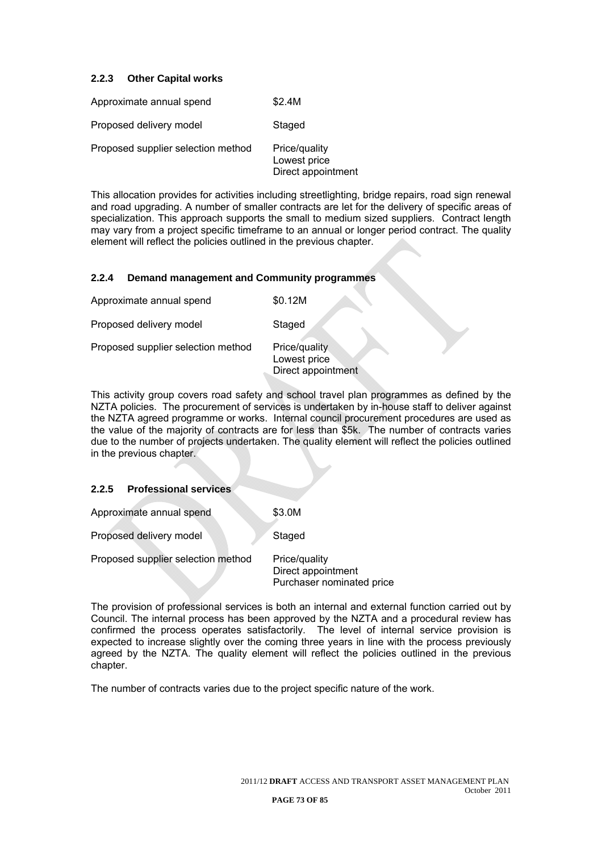#### **2.2.3 Other Capital works**

| Approximate annual spend           | \$2.4M                                              |
|------------------------------------|-----------------------------------------------------|
| Proposed delivery model            | Staged                                              |
| Proposed supplier selection method | Price/quality<br>Lowest price<br>Direct appointment |

This allocation provides for activities including streetlighting, bridge repairs, road sign renewal and road upgrading. A number of smaller contracts are let for the delivery of specific areas of specialization. This approach supports the small to medium sized suppliers. Contract length may vary from a project specific timeframe to an annual or longer period contract. The quality element will reflect the policies outlined in the previous chapter.

#### **2.2.4 Demand management and Community programmes**

| Approximate annual spend           | \$0.12M                                             |
|------------------------------------|-----------------------------------------------------|
| Proposed delivery model            | Staged                                              |
| Proposed supplier selection method | Price/quality<br>Lowest price<br>Direct appointment |

This activity group covers road safety and school travel plan programmes as defined by the NZTA policies. The procurement of services is undertaken by in-house staff to deliver against the NZTA agreed programme or works. Internal council procurement procedures are used as the value of the majority of contracts are for less than \$5k. The number of contracts varies due to the number of projects undertaken. The quality element will reflect the policies outlined in the previous chapter.

#### **2.2.5 Professional services**

Approximate annual spend \$3.0M

Proposed delivery model Staged

Proposed supplier selection method Price/quality

 Direct appointment Purchaser nominated price

The provision of professional services is both an internal and external function carried out by Council. The internal process has been approved by the NZTA and a procedural review has confirmed the process operates satisfactorily. The level of internal service provision is expected to increase slightly over the coming three years in line with the process previously agreed by the NZTA. The quality element will reflect the policies outlined in the previous chapter.

The number of contracts varies due to the project specific nature of the work.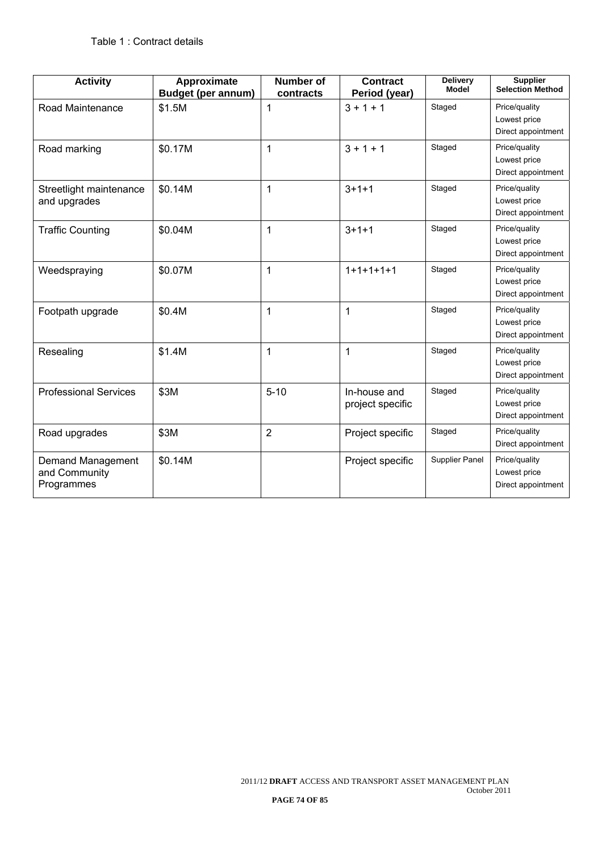| <b>Activity</b>                                  | Approximate<br><b>Budget (per annum)</b> | Number of<br>contracts | <b>Contract</b><br>Period (year) | <b>Delivery</b><br><b>Model</b> | <b>Supplier</b><br><b>Selection Method</b>          |
|--------------------------------------------------|------------------------------------------|------------------------|----------------------------------|---------------------------------|-----------------------------------------------------|
| Road Maintenance                                 | \$1.5M                                   | 1                      | $3 + 1 + 1$                      | Staged                          | Price/quality<br>Lowest price<br>Direct appointment |
| Road marking                                     | \$0.17M                                  | 1                      | $3 + 1 + 1$                      | Staged                          | Price/quality<br>Lowest price<br>Direct appointment |
| Streetlight maintenance<br>and upgrades          | \$0.14M                                  | 1                      | $3 + 1 + 1$                      | Staged                          | Price/quality<br>Lowest price<br>Direct appointment |
| <b>Traffic Counting</b>                          | \$0.04M                                  | 1                      | $3 + 1 + 1$                      | Staged                          | Price/quality<br>Lowest price<br>Direct appointment |
| Weedspraying                                     | \$0.07M                                  | 1                      | $1+1+1+1+1$                      | Staged                          | Price/quality<br>Lowest price<br>Direct appointment |
| Footpath upgrade                                 | \$0.4M                                   | 1                      | $\mathbf{1}$                     | Staged                          | Price/quality<br>Lowest price<br>Direct appointment |
| Resealing                                        | \$1.4M                                   | $\mathbf{1}$           | $\mathbf{1}$                     | Staged                          | Price/quality<br>Lowest price<br>Direct appointment |
| <b>Professional Services</b>                     | \$3M                                     | $5 - 10$               | In-house and<br>project specific | Staged                          | Price/quality<br>Lowest price<br>Direct appointment |
| Road upgrades                                    | \$3M                                     | $\overline{2}$         | Project specific                 | Staged                          | Price/quality<br>Direct appointment                 |
| Demand Management<br>and Community<br>Programmes | \$0.14M                                  |                        | Project specific                 | Supplier Panel                  | Price/quality<br>Lowest price<br>Direct appointment |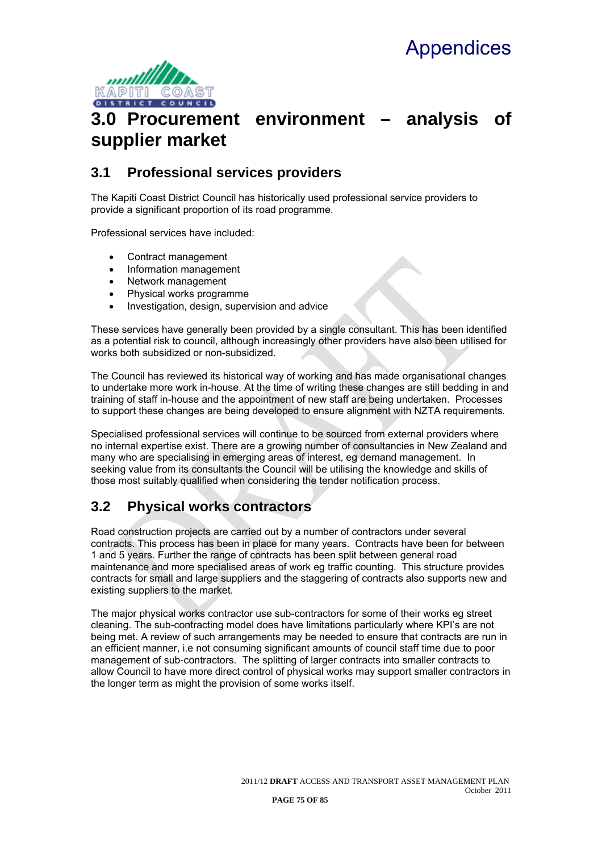

## **3.0 Procurement environment – analysis of supplier market**

## **3.1 Professional services providers**

The Kapiti Coast District Council has historically used professional service providers to provide a significant proportion of its road programme.

Professional services have included:

- Contract management
- Information management
- Network management
- Physical works programme
- Investigation, design, supervision and advice

These services have generally been provided by a single consultant. This has been identified as a potential risk to council, although increasingly other providers have also been utilised for works both subsidized or non-subsidized.

The Council has reviewed its historical way of working and has made organisational changes to undertake more work in-house. At the time of writing these changes are still bedding in and training of staff in-house and the appointment of new staff are being undertaken. Processes to support these changes are being developed to ensure alignment with NZTA requirements.

Specialised professional services will continue to be sourced from external providers where no internal expertise exist. There are a growing number of consultancies in New Zealand and many who are specialising in emerging areas of interest, eg demand management. In seeking value from its consultants the Council will be utilising the knowledge and skills of those most suitably qualified when considering the tender notification process.

## **3.2 Physical works contractors**

Road construction projects are carried out by a number of contractors under several contracts. This process has been in place for many years. Contracts have been for between 1 and 5 years. Further the range of contracts has been split between general road maintenance and more specialised areas of work eg traffic counting. This structure provides contracts for small and large suppliers and the staggering of contracts also supports new and existing suppliers to the market.

The major physical works contractor use sub-contractors for some of their works eg street cleaning. The sub-contracting model does have limitations particularly where KPI's are not being met. A review of such arrangements may be needed to ensure that contracts are run in an efficient manner, i.e not consuming significant amounts of council staff time due to poor management of sub-contractors. The splitting of larger contracts into smaller contracts to allow Council to have more direct control of physical works may support smaller contractors in the longer term as might the provision of some works itself.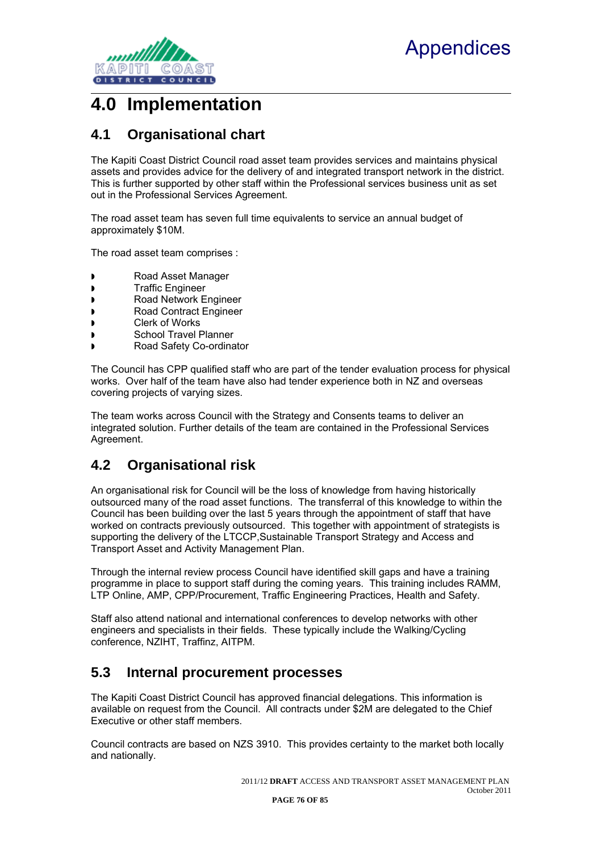

## **4.0 Implementation**

## **4.1 Organisational chart**

The Kapiti Coast District Council road asset team provides services and maintains physical assets and provides advice for the delivery of and integrated transport network in the district. This is further supported by other staff within the Professional services business unit as set out in the Professional Services Agreement.

The road asset team has seven full time equivalents to service an annual budget of approximately \$10M.

The road asset team comprises :

- Road Asset Manager
- **Traffic Engineer**
- Road Network Engineer
- Road Contract Engineer
- Clerk of Works
- School Travel Planner
- Road Safety Co-ordinator

The Council has CPP qualified staff who are part of the tender evaluation process for physical works. Over half of the team have also had tender experience both in NZ and overseas covering projects of varying sizes.

The team works across Council with the Strategy and Consents teams to deliver an integrated solution. Further details of the team are contained in the Professional Services Agreement.

## **4.2 Organisational risk**

An organisational risk for Council will be the loss of knowledge from having historically outsourced many of the road asset functions. The transferral of this knowledge to within the Council has been building over the last 5 years through the appointment of staff that have worked on contracts previously outsourced. This together with appointment of strategists is supporting the delivery of the LTCCP,Sustainable Transport Strategy and Access and Transport Asset and Activity Management Plan.

Through the internal review process Council have identified skill gaps and have a training programme in place to support staff during the coming years. This training includes RAMM, LTP Online, AMP, CPP/Procurement, Traffic Engineering Practices, Health and Safety.

Staff also attend national and international conferences to develop networks with other engineers and specialists in their fields. These typically include the Walking/Cycling conference, NZIHT, Traffinz, AITPM.

### **5.3 Internal procurement processes**

The Kapiti Coast District Council has approved financial delegations. This information is available on request from the Council. All contracts under \$2M are delegated to the Chief Executive or other staff members.

Council contracts are based on NZS 3910. This provides certainty to the market both locally and nationally.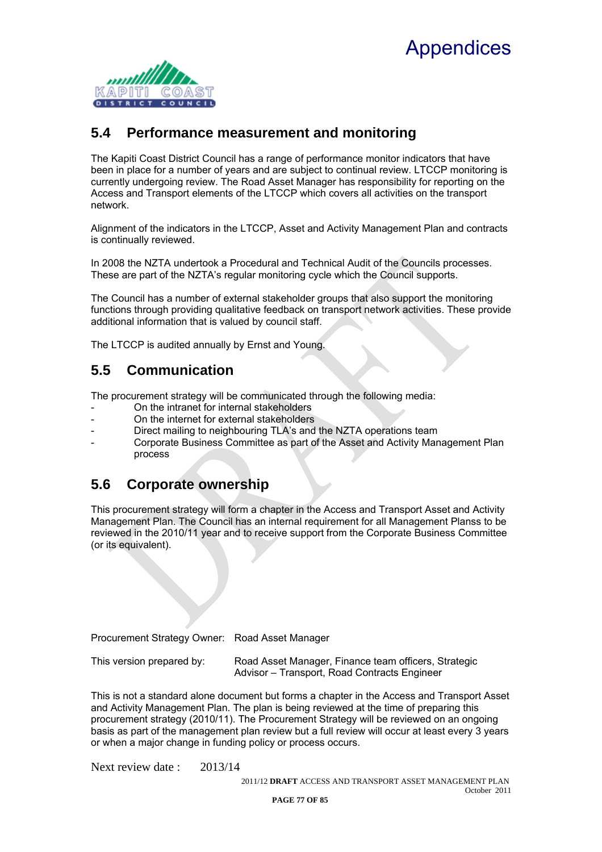## **Appendices**



## **5.4 Performance measurement and monitoring**

The Kapiti Coast District Council has a range of performance monitor indicators that have been in place for a number of years and are subject to continual review. LTCCP monitoring is currently undergoing review. The Road Asset Manager has responsibility for reporting on the Access and Transport elements of the LTCCP which covers all activities on the transport network.

Alignment of the indicators in the LTCCP, Asset and Activity Management Plan and contracts is continually reviewed.

In 2008 the NZTA undertook a Procedural and Technical Audit of the Councils processes. These are part of the NZTA's regular monitoring cycle which the Council supports.

The Council has a number of external stakeholder groups that also support the monitoring functions through providing qualitative feedback on transport network activities. These provide additional information that is valued by council staff.

The LTCCP is audited annually by Ernst and Young.

## **5.5 Communication**

The procurement strategy will be communicated through the following media:

- On the intranet for internal stakeholders
- On the internet for external stakeholders
- Direct mailing to neighbouring TLA's and the NZTA operations team
- Corporate Business Committee as part of the Asset and Activity Management Plan process

## **5.6 Corporate ownership**

This procurement strategy will form a chapter in the Access and Transport Asset and Activity Management Plan. The Council has an internal requirement for all Management Planss to be reviewed in the 2010/11 year and to receive support from the Corporate Business Committee (or its equivalent).

Procurement Strategy Owner: Road Asset Manager

This version prepared by: Road Asset Manager, Finance team officers, Strategic Advisor – Transport, Road Contracts Engineer

This is not a standard alone document but forms a chapter in the Access and Transport Asset and Activity Management Plan. The plan is being reviewed at the time of preparing this procurement strategy (2010/11). The Procurement Strategy will be reviewed on an ongoing basis as part of the management plan review but a full review will occur at least every 3 years or when a major change in funding policy or process occurs.

Next review date : 2013/14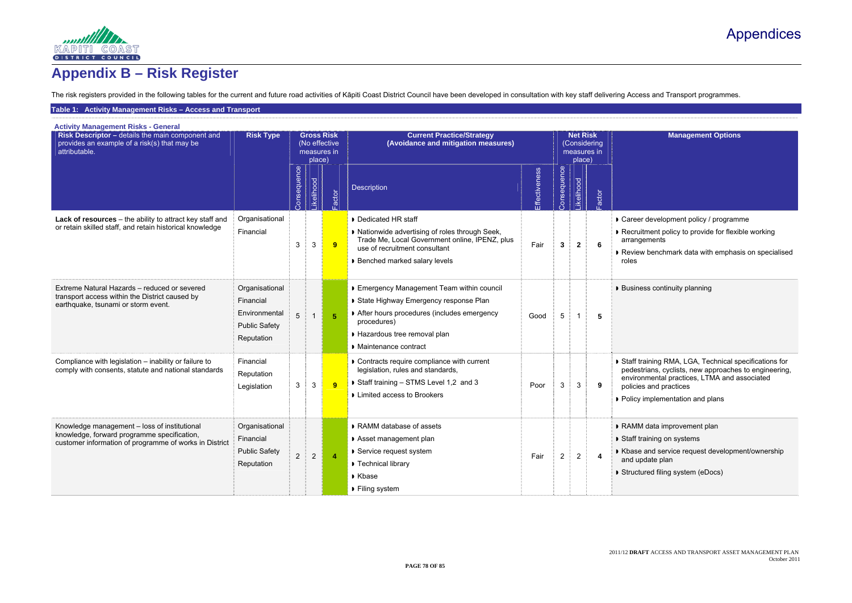# Appendices



# **Appendix B – Risk Register**

The risk registers provided in the following tables for the current and future road activities of Kāpiti Coast District Council have been developed in consultation with key staff delivering Access and Transport programmes.

#### **Table 1: Activity Management Risks – Access and Transport**

**Management Options** 

- development policy / programme
- itment policy to provide for flexible working gements
- w benchmark data with emphasis on specialised

ess continuity planning

raining RMA, LGA, Technical specifications for trians, cyclists, new approaches to engineering, nmental practices, LTMA and associated es and practices

- implementation and plans
- data improvement plan
- raining on systems
- and service request development/ownership odate plan
- ured filing system (eDocs)

| <b>Activity Management Risks - General</b><br>Risk Descriptor - details the main component and<br>provides an example of a risk(s) that may be<br>attributable. | <b>Risk Type</b>                                                                   |                | place)         | <b>Gross Risk</b><br>(No effective<br>measures in | <b>Current Practice/Strategy</b><br>(Avoidance and mitigation measures)                                                                                                                               |               | <b>Net Risk</b><br>place) | (Considering<br>measures in |                         |                                                                        |
|-----------------------------------------------------------------------------------------------------------------------------------------------------------------|------------------------------------------------------------------------------------|----------------|----------------|---------------------------------------------------|-------------------------------------------------------------------------------------------------------------------------------------------------------------------------------------------------------|---------------|---------------------------|-----------------------------|-------------------------|------------------------------------------------------------------------|
|                                                                                                                                                                 |                                                                                    | Consequence    | _ikelihood     | Factor                                            | <b>Description</b>                                                                                                                                                                                    | Effectiveness | Donsequence               | <b>Likelihood</b>           | Factor                  |                                                                        |
| Lack of resources - the ability to attract key staff and<br>or retain skilled staff, and retain historical knowledge                                            | Organisational<br>Financial                                                        | 3              | $\mathbf{3}$   | 9                                                 | • Dedicated HR staff<br>I Nationwide advertising of roles through Seek,<br>Trade Me, Local Government online, IPENZ, plus<br>use of recruitment consultant<br>▶ Benched marked salary levels          | Fair          | $\mathbf{3}$              | $\mathbf{2}$                | 6                       | Career<br>Recruit<br>arrang<br>Review<br>roles                         |
| Extreme Natural Hazards - reduced or severed<br>transport access within the District caused by<br>earthquake, tsunami or storm event.                           | Organisational<br>Financial<br>Environmental<br><b>Public Safety</b><br>Reputation | 5              |                | 5 <sup>5</sup>                                    | Emergency Management Team within council<br>State Highway Emergency response Plan<br>After hours procedures (includes emergency<br>procedures)<br>Hazardous tree removal plan<br>Maintenance contract | Good          | 5                         | $\mathbf{1}$                | 5                       | <b>Busine</b>                                                          |
| Compliance with legislation - inability or failure to<br>comply with consents, statute and national standards                                                   | Financial<br>Reputation<br>Legislation                                             | 3              | $\mathbf{3}$   | 9                                                 | Contracts require compliance with current<br>legislation, rules and standards,<br>Staff training - STMS Level 1,2 and 3<br>Limited access to Brookers                                                 | Poor          | 3                         | 3                           | 9                       | $\triangleright$ Staff tr<br>pedest<br>enviror<br>policies<br>• Policy |
| Knowledge management - loss of institutional<br>knowledge, forward programme specification,<br>customer information of programme of works in District           | Organisational<br>Financial<br><b>Public Safety</b><br>Reputation                  | $\overline{2}$ | $\overline{2}$ | $\overline{\mathbf{4}}$                           | RAMM database of assets<br>Asset management plan<br>▶ Service request system<br>Technical library<br>Kbase<br>▶ Filing system                                                                         | Fair          | $\overline{2}$            | $\overline{2}$              | $\overline{\mathbf{4}}$ | <b>RAMM</b><br>$\triangleright$ Staff tr<br>Kbase<br>and up<br>Structu |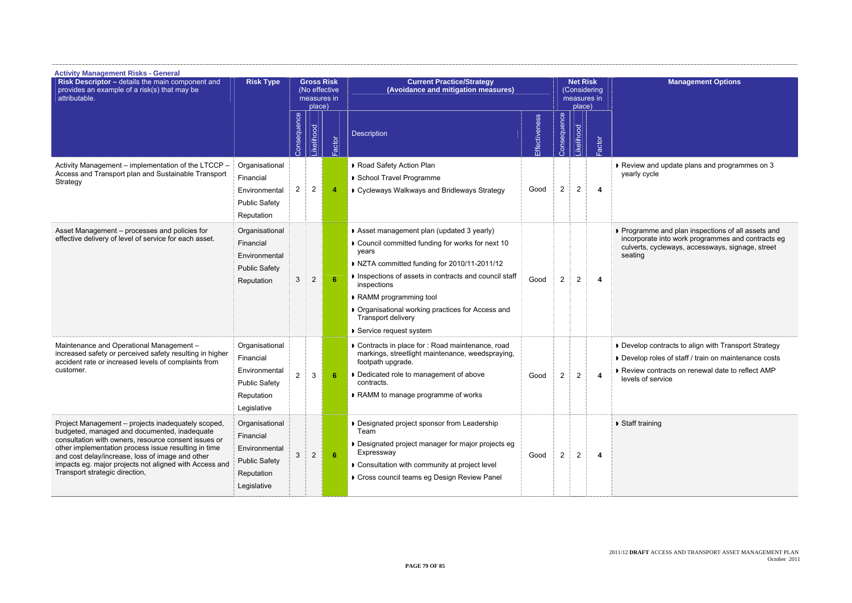

w and update plans and programmes on 3 cycle

amme and plan inspections of all assets and orate into work programmes and contracts eg ts, cycleways, accessways, signage, street

op contracts to align with Transport Strategy op roles of staff / train on maintenance costs w contracts on renewal date to reflect AMP levels of service

aining

| <b>Activity Management Risks - General</b><br>Risk Descriptor - details the main component and<br>provides an example of a risk(s) that may be<br>attributable.                                                                                                                                                                                                    | <b>Risk Type</b>                                                                                  | <b>Gross Risk</b><br>(No effective<br>measures in<br>place) |                |                | <b>Current Practice/Strategy</b><br>(Avoidance and mitigation measures)                                                                                                                                                                                                                                                                               |               |                | <b>Net Risk</b><br>place) | (Considering<br>measures in |                                            |
|--------------------------------------------------------------------------------------------------------------------------------------------------------------------------------------------------------------------------------------------------------------------------------------------------------------------------------------------------------------------|---------------------------------------------------------------------------------------------------|-------------------------------------------------------------|----------------|----------------|-------------------------------------------------------------------------------------------------------------------------------------------------------------------------------------------------------------------------------------------------------------------------------------------------------------------------------------------------------|---------------|----------------|---------------------------|-----------------------------|--------------------------------------------|
|                                                                                                                                                                                                                                                                                                                                                                    |                                                                                                   | Consequence                                                 | Likelihood     | Factor         | <b>Description</b>                                                                                                                                                                                                                                                                                                                                    | Effectiveness | Consequence    | Likelihood                | Factor                      |                                            |
| Activity Management - implementation of the LTCCP -<br>Access and Transport plan and Sustainable Transport<br>Strategy                                                                                                                                                                                                                                             | Organisational<br>Financial<br>Environmental<br><b>Public Safety</b><br>Reputation                | $\overline{2}$                                              | $\overline{2}$ | $\overline{4}$ | Road Safety Action Plan<br>School Travel Programme<br>Cycleways Walkways and Bridleways Strategy                                                                                                                                                                                                                                                      | Good          | $\overline{2}$ | $\sqrt{2}$                | 4                           | Review<br>yearly c                         |
| Asset Management - processes and policies for<br>effective delivery of level of service for each asset.                                                                                                                                                                                                                                                            | Organisational<br>Financial<br>Environmental<br><b>Public Safety</b><br>Reputation                | 3                                                           | $\sqrt{2}$     | 6              | Asset management plan (updated 3 yearly)<br>Council committed funding for works for next 10<br>years<br>NZTA committed funding for 2010/11-2011/12<br>Inspections of assets in contracts and council staff<br>inspections<br>RAMM programming tool<br>Organisational working practices for Access and<br>Transport delivery<br>Service request system | Good          | $\overline{2}$ | $\overline{2}$            | 4                           | Progran<br>incorpor<br>culverts<br>seating |
| Maintenance and Operational Management -<br>increased safety or perceived safety resulting in higher<br>accident rate or increased levels of complaints from<br>customer.                                                                                                                                                                                          | Organisational<br>Financial<br>Environmental<br><b>Public Safety</b><br>Reputation<br>Legislative | $\overline{2}$                                              | $\mathbf{3}$   | -6             | Contracts in place for : Road maintenance, road<br>markings, streetlight maintenance, weedspraying,<br>footpath upgrade.<br>• Dedicated role to management of above<br>contracts.<br>RAMM to manage programme of works                                                                                                                                | Good          | $\overline{c}$ | $\overline{\mathbf{c}}$   |                             | • Develop<br>Develop<br>Review<br>levels o |
| Project Management - projects inadequately scoped,<br>budgeted, managed and documented, inadequate<br>consultation with owners, resource consent issues or<br>other implementation process issue resulting in time<br>and cost delay/increase, loss of image and other<br>impacts eg. major projects not aligned with Access and<br>Transport strategic direction, | Organisational<br>Financial<br>Environmental<br><b>Public Safety</b><br>Reputation<br>Legislative | 3                                                           | $\sqrt{2}$     | 6              | Designated project sponsor from Leadership<br>Team<br>Designated project manager for major projects eg<br>Expressway<br>Consultation with community at project level<br>Cross council teams eg Design Review Panel                                                                                                                                    | Good          | $\overline{2}$ | $\overline{2}$            | 4                           | Staff tra                                  |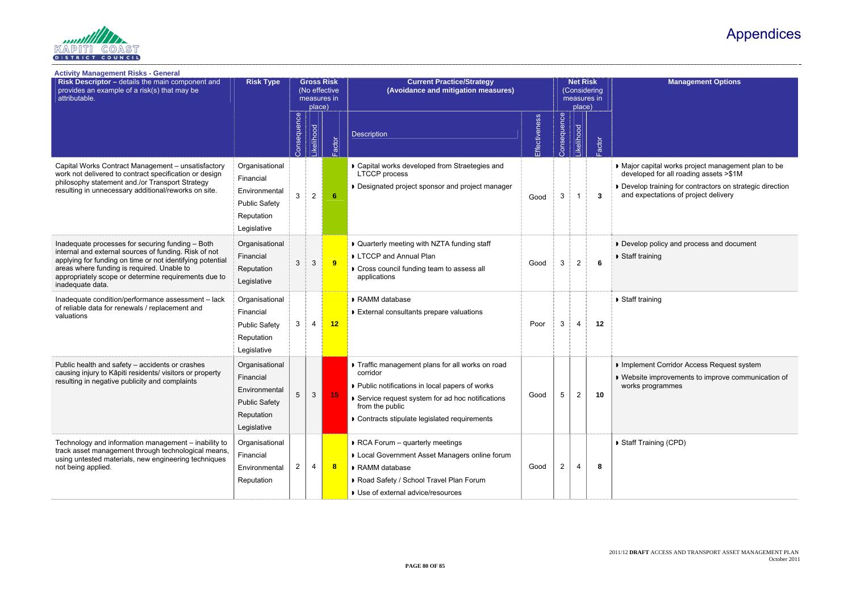## Appendices

### **Management Options**

capital works project management plan to be ped for all roading assets >\$1M

op training for contractors on strategic direction pectations of project delivery

pp policy and process and document aining

aining

**Inent Corridor Access Request system** te improvements to improve communication of programmes

raining (CPD)



| Risk Descriptor - details the main component and<br>provides an example of a risk(s) that may be<br>attributable.                                                                                                                                                                                | <b>Risk Type</b>                                                                                  | <b>Gross Risk</b><br>(No effective<br>measures in<br>place) |                |                  | <b>Current Practice/Strategy</b><br>(Avoidance and mitigation measures)                                                                                                                                                            |               | <b>Net Risk</b><br>(Considering<br>measures in<br>place) |                  |       |                                                |
|--------------------------------------------------------------------------------------------------------------------------------------------------------------------------------------------------------------------------------------------------------------------------------------------------|---------------------------------------------------------------------------------------------------|-------------------------------------------------------------|----------------|------------------|------------------------------------------------------------------------------------------------------------------------------------------------------------------------------------------------------------------------------------|---------------|----------------------------------------------------------|------------------|-------|------------------------------------------------|
|                                                                                                                                                                                                                                                                                                  |                                                                                                   | Consequence                                                 | -ikelihood     | Factor           | <b>Description</b>                                                                                                                                                                                                                 | Effectiveness | Consequence                                              | <b>ikelihood</b> | actor |                                                |
| Capital Works Contract Management - unsatisfactory<br>work not delivered to contract specification or design<br>philosophy statement and /or Transport Strategy<br>resulting in unnecessary additional/reworks on site.                                                                          | Organisational<br>Financial<br>Environmental<br><b>Public Safety</b><br>Reputation<br>Legislative | 3                                                           | $\overline{2}$ | 6                | Capital works developed from Straetegies and<br><b>LTCCP</b> process<br>Designated project sponsor and project manager                                                                                                             | Good          | 3                                                        | $\mathbf 1$      | 3     | Major c<br>develop<br>• Develo<br>and ex       |
| Inadequate processes for securing funding - Both<br>internal and external sources of funding. Risk of not<br>applying for funding on time or not identifying potential<br>areas where funding is required. Unable to<br>appropriately scope or determine requirements due to<br>inadequate data. | Organisational<br>Financial<br>Reputation<br>Legislative                                          | 3                                                           | 3              | 9                | • Quarterly meeting with NZTA funding staff<br>LTCCP and Annual Plan<br>Cross council funding team to assess all<br>applications                                                                                                   | Good          | 3                                                        | $\overline{2}$   | 6     | • Develo<br>▶ Staff tra                        |
| Inadequate condition/performance assessment - lack<br>of reliable data for renewals / replacement and<br>valuations                                                                                                                                                                              | Organisational<br>Financial<br><b>Public Safety</b><br>Reputation<br>Legislative                  | 3                                                           | 4              | 12               | RAMM database<br>External consultants prepare valuations                                                                                                                                                                           | Poor          | 3                                                        | $\overline{4}$   | 12    | ▶ Staff tra                                    |
| Public health and safety - accidents or crashes<br>causing injury to Kāpiti residents/ visitors or property<br>resulting in negative publicity and complaints                                                                                                                                    | Organisational<br>Financial<br>Environmental<br><b>Public Safety</b><br>Reputation<br>Legislative | 5                                                           | 3              | 15               | Traffic management plans for all works on road<br>corridor<br>▶ Public notifications in local papers of works<br>Service request system for ad hoc notifications<br>from the public<br>Contracts stipulate legislated requirements | Good          | 5                                                        | $\overline{2}$   | 10    | $\triangleright$ Implem<br>• Websit<br>works p |
| Technology and information management - inability to<br>track asset management through technological means,<br>using untested materials, new engineering techniques<br>not being applied.                                                                                                        | Organisational<br>Financial<br>Environmental<br>Reputation                                        | $\overline{2}$                                              | 4              | $\boldsymbol{8}$ | RCA Forum - quarterly meetings<br>Local Government Asset Managers online forum<br>RAMM database<br>Road Safety / School Travel Plan Forum<br>Use of external advice/resources                                                      | Good          | $\overline{2}$                                           | 4                | 8     | Staff Tr                                       |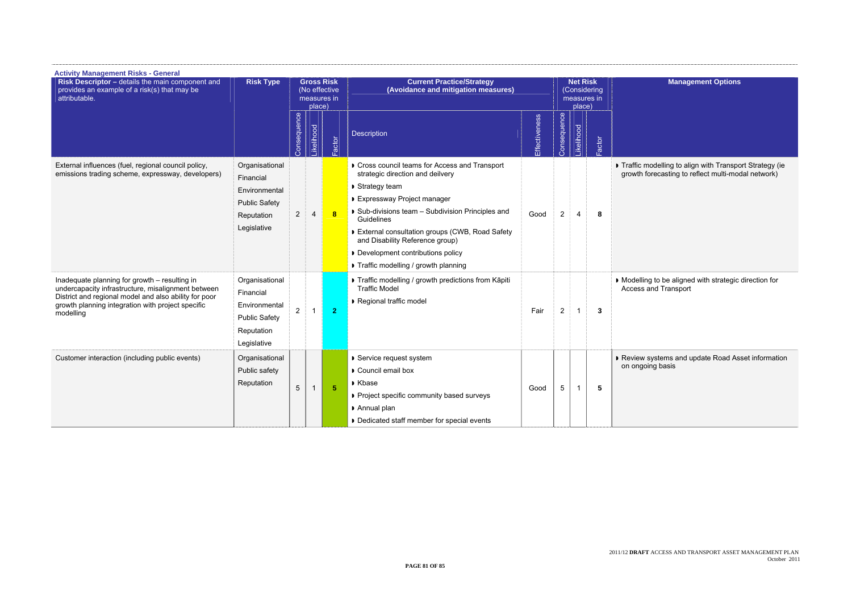2011/12 **DRAFT** ACCESS AND TRANSPORT ASSET MANAGEMENT PLAN October 2011

**Management Options** 

| <b>Activity Management Risks - General</b><br>Risk Descriptor - details the main component and<br>provides an example of a risk(s) that may be<br>attributable.                                                                | <b>Risk Type</b>                                                                                  | <b>Gross Risk</b><br>(No effective<br>measures in<br>place) |                  |                | <b>Current Practice/Strategy</b><br>(Avoidance and mitigation measures)                                                                                                                                                                                                                                                                                                          |               | <b>Net Risk</b><br>place) | (Considering<br>measures in |       |                   |
|--------------------------------------------------------------------------------------------------------------------------------------------------------------------------------------------------------------------------------|---------------------------------------------------------------------------------------------------|-------------------------------------------------------------|------------------|----------------|----------------------------------------------------------------------------------------------------------------------------------------------------------------------------------------------------------------------------------------------------------------------------------------------------------------------------------------------------------------------------------|---------------|---------------------------|-----------------------------|-------|-------------------|
|                                                                                                                                                                                                                                |                                                                                                   | Consequence                                                 | <b>ikelihood</b> | actor          | Description                                                                                                                                                                                                                                                                                                                                                                      | Effectiveness | Consequence               | ikelihood                   | actor |                   |
| External influences (fuel, regional council policy,<br>emissions trading scheme, expressway, developers)                                                                                                                       | Organisational<br>Financial<br>Environmental<br><b>Public Safety</b><br>Reputation<br>Legislative | $\overline{2}$                                              | $\overline{4}$   | $\bf{8}$       | Cross council teams for Access and Transport<br>strategic direction and deilvery<br>▶ Strategy team<br><b>Expressway Project manager</b><br>Sub-divisions team - Subdivision Principles and<br><b>Guidelines</b><br>External consultation groups (CWB, Road Safety<br>and Disability Reference group)<br>Development contributions policy<br>Traffic modelling / growth planning | Good          | $\overline{2}$            | 4                           | 8     | Traffic<br>growth |
| Inadequate planning for growth - resulting in<br>undercapacity infrastructure, misalignment between<br>District and regional model and also ability for poor<br>growth planning integration with project specific<br>modelling | Organisational<br>Financial<br>Environmental<br><b>Public Safety</b><br>Reputation<br>Legislative | $\overline{2}$                                              | 1                | $\overline{2}$ | Traffic modelling / growth predictions from Kāpiti<br><b>Traffic Model</b><br>Regional traffic model                                                                                                                                                                                                                                                                             | Fair          | $\overline{2}$            |                             | 3     | Modell<br>Access  |
| Customer interaction (including public events)                                                                                                                                                                                 | Organisational<br>Public safety<br>Reputation                                                     | 5                                                           | $\mathbf{1}$     | 5 <sup>5</sup> | ▶ Service request system<br>Council email box<br>Kbase<br>Project specific community based surveys<br>Annual plan<br>Dedicated staff member for special events                                                                                                                                                                                                                   | Good          | 5                         |                             | 5     | Review<br>on ong  |

 Traffic modelling to align with Transport Strategy (ie growth forecasting to reflect multi-modal network)

 Modelling to be aligned with strategic direction for Access and Transport

 Review systems and update Road Asset information on ongoing basis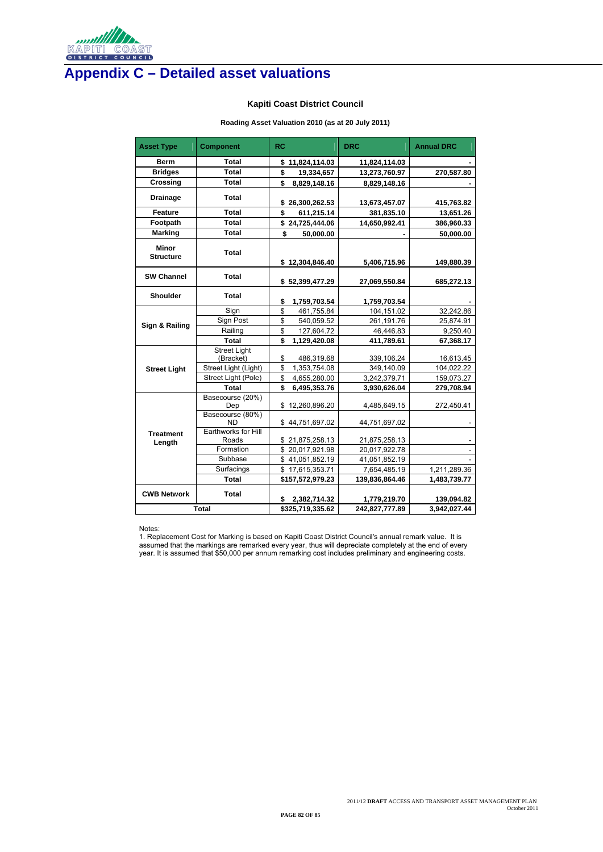2011/12 **DRAFT** ACCESS AND TRANSPORT ASSET MANAGEMENT PLAN October 2011

**PAGE 82 OF 85** 



# **Appendix C – Detailed asset valuations**

### **Kapiti Coast District Council**

### **Roading Asset Valuation 2010 (as at 20 July 2011)**

| <b>Asset Type</b>                | <b>Component</b>                 | <b>RC</b>           | <b>DRC</b>     | <b>Annual DRC</b> |
|----------------------------------|----------------------------------|---------------------|----------------|-------------------|
| <b>Berm</b>                      | <b>Total</b>                     | 11,824,114.03<br>\$ | 11,824,114.03  |                   |
| <b>Bridges</b>                   | <b>Total</b>                     | \$<br>19,334,657    | 13,273,760.97  | 270,587.80        |
| <b>Crossing</b>                  | <b>Total</b>                     | \$<br>8,829,148.16  | 8,829,148.16   |                   |
| <b>Drainage</b>                  | <b>Total</b>                     | 26,300,262.53<br>\$ | 13,673,457.07  | 415,763.82        |
| <b>Feature</b>                   | <b>Total</b>                     | \$<br>611,215.14    | 381,835.10     | 13,651.26         |
| Footpath                         | <b>Total</b>                     | \$24,725,444.06     | 14,650,992.41  | 386,960.33        |
| <b>Marking</b>                   | <b>Total</b>                     | \$<br>50,000.00     |                | 50,000.00         |
| <b>Minor</b><br><b>Structure</b> | <b>Total</b>                     | \$12,304,846.40     | 5,406,715.96   | 149,880.39        |
| <b>SW Channel</b>                | <b>Total</b>                     | \$52,399,477.29     | 27,069,550.84  | 685,272.13        |
| <b>Shoulder</b>                  | <b>Total</b>                     | \$<br>1,759,703.54  | 1,759,703.54   |                   |
|                                  | Sign                             | \$<br>461,755.84    | 104,151.02     | 32,242.86         |
| <b>Sign &amp; Railing</b>        | Sign Post                        | \$<br>540,059.52    | 261,191.76     | 25,874.91         |
|                                  | Railing                          | \$<br>127,604.72    | 46,446.83      | 9,250.40          |
|                                  | <b>Total</b>                     | \$<br>1,129,420.08  | 411,789.61     | 67,368.17         |
|                                  | <b>Street Light</b><br>(Bracket) | \$<br>486,319.68    | 339,106.24     | 16,613.45         |
| <b>Street Light</b>              | Street Light (Light)             | \$<br>1,353,754.08  | 349,140.09     | 104,022.22        |
|                                  | Street Light (Pole)              | \$<br>4,655,280.00  | 3,242,379.71   | 159,073.27        |
|                                  | <b>Total</b>                     | \$<br>6,495,353.76  | 3,930,626.04   | 279,708.94        |
|                                  | Basecourse (20%)<br>Dep          | \$12,260,896.20     | 4,485,649.15   | 272,450.41        |
|                                  | Basecourse (80%)<br>ND.          | \$44,751,697.02     | 44,751,697.02  |                   |
| <b>Treatment</b><br>Length       | Earthworks for Hill<br>Roads     | \$21,875,258.13     | 21,875,258.13  |                   |
|                                  | Formation                        | \$20,017,921.98     | 20,017,922.78  |                   |
|                                  | Subbase                          | \$41,051,852.19     | 41,051,852.19  |                   |
|                                  | Surfacings                       | \$17,615,353.71     | 7,654,485.19   | 1,211,289.36      |
|                                  | <b>Total</b>                     | \$157,572,979.23    | 139,836,864.46 | 1,483,739.77      |
| <b>CWB Network</b>               | <b>Total</b>                     | 2,382,714.32<br>\$  | 1,779,219.70   | 139,094.82        |
|                                  | <b>Total</b>                     | \$325,719,335.62    | 242,827,777.89 | 3,942,027.44      |

#### Notes:

1. Replacement Cost for Marking is based on Kapiti Coast District Council's annual remark value. It is assumed that the markings are remarked every year, thus will depreciate completely at the end of every year. It is assumed that \$50,000 per annum remarking cost includes preliminary and engineering costs.